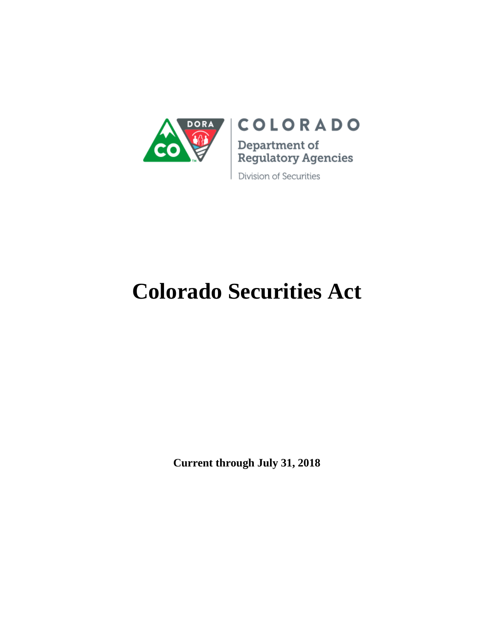

# **COLORADO**

Department of Regulatory Agencies

Division of Securities

# **Colorado Securities Act**

**Current through July 31, 2018**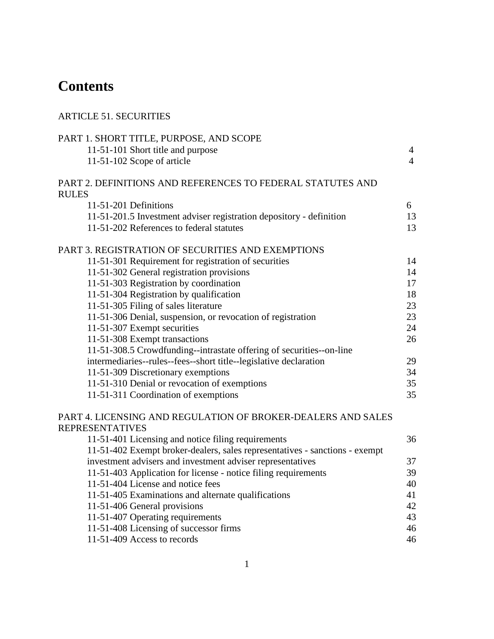# **Contents**

| <b>ARTICLE 51. SECURITIES</b>                                                                              |                                  |
|------------------------------------------------------------------------------------------------------------|----------------------------------|
| PART 1. SHORT TITLE, PURPOSE, AND SCOPE<br>11-51-101 Short title and purpose<br>11-51-102 Scope of article | $\overline{4}$<br>$\overline{4}$ |
| PART 2. DEFINITIONS AND REFERENCES TO FEDERAL STATUTES AND<br><b>RULES</b>                                 |                                  |
| 11-51-201 Definitions                                                                                      | 6                                |
| 11-51-201.5 Investment adviser registration depository - definition                                        | 13                               |
| 11-51-202 References to federal statutes                                                                   | 13                               |
| PART 3. REGISTRATION OF SECURITIES AND EXEMPTIONS                                                          |                                  |
| 11-51-301 Requirement for registration of securities                                                       | 14                               |
| 11-51-302 General registration provisions                                                                  | 14                               |
| 11-51-303 Registration by coordination                                                                     | 17                               |
| 11-51-304 Registration by qualification                                                                    | 18                               |
| 11-51-305 Filing of sales literature                                                                       | 23                               |
| 11-51-306 Denial, suspension, or revocation of registration                                                | 23                               |
| 11-51-307 Exempt securities                                                                                | 24                               |
| 11-51-308 Exempt transactions                                                                              | 26                               |
| 11-51-308.5 Crowdfunding--intrastate offering of securities--on-line                                       |                                  |
| intermediaries--rules--fees--short title--legislative declaration                                          | 29                               |
| 11-51-309 Discretionary exemptions                                                                         | 34                               |
| 11-51-310 Denial or revocation of exemptions                                                               | 35                               |
| 11-51-311 Coordination of exemptions                                                                       | 35                               |
| PART 4. LICENSING AND REGULATION OF BROKER-DEALERS AND SALES                                               |                                  |
| <b>REPRESENTATIVES</b>                                                                                     |                                  |
| 11-51-401 Licensing and notice filing requirements                                                         | 36                               |
| 11-51-402 Exempt broker-dealers, sales representatives - sanctions - exempt                                |                                  |
| investment advisers and investment adviser representatives                                                 | 37                               |
| 11-51-403 Application for license - notice filing requirements                                             | 39                               |
| 11-51-404 License and notice fees                                                                          | 40                               |
| 11-51-405 Examinations and alternate qualifications                                                        | 41                               |
| 11-51-406 General provisions                                                                               | 42                               |
| 11-51-407 Operating requirements                                                                           | 43                               |
| 11-51-408 Licensing of successor firms                                                                     | 46                               |
| 11-51-409 Access to records                                                                                | 46                               |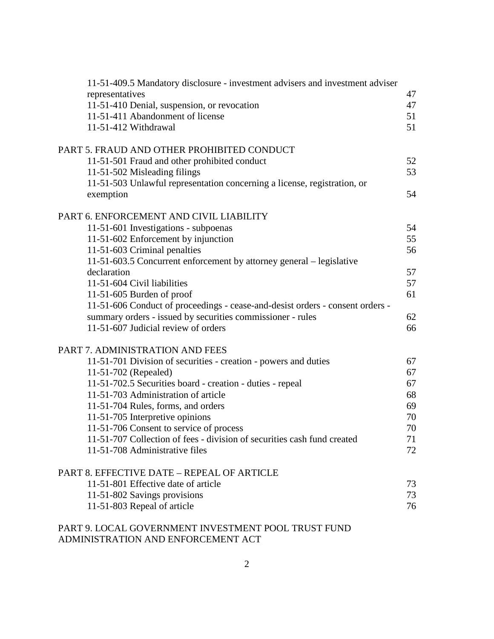| 11-51-409.5 Mandatory disclosure - investment advisers and investment adviser |    |
|-------------------------------------------------------------------------------|----|
| representatives                                                               | 47 |
| 11-51-410 Denial, suspension, or revocation                                   | 47 |
| 11-51-411 Abandonment of license                                              | 51 |
| 11-51-412 Withdrawal                                                          | 51 |
| PART 5. FRAUD AND OTHER PROHIBITED CONDUCT                                    |    |
| 11-51-501 Fraud and other prohibited conduct                                  | 52 |
| 11-51-502 Misleading filings                                                  | 53 |
| 11-51-503 Unlawful representation concerning a license, registration, or      |    |
| exemption                                                                     | 54 |
| PART 6. ENFORCEMENT AND CIVIL LIABILITY                                       |    |
| 11-51-601 Investigations - subpoenas                                          | 54 |
| 11-51-602 Enforcement by injunction                                           | 55 |
| 11-51-603 Criminal penalties                                                  | 56 |
| 11-51-603.5 Concurrent enforcement by attorney general – legislative          |    |
| declaration                                                                   | 57 |
| 11-51-604 Civil liabilities                                                   | 57 |
| 11-51-605 Burden of proof                                                     | 61 |
| 11-51-606 Conduct of proceedings - cease-and-desist orders - consent orders - |    |
| summary orders - issued by securities commissioner - rules                    | 62 |
| 11-51-607 Judicial review of orders                                           | 66 |
| PART 7. ADMINISTRATION AND FEES                                               |    |
| 11-51-701 Division of securities - creation - powers and duties               | 67 |
| 11-51-702 (Repealed)                                                          | 67 |
| 11-51-702.5 Securities board - creation - duties - repeal                     | 67 |
| 11-51-703 Administration of article                                           | 68 |
| 11-51-704 Rules, forms, and orders                                            | 69 |
| 11-51-705 Interpretive opinions                                               | 70 |
| 11-51-706 Consent to service of process                                       | 70 |
| 11-51-707 Collection of fees - division of securities cash fund created       | 71 |
| 11-51-708 Administrative files                                                | 72 |
| PART 8. EFFECTIVE DATE – REPEAL OF ARTICLE                                    |    |
| 11-51-801 Effective date of article                                           | 73 |
| 11-51-802 Savings provisions                                                  | 73 |
| 11-51-803 Repeal of article                                                   | 76 |
| PART 9. LOCAL GOVERNMENT INVESTMENT POOL TRUST FUND                           |    |

ADMINISTRATION AND ENFORCEMENT ACT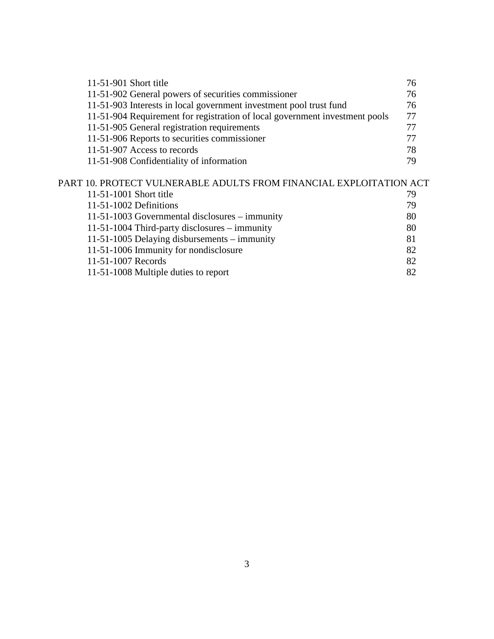| 11-51-901 Short title                                                       | 76 |
|-----------------------------------------------------------------------------|----|
| 11-51-902 General powers of securities commissioner                         | 76 |
| 11-51-903 Interests in local government investment pool trust fund          | 76 |
| 11-51-904 Requirement for registration of local government investment pools | 77 |
| 11-51-905 General registration requirements                                 | 77 |
| 11-51-906 Reports to securities commissioner                                | 77 |
| 11-51-907 Access to records                                                 | 78 |
| 11-51-908 Confidentiality of information                                    | 79 |
| PART 10. PROTECT VULNERABLE ADULTS FROM FINANCIAL EXPLOITATION ACT          |    |
| 11-51-1001 Short title                                                      | 79 |
| 11-51-1002 Definitions                                                      | 79 |
| 11-51-1003 Governmental disclosures – immunity                              | 80 |

| $11-51-1004$ Third-party disclosures – immunity | 80  |
|-------------------------------------------------|-----|
| 11-51-1005 Delaying disbursements $-$ immunity  | 81. |
| 11-51-1006 Immunity for nondisclosure           | 82  |
| 11-51-1007 Records                              | 82  |
| 11-51-1008 Multiple duties to report            | 82  |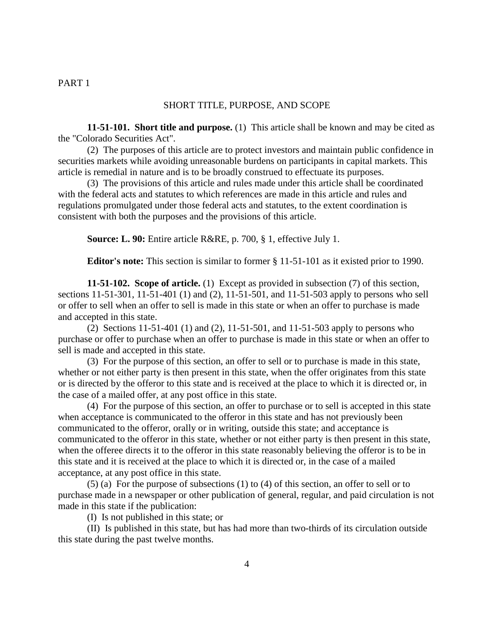#### PART 1

#### SHORT TITLE, PURPOSE, AND SCOPE

**11-51-101. Short title and purpose.** (1) This article shall be known and may be cited as the "Colorado Securities Act".

(2) The purposes of this article are to protect investors and maintain public confidence in securities markets while avoiding unreasonable burdens on participants in capital markets. This article is remedial in nature and is to be broadly construed to effectuate its purposes.

(3) The provisions of this article and rules made under this article shall be coordinated with the federal acts and statutes to which references are made in this article and rules and regulations promulgated under those federal acts and statutes, to the extent coordination is consistent with both the purposes and the provisions of this article.

**Source: L. 90:** Entire article R&RE, p. 700, § 1, effective July 1.

**Editor's note:** This section is similar to former § 11-51-101 as it existed prior to 1990.

**11-51-102. Scope of article.** (1) Except as provided in subsection (7) of this section, sections 11-51-301, 11-51-401 (1) and (2), 11-51-501, and 11-51-503 apply to persons who sell or offer to sell when an offer to sell is made in this state or when an offer to purchase is made and accepted in this state.

(2) Sections 11-51-401 (1) and (2), 11-51-501, and 11-51-503 apply to persons who purchase or offer to purchase when an offer to purchase is made in this state or when an offer to sell is made and accepted in this state.

(3) For the purpose of this section, an offer to sell or to purchase is made in this state, whether or not either party is then present in this state, when the offer originates from this state or is directed by the offeror to this state and is received at the place to which it is directed or, in the case of a mailed offer, at any post office in this state.

(4) For the purpose of this section, an offer to purchase or to sell is accepted in this state when acceptance is communicated to the offeror in this state and has not previously been communicated to the offeror, orally or in writing, outside this state; and acceptance is communicated to the offeror in this state, whether or not either party is then present in this state, when the offeree directs it to the offeror in this state reasonably believing the offeror is to be in this state and it is received at the place to which it is directed or, in the case of a mailed acceptance, at any post office in this state.

(5) (a) For the purpose of subsections (1) to (4) of this section, an offer to sell or to purchase made in a newspaper or other publication of general, regular, and paid circulation is not made in this state if the publication:

(I) Is not published in this state; or

(II) Is published in this state, but has had more than two-thirds of its circulation outside this state during the past twelve months.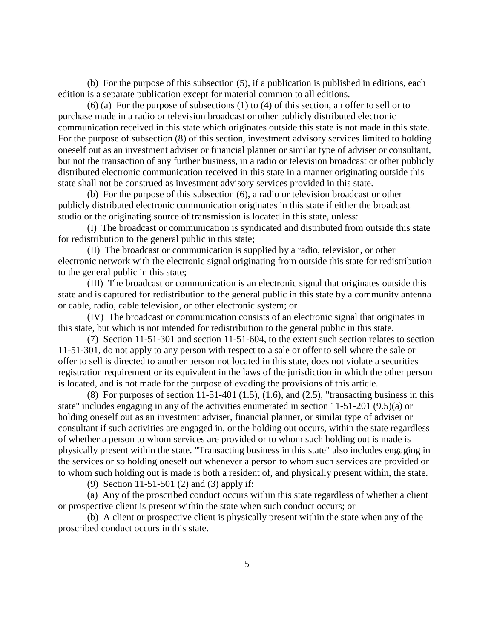(b) For the purpose of this subsection (5), if a publication is published in editions, each edition is a separate publication except for material common to all editions.

(6) (a) For the purpose of subsections (1) to (4) of this section, an offer to sell or to purchase made in a radio or television broadcast or other publicly distributed electronic communication received in this state which originates outside this state is not made in this state. For the purpose of subsection (8) of this section, investment advisory services limited to holding oneself out as an investment adviser or financial planner or similar type of adviser or consultant, but not the transaction of any further business, in a radio or television broadcast or other publicly distributed electronic communication received in this state in a manner originating outside this state shall not be construed as investment advisory services provided in this state.

(b) For the purpose of this subsection (6), a radio or television broadcast or other publicly distributed electronic communication originates in this state if either the broadcast studio or the originating source of transmission is located in this state, unless:

(I) The broadcast or communication is syndicated and distributed from outside this state for redistribution to the general public in this state;

(II) The broadcast or communication is supplied by a radio, television, or other electronic network with the electronic signal originating from outside this state for redistribution to the general public in this state;

(III) The broadcast or communication is an electronic signal that originates outside this state and is captured for redistribution to the general public in this state by a community antenna or cable, radio, cable television, or other electronic system; or

(IV) The broadcast or communication consists of an electronic signal that originates in this state, but which is not intended for redistribution to the general public in this state.

(7) Section 11-51-301 and section 11-51-604, to the extent such section relates to section 11-51-301, do not apply to any person with respect to a sale or offer to sell where the sale or offer to sell is directed to another person not located in this state, does not violate a securities registration requirement or its equivalent in the laws of the jurisdiction in which the other person is located, and is not made for the purpose of evading the provisions of this article.

(8) For purposes of section 11-51-401 (1.5), (1.6), and (2.5), "transacting business in this state" includes engaging in any of the activities enumerated in section 11-51-201 (9.5)(a) or holding oneself out as an investment adviser, financial planner, or similar type of adviser or consultant if such activities are engaged in, or the holding out occurs, within the state regardless of whether a person to whom services are provided or to whom such holding out is made is physically present within the state. "Transacting business in this state" also includes engaging in the services or so holding oneself out whenever a person to whom such services are provided or to whom such holding out is made is both a resident of, and physically present within, the state.

(9) Section 11-51-501 (2) and (3) apply if:

(a) Any of the proscribed conduct occurs within this state regardless of whether a client or prospective client is present within the state when such conduct occurs; or

(b) A client or prospective client is physically present within the state when any of the proscribed conduct occurs in this state.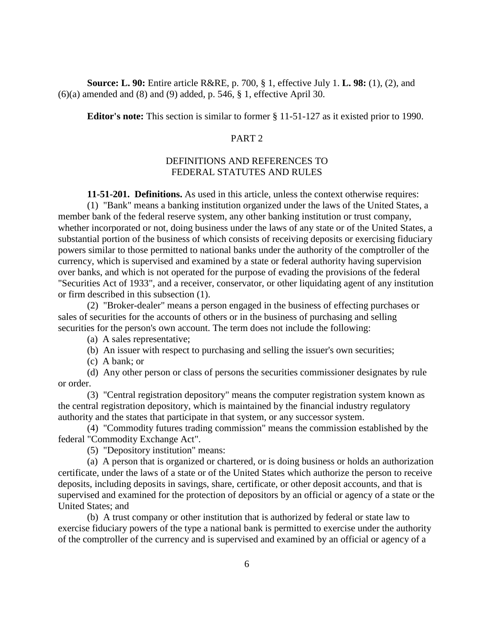**Source: L. 90:** Entire article R&RE, p. 700, § 1, effective July 1. **L. 98:** (1), (2), and  $(6)(a)$  amended and  $(8)$  and  $(9)$  added, p. 546, § 1, effective April 30.

**Editor's note:** This section is similar to former § 11-51-127 as it existed prior to 1990.

## PART 2

# DEFINITIONS AND REFERENCES TO FEDERAL STATUTES AND RULES

**11-51-201. Definitions.** As used in this article, unless the context otherwise requires:

(1) "Bank" means a banking institution organized under the laws of the United States, a member bank of the federal reserve system, any other banking institution or trust company, whether incorporated or not, doing business under the laws of any state or of the United States, a substantial portion of the business of which consists of receiving deposits or exercising fiduciary powers similar to those permitted to national banks under the authority of the comptroller of the currency, which is supervised and examined by a state or federal authority having supervision over banks, and which is not operated for the purpose of evading the provisions of the federal "Securities Act of 1933", and a receiver, conservator, or other liquidating agent of any institution or firm described in this subsection (1).

(2) "Broker-dealer" means a person engaged in the business of effecting purchases or sales of securities for the accounts of others or in the business of purchasing and selling securities for the person's own account. The term does not include the following:

(a) A sales representative;

- (b) An issuer with respect to purchasing and selling the issuer's own securities;
- (c) A bank; or

(d) Any other person or class of persons the securities commissioner designates by rule or order.

(3) "Central registration depository" means the computer registration system known as the central registration depository, which is maintained by the financial industry regulatory authority and the states that participate in that system, or any successor system.

(4) "Commodity futures trading commission" means the commission established by the federal "Commodity Exchange Act".

(5) "Depository institution" means:

(a) A person that is organized or chartered, or is doing business or holds an authorization certificate, under the laws of a state or of the United States which authorize the person to receive deposits, including deposits in savings, share, certificate, or other deposit accounts, and that is supervised and examined for the protection of depositors by an official or agency of a state or the United States; and

(b) A trust company or other institution that is authorized by federal or state law to exercise fiduciary powers of the type a national bank is permitted to exercise under the authority of the comptroller of the currency and is supervised and examined by an official or agency of a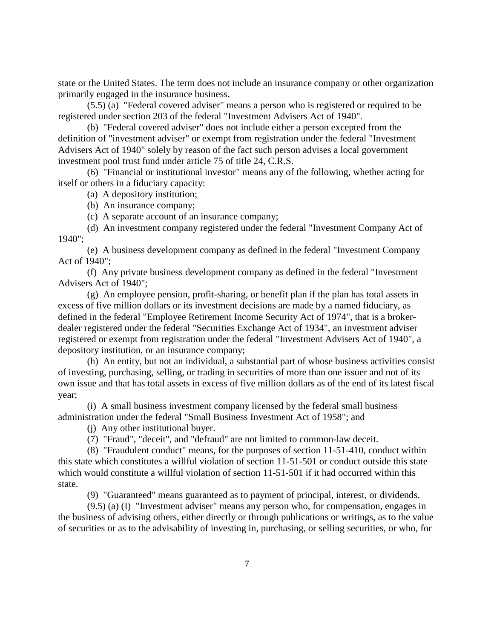state or the United States. The term does not include an insurance company or other organization primarily engaged in the insurance business.

(5.5) (a) "Federal covered adviser" means a person who is registered or required to be registered under section 203 of the federal "Investment Advisers Act of 1940".

(b) "Federal covered adviser" does not include either a person excepted from the definition of "investment adviser" or exempt from registration under the federal "Investment Advisers Act of 1940" solely by reason of the fact such person advises a local government investment pool trust fund under article 75 of title 24, C.R.S.

(6) "Financial or institutional investor" means any of the following, whether acting for itself or others in a fiduciary capacity:

(a) A depository institution;

(b) An insurance company;

(c) A separate account of an insurance company;

(d) An investment company registered under the federal "Investment Company Act of 1940";

(e) A business development company as defined in the federal "Investment Company Act of 1940";

(f) Any private business development company as defined in the federal "Investment Advisers Act of 1940";

(g) An employee pension, profit-sharing, or benefit plan if the plan has total assets in excess of five million dollars or its investment decisions are made by a named fiduciary, as defined in the federal "Employee Retirement Income Security Act of 1974", that is a brokerdealer registered under the federal "Securities Exchange Act of 1934", an investment adviser registered or exempt from registration under the federal "Investment Advisers Act of 1940", a depository institution, or an insurance company;

(h) An entity, but not an individual, a substantial part of whose business activities consist of investing, purchasing, selling, or trading in securities of more than one issuer and not of its own issue and that has total assets in excess of five million dollars as of the end of its latest fiscal year;

(i) A small business investment company licensed by the federal small business administration under the federal "Small Business Investment Act of 1958"; and

(j) Any other institutional buyer.

(7) "Fraud", "deceit", and "defraud" are not limited to common-law deceit.

(8) "Fraudulent conduct" means, for the purposes of section 11-51-410, conduct within this state which constitutes a willful violation of section 11-51-501 or conduct outside this state which would constitute a willful violation of section 11-51-501 if it had occurred within this state.

(9) "Guaranteed" means guaranteed as to payment of principal, interest, or dividends.

(9.5) (a) (I) "Investment adviser" means any person who, for compensation, engages in the business of advising others, either directly or through publications or writings, as to the value of securities or as to the advisability of investing in, purchasing, or selling securities, or who, for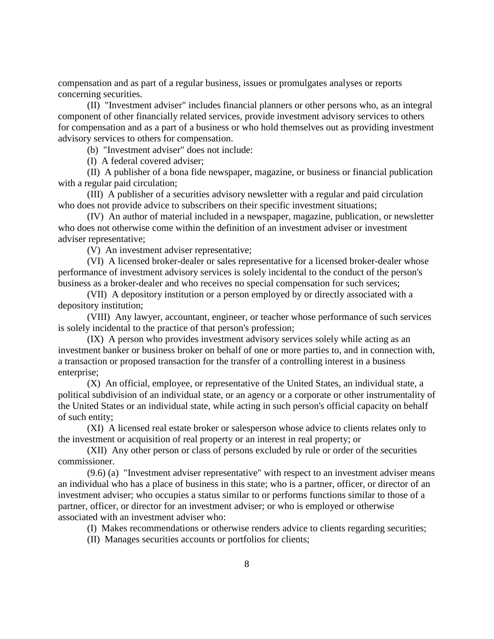compensation and as part of a regular business, issues or promulgates analyses or reports concerning securities.

(II) "Investment adviser" includes financial planners or other persons who, as an integral component of other financially related services, provide investment advisory services to others for compensation and as a part of a business or who hold themselves out as providing investment advisory services to others for compensation.

(b) "Investment adviser" does not include:

(I) A federal covered adviser;

(II) A publisher of a bona fide newspaper, magazine, or business or financial publication with a regular paid circulation;

(III) A publisher of a securities advisory newsletter with a regular and paid circulation who does not provide advice to subscribers on their specific investment situations;

(IV) An author of material included in a newspaper, magazine, publication, or newsletter who does not otherwise come within the definition of an investment adviser or investment adviser representative;

(V) An investment adviser representative;

(VI) A licensed broker-dealer or sales representative for a licensed broker-dealer whose performance of investment advisory services is solely incidental to the conduct of the person's business as a broker-dealer and who receives no special compensation for such services;

(VII) A depository institution or a person employed by or directly associated with a depository institution;

(VIII) Any lawyer, accountant, engineer, or teacher whose performance of such services is solely incidental to the practice of that person's profession;

(IX) A person who provides investment advisory services solely while acting as an investment banker or business broker on behalf of one or more parties to, and in connection with, a transaction or proposed transaction for the transfer of a controlling interest in a business enterprise;

(X) An official, employee, or representative of the United States, an individual state, a political subdivision of an individual state, or an agency or a corporate or other instrumentality of the United States or an individual state, while acting in such person's official capacity on behalf of such entity;

(XI) A licensed real estate broker or salesperson whose advice to clients relates only to the investment or acquisition of real property or an interest in real property; or

(XII) Any other person or class of persons excluded by rule or order of the securities commissioner.

(9.6) (a) "Investment adviser representative" with respect to an investment adviser means an individual who has a place of business in this state; who is a partner, officer, or director of an investment adviser; who occupies a status similar to or performs functions similar to those of a partner, officer, or director for an investment adviser; or who is employed or otherwise associated with an investment adviser who:

(I) Makes recommendations or otherwise renders advice to clients regarding securities;

(II) Manages securities accounts or portfolios for clients;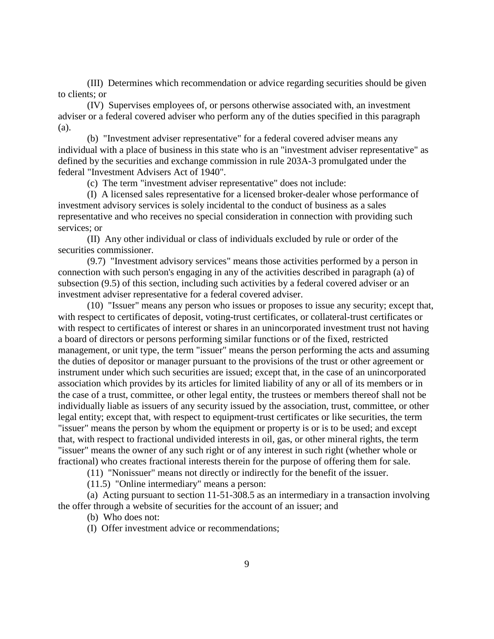(III) Determines which recommendation or advice regarding securities should be given to clients; or

(IV) Supervises employees of, or persons otherwise associated with, an investment adviser or a federal covered adviser who perform any of the duties specified in this paragraph (a).

(b) "Investment adviser representative" for a federal covered adviser means any individual with a place of business in this state who is an "investment adviser representative" as defined by the securities and exchange commission in rule 203A-3 promulgated under the federal "Investment Advisers Act of 1940".

(c) The term "investment adviser representative" does not include:

(I) A licensed sales representative for a licensed broker-dealer whose performance of investment advisory services is solely incidental to the conduct of business as a sales representative and who receives no special consideration in connection with providing such services; or

(II) Any other individual or class of individuals excluded by rule or order of the securities commissioner.

(9.7) "Investment advisory services" means those activities performed by a person in connection with such person's engaging in any of the activities described in paragraph (a) of subsection (9.5) of this section, including such activities by a federal covered adviser or an investment adviser representative for a federal covered adviser.

(10) "Issuer" means any person who issues or proposes to issue any security; except that, with respect to certificates of deposit, voting-trust certificates, or collateral-trust certificates or with respect to certificates of interest or shares in an unincorporated investment trust not having a board of directors or persons performing similar functions or of the fixed, restricted management, or unit type, the term "issuer" means the person performing the acts and assuming the duties of depositor or manager pursuant to the provisions of the trust or other agreement or instrument under which such securities are issued; except that, in the case of an unincorporated association which provides by its articles for limited liability of any or all of its members or in the case of a trust, committee, or other legal entity, the trustees or members thereof shall not be individually liable as issuers of any security issued by the association, trust, committee, or other legal entity; except that, with respect to equipment-trust certificates or like securities, the term "issuer" means the person by whom the equipment or property is or is to be used; and except that, with respect to fractional undivided interests in oil, gas, or other mineral rights, the term "issuer" means the owner of any such right or of any interest in such right (whether whole or fractional) who creates fractional interests therein for the purpose of offering them for sale.

(11) "Nonissuer" means not directly or indirectly for the benefit of the issuer.

(11.5) "Online intermediary" means a person:

(a) Acting pursuant to section 11-51-308.5 as an intermediary in a transaction involving the offer through a website of securities for the account of an issuer; and

(b) Who does not:

(I) Offer investment advice or recommendations;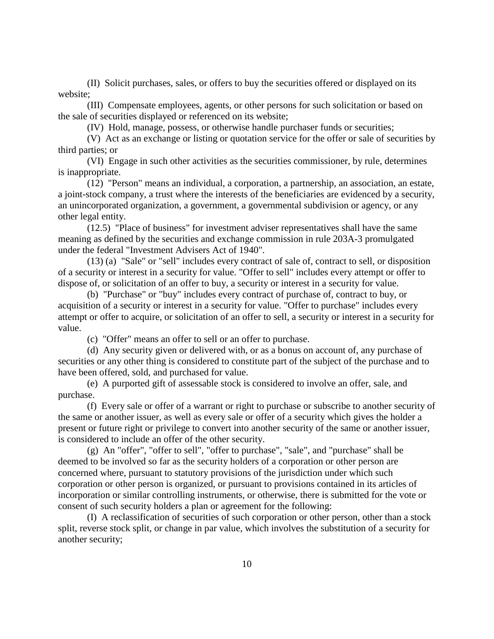(II) Solicit purchases, sales, or offers to buy the securities offered or displayed on its website;

(III) Compensate employees, agents, or other persons for such solicitation or based on the sale of securities displayed or referenced on its website;

(IV) Hold, manage, possess, or otherwise handle purchaser funds or securities;

(V) Act as an exchange or listing or quotation service for the offer or sale of securities by third parties; or

(VI) Engage in such other activities as the securities commissioner, by rule, determines is inappropriate.

(12) "Person" means an individual, a corporation, a partnership, an association, an estate, a joint-stock company, a trust where the interests of the beneficiaries are evidenced by a security, an unincorporated organization, a government, a governmental subdivision or agency, or any other legal entity.

(12.5) "Place of business" for investment adviser representatives shall have the same meaning as defined by the securities and exchange commission in rule 203A-3 promulgated under the federal "Investment Advisers Act of 1940".

(13) (a) "Sale" or "sell" includes every contract of sale of, contract to sell, or disposition of a security or interest in a security for value. "Offer to sell" includes every attempt or offer to dispose of, or solicitation of an offer to buy, a security or interest in a security for value.

(b) "Purchase" or "buy" includes every contract of purchase of, contract to buy, or acquisition of a security or interest in a security for value. "Offer to purchase" includes every attempt or offer to acquire, or solicitation of an offer to sell, a security or interest in a security for value.

(c) "Offer" means an offer to sell or an offer to purchase.

(d) Any security given or delivered with, or as a bonus on account of, any purchase of securities or any other thing is considered to constitute part of the subject of the purchase and to have been offered, sold, and purchased for value.

(e) A purported gift of assessable stock is considered to involve an offer, sale, and purchase.

(f) Every sale or offer of a warrant or right to purchase or subscribe to another security of the same or another issuer, as well as every sale or offer of a security which gives the holder a present or future right or privilege to convert into another security of the same or another issuer, is considered to include an offer of the other security.

(g) An "offer", "offer to sell", "offer to purchase", "sale", and "purchase" shall be deemed to be involved so far as the security holders of a corporation or other person are concerned where, pursuant to statutory provisions of the jurisdiction under which such corporation or other person is organized, or pursuant to provisions contained in its articles of incorporation or similar controlling instruments, or otherwise, there is submitted for the vote or consent of such security holders a plan or agreement for the following:

(I) A reclassification of securities of such corporation or other person, other than a stock split, reverse stock split, or change in par value, which involves the substitution of a security for another security;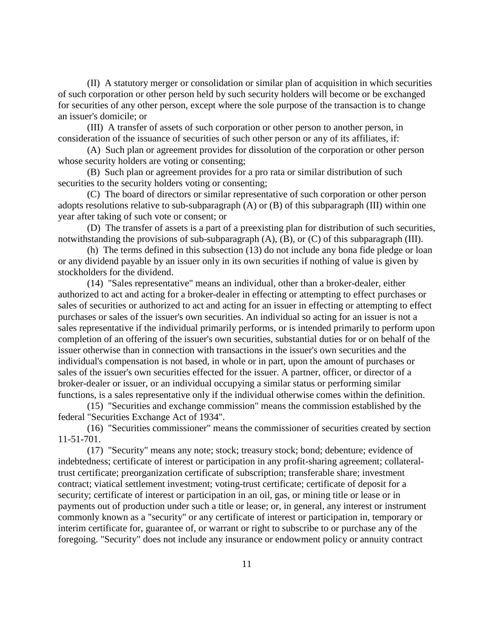(II) A statutory merger or consolidation or similar plan of acquisition in which securities of such corporation or other person held by such security holders will become or be exchanged for securities of any other person, except where the sole purpose of the transaction is to change an issuer's domicile; or

(III) A transfer of assets of such corporation or other person to another person, in consideration of the issuance of securities of such other person or any of its affiliates, if:

(A) Such plan or agreement provides for dissolution of the corporation or other person whose security holders are voting or consenting;

(B) Such plan or agreement provides for a pro rata or similar distribution of such securities to the security holders voting or consenting;

(C) The board of directors or similar representative of such corporation or other person adopts resolutions relative to sub-subparagraph (A) or (B) of this subparagraph (III) within one year after taking of such vote or consent; or

(D) The transfer of assets is a part of a preexisting plan for distribution of such securities, notwithstanding the provisions of sub-subparagraph (A), (B), or (C) of this subparagraph (III).

(h) The terms defined in this subsection (13) do not include any bona fide pledge or loan or any dividend payable by an issuer only in its own securities if nothing of value is given by stockholders for the dividend.

(14) "Sales representative" means an individual, other than a broker-dealer, either authorized to act and acting for a broker-dealer in effecting or attempting to effect purchases or sales of securities or authorized to act and acting for an issuer in effecting or attempting to effect purchases or sales of the issuer's own securities. An individual so acting for an issuer is not a sales representative if the individual primarily performs, or is intended primarily to perform upon completion of an offering of the issuer's own securities, substantial duties for or on behalf of the issuer otherwise than in connection with transactions in the issuer's own securities and the individual's compensation is not based, in whole or in part, upon the amount of purchases or sales of the issuer's own securities effected for the issuer. A partner, officer, or director of a broker-dealer or issuer, or an individual occupying a similar status or performing similar functions, is a sales representative only if the individual otherwise comes within the definition.

(15) "Securities and exchange commission" means the commission established by the federal "Securities Exchange Act of 1934".

(16) "Securities commissioner" means the commissioner of securities created by section 11-51-701.

(17) "Security" means any note; stock; treasury stock; bond; debenture; evidence of indebtedness; certificate of interest or participation in any profit-sharing agreement; collateraltrust certificate; preorganization certificate of subscription; transferable share; investment contract; viatical settlement investment; voting-trust certificate; certificate of deposit for a security; certificate of interest or participation in an oil, gas, or mining title or lease or in payments out of production under such a title or lease; or, in general, any interest or instrument commonly known as a "security" or any certificate of interest or participation in, temporary or interim certificate for, guarantee of, or warrant or right to subscribe to or purchase any of the foregoing. "Security" does not include any insurance or endowment policy or annuity contract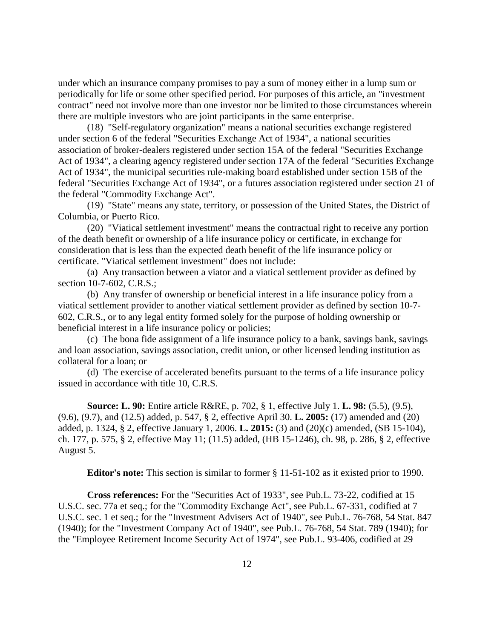under which an insurance company promises to pay a sum of money either in a lump sum or periodically for life or some other specified period. For purposes of this article, an "investment contract" need not involve more than one investor nor be limited to those circumstances wherein there are multiple investors who are joint participants in the same enterprise.

(18) "Self-regulatory organization" means a national securities exchange registered under section 6 of the federal "Securities Exchange Act of 1934", a national securities association of broker-dealers registered under section 15A of the federal "Securities Exchange Act of 1934", a clearing agency registered under section 17A of the federal "Securities Exchange Act of 1934", the municipal securities rule-making board established under section 15B of the federal "Securities Exchange Act of 1934", or a futures association registered under section 21 of the federal "Commodity Exchange Act".

(19) "State" means any state, territory, or possession of the United States, the District of Columbia, or Puerto Rico.

(20) "Viatical settlement investment" means the contractual right to receive any portion of the death benefit or ownership of a life insurance policy or certificate, in exchange for consideration that is less than the expected death benefit of the life insurance policy or certificate. "Viatical settlement investment" does not include:

(a) Any transaction between a viator and a viatical settlement provider as defined by section 10-7-602, C.R.S.;

(b) Any transfer of ownership or beneficial interest in a life insurance policy from a viatical settlement provider to another viatical settlement provider as defined by section 10-7- 602, C.R.S., or to any legal entity formed solely for the purpose of holding ownership or beneficial interest in a life insurance policy or policies;

(c) The bona fide assignment of a life insurance policy to a bank, savings bank, savings and loan association, savings association, credit union, or other licensed lending institution as collateral for a loan; or

(d) The exercise of accelerated benefits pursuant to the terms of a life insurance policy issued in accordance with title 10, C.R.S.

**Source: L. 90:** Entire article R&RE, p. 702, § 1, effective July 1. **L. 98:** (5.5), (9.5), (9.6), (9.7), and (12.5) added, p. 547, § 2, effective April 30. **L. 2005:** (17) amended and (20) added, p. 1324, § 2, effective January 1, 2006. **L. 2015:** (3) and (20)(c) amended, (SB 15-104), ch. 177, p. 575, § 2, effective May 11; (11.5) added, (HB 15-1246), ch. 98, p. 286, § 2, effective August 5.

**Editor's note:** This section is similar to former § 11-51-102 as it existed prior to 1990.

**Cross references:** For the "Securities Act of 1933", see Pub.L. 73-22, codified at 15 U.S.C. sec. 77a et seq.; for the "Commodity Exchange Act", see Pub.L. 67-331, codified at 7 U.S.C. sec. 1 et seq.; for the "Investment Advisers Act of 1940", see Pub.L. 76-768, 54 Stat. 847 (1940); for the "Investment Company Act of 1940", see Pub.L. 76-768, 54 Stat. 789 (1940); for the "Employee Retirement Income Security Act of 1974", see Pub.L. 93-406, codified at 29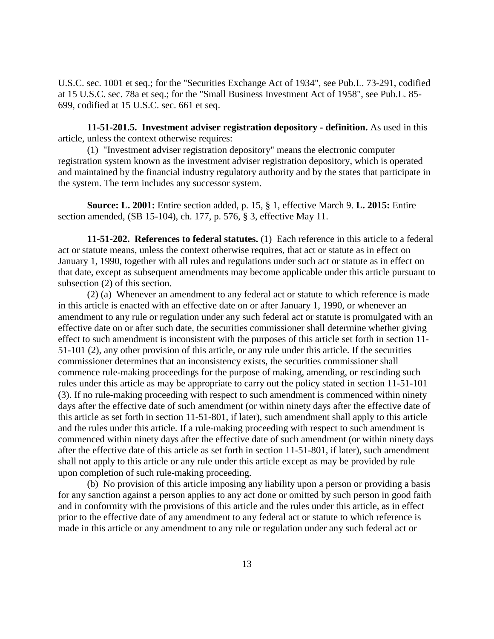U.S.C. sec. 1001 et seq.; for the "Securities Exchange Act of 1934", see Pub.L. 73-291, codified at 15 U.S.C. sec. 78a et seq.; for the "Small Business Investment Act of 1958", see Pub.L. 85- 699, codified at 15 U.S.C. sec. 661 et seq.

**11-51-201.5. Investment adviser registration depository - definition.** As used in this article, unless the context otherwise requires:

(1) "Investment adviser registration depository" means the electronic computer registration system known as the investment adviser registration depository, which is operated and maintained by the financial industry regulatory authority and by the states that participate in the system. The term includes any successor system.

**Source: L. 2001:** Entire section added, p. 15, § 1, effective March 9. **L. 2015:** Entire section amended, (SB 15-104), ch. 177, p. 576, § 3, effective May 11.

**11-51-202. References to federal statutes.** (1) Each reference in this article to a federal act or statute means, unless the context otherwise requires, that act or statute as in effect on January 1, 1990, together with all rules and regulations under such act or statute as in effect on that date, except as subsequent amendments may become applicable under this article pursuant to subsection (2) of this section.

(2) (a) Whenever an amendment to any federal act or statute to which reference is made in this article is enacted with an effective date on or after January 1, 1990, or whenever an amendment to any rule or regulation under any such federal act or statute is promulgated with an effective date on or after such date, the securities commissioner shall determine whether giving effect to such amendment is inconsistent with the purposes of this article set forth in section 11- 51-101 (2), any other provision of this article, or any rule under this article. If the securities commissioner determines that an inconsistency exists, the securities commissioner shall commence rule-making proceedings for the purpose of making, amending, or rescinding such rules under this article as may be appropriate to carry out the policy stated in section 11-51-101 (3). If no rule-making proceeding with respect to such amendment is commenced within ninety days after the effective date of such amendment (or within ninety days after the effective date of this article as set forth in section 11-51-801, if later), such amendment shall apply to this article and the rules under this article. If a rule-making proceeding with respect to such amendment is commenced within ninety days after the effective date of such amendment (or within ninety days after the effective date of this article as set forth in section 11-51-801, if later), such amendment shall not apply to this article or any rule under this article except as may be provided by rule upon completion of such rule-making proceeding.

(b) No provision of this article imposing any liability upon a person or providing a basis for any sanction against a person applies to any act done or omitted by such person in good faith and in conformity with the provisions of this article and the rules under this article, as in effect prior to the effective date of any amendment to any federal act or statute to which reference is made in this article or any amendment to any rule or regulation under any such federal act or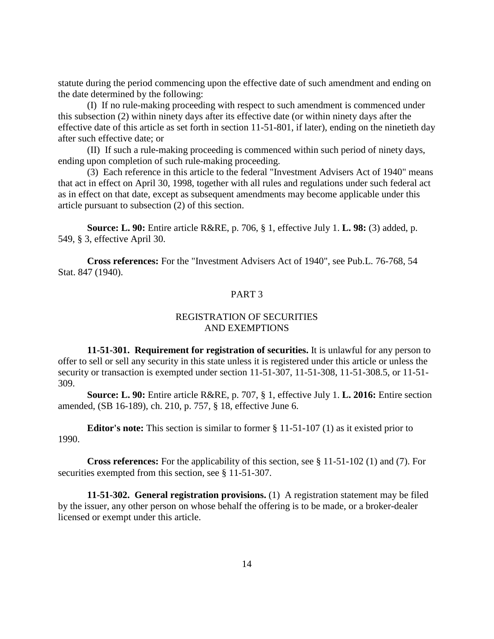statute during the period commencing upon the effective date of such amendment and ending on the date determined by the following:

(I) If no rule-making proceeding with respect to such amendment is commenced under this subsection (2) within ninety days after its effective date (or within ninety days after the effective date of this article as set forth in section 11-51-801, if later), ending on the ninetieth day after such effective date; or

(II) If such a rule-making proceeding is commenced within such period of ninety days, ending upon completion of such rule-making proceeding.

(3) Each reference in this article to the federal "Investment Advisers Act of 1940" means that act in effect on April 30, 1998, together with all rules and regulations under such federal act as in effect on that date, except as subsequent amendments may become applicable under this article pursuant to subsection (2) of this section.

**Source: L. 90:** Entire article R&RE, p. 706, § 1, effective July 1. **L. 98:** (3) added, p. 549, § 3, effective April 30.

**Cross references:** For the "Investment Advisers Act of 1940", see Pub.L. 76-768, 54 Stat. 847 (1940).

## PART 3

## REGISTRATION OF SECURITIES AND EXEMPTIONS

**11-51-301. Requirement for registration of securities.** It is unlawful for any person to offer to sell or sell any security in this state unless it is registered under this article or unless the security or transaction is exempted under section 11-51-307, 11-51-308, 11-51-308.5, or 11-51- 309.

**Source: L. 90:** Entire article R&RE, p. 707, § 1, effective July 1. **L. 2016:** Entire section amended, (SB 16-189), ch. 210, p. 757, § 18, effective June 6.

**Editor's note:** This section is similar to former § 11-51-107 (1) as it existed prior to 1990.

**Cross references:** For the applicability of this section, see § 11-51-102 (1) and (7). For securities exempted from this section, see § 11-51-307.

**11-51-302. General registration provisions.** (1) A registration statement may be filed by the issuer, any other person on whose behalf the offering is to be made, or a broker-dealer licensed or exempt under this article.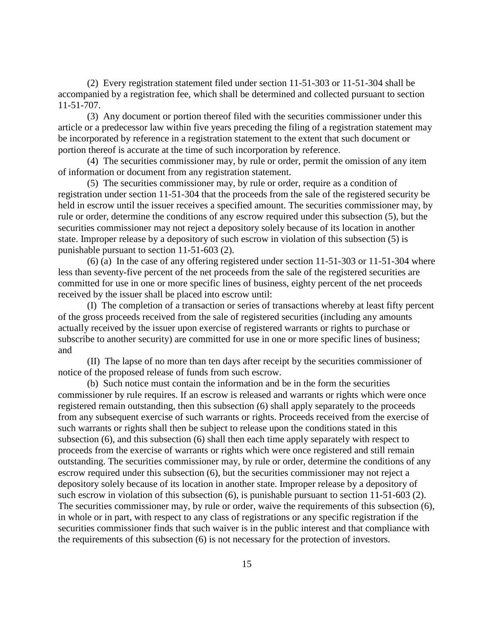(2) Every registration statement filed under section 11-51-303 or 11-51-304 shall be accompanied by a registration fee, which shall be determined and collected pursuant to section 11-51-707.

(3) Any document or portion thereof filed with the securities commissioner under this article or a predecessor law within five years preceding the filing of a registration statement may be incorporated by reference in a registration statement to the extent that such document or portion thereof is accurate at the time of such incorporation by reference.

(4) The securities commissioner may, by rule or order, permit the omission of any item of information or document from any registration statement.

(5) The securities commissioner may, by rule or order, require as a condition of registration under section 11-51-304 that the proceeds from the sale of the registered security be held in escrow until the issuer receives a specified amount. The securities commissioner may, by rule or order, determine the conditions of any escrow required under this subsection (5), but the securities commissioner may not reject a depository solely because of its location in another state. Improper release by a depository of such escrow in violation of this subsection (5) is punishable pursuant to section 11-51-603 (2).

(6) (a) In the case of any offering registered under section 11-51-303 or 11-51-304 where less than seventy-five percent of the net proceeds from the sale of the registered securities are committed for use in one or more specific lines of business, eighty percent of the net proceeds received by the issuer shall be placed into escrow until:

(I) The completion of a transaction or series of transactions whereby at least fifty percent of the gross proceeds received from the sale of registered securities (including any amounts actually received by the issuer upon exercise of registered warrants or rights to purchase or subscribe to another security) are committed for use in one or more specific lines of business; and

(II) The lapse of no more than ten days after receipt by the securities commissioner of notice of the proposed release of funds from such escrow.

(b) Such notice must contain the information and be in the form the securities commissioner by rule requires. If an escrow is released and warrants or rights which were once registered remain outstanding, then this subsection (6) shall apply separately to the proceeds from any subsequent exercise of such warrants or rights. Proceeds received from the exercise of such warrants or rights shall then be subject to release upon the conditions stated in this subsection (6), and this subsection (6) shall then each time apply separately with respect to proceeds from the exercise of warrants or rights which were once registered and still remain outstanding. The securities commissioner may, by rule or order, determine the conditions of any escrow required under this subsection (6), but the securities commissioner may not reject a depository solely because of its location in another state. Improper release by a depository of such escrow in violation of this subsection (6), is punishable pursuant to section 11-51-603 (2). The securities commissioner may, by rule or order, waive the requirements of this subsection (6), in whole or in part, with respect to any class of registrations or any specific registration if the securities commissioner finds that such waiver is in the public interest and that compliance with the requirements of this subsection (6) is not necessary for the protection of investors.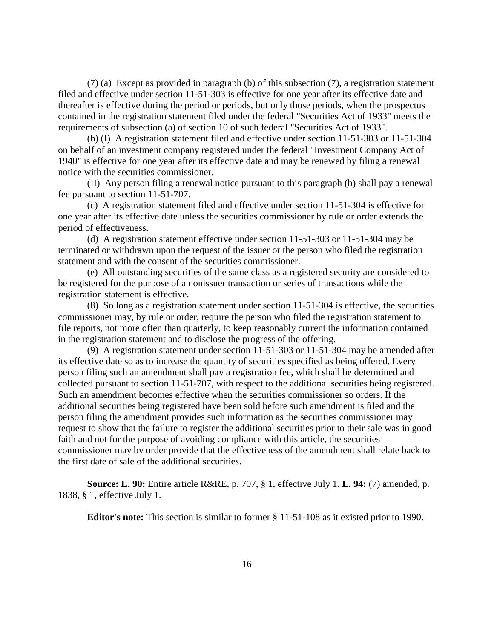(7) (a) Except as provided in paragraph (b) of this subsection (7), a registration statement filed and effective under section 11-51-303 is effective for one year after its effective date and thereafter is effective during the period or periods, but only those periods, when the prospectus contained in the registration statement filed under the federal "Securities Act of 1933" meets the requirements of subsection (a) of section 10 of such federal "Securities Act of 1933".

(b) (I) A registration statement filed and effective under section 11-51-303 or 11-51-304 on behalf of an investment company registered under the federal "Investment Company Act of 1940" is effective for one year after its effective date and may be renewed by filing a renewal notice with the securities commissioner.

(II) Any person filing a renewal notice pursuant to this paragraph (b) shall pay a renewal fee pursuant to section 11-51-707.

(c) A registration statement filed and effective under section 11-51-304 is effective for one year after its effective date unless the securities commissioner by rule or order extends the period of effectiveness.

(d) A registration statement effective under section 11-51-303 or 11-51-304 may be terminated or withdrawn upon the request of the issuer or the person who filed the registration statement and with the consent of the securities commissioner.

(e) All outstanding securities of the same class as a registered security are considered to be registered for the purpose of a nonissuer transaction or series of transactions while the registration statement is effective.

(8) So long as a registration statement under section 11-51-304 is effective, the securities commissioner may, by rule or order, require the person who filed the registration statement to file reports, not more often than quarterly, to keep reasonably current the information contained in the registration statement and to disclose the progress of the offering.

(9) A registration statement under section 11-51-303 or 11-51-304 may be amended after its effective date so as to increase the quantity of securities specified as being offered. Every person filing such an amendment shall pay a registration fee, which shall be determined and collected pursuant to section 11-51-707, with respect to the additional securities being registered. Such an amendment becomes effective when the securities commissioner so orders. If the additional securities being registered have been sold before such amendment is filed and the person filing the amendment provides such information as the securities commissioner may request to show that the failure to register the additional securities prior to their sale was in good faith and not for the purpose of avoiding compliance with this article, the securities commissioner may by order provide that the effectiveness of the amendment shall relate back to the first date of sale of the additional securities.

**Source: L. 90:** Entire article R&RE, p. 707, § 1, effective July 1. **L. 94:** (7) amended, p. 1838, § 1, effective July 1.

**Editor's note:** This section is similar to former § 11-51-108 as it existed prior to 1990.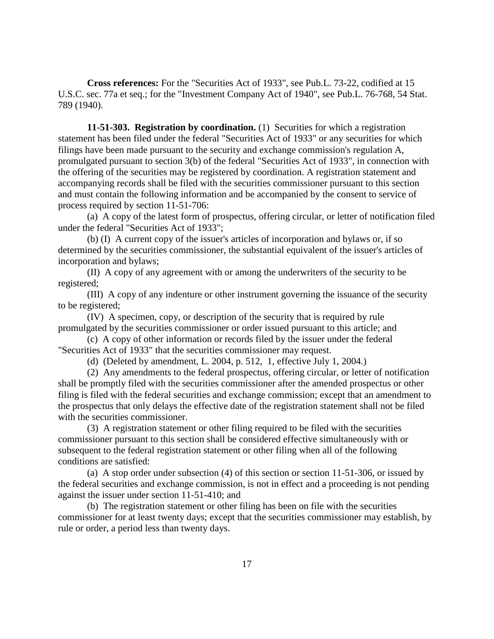**Cross references:** For the "Securities Act of 1933", see Pub.L. 73-22, codified at 15 U.S.C. sec. 77a et seq.; for the "Investment Company Act of 1940", see Pub.L. 76-768, 54 Stat. 789 (1940).

**11-51-303. Registration by coordination.** (1) Securities for which a registration statement has been filed under the federal "Securities Act of 1933" or any securities for which filings have been made pursuant to the security and exchange commission's regulation A, promulgated pursuant to section 3(b) of the federal "Securities Act of 1933", in connection with the offering of the securities may be registered by coordination. A registration statement and accompanying records shall be filed with the securities commissioner pursuant to this section and must contain the following information and be accompanied by the consent to service of process required by section 11-51-706:

(a) A copy of the latest form of prospectus, offering circular, or letter of notification filed under the federal "Securities Act of 1933";

(b) (I) A current copy of the issuer's articles of incorporation and bylaws or, if so determined by the securities commissioner, the substantial equivalent of the issuer's articles of incorporation and bylaws;

(II) A copy of any agreement with or among the underwriters of the security to be registered;

(III) A copy of any indenture or other instrument governing the issuance of the security to be registered;

(IV) A specimen, copy, or description of the security that is required by rule promulgated by the securities commissioner or order issued pursuant to this article; and

(c) A copy of other information or records filed by the issuer under the federal "Securities Act of 1933" that the securities commissioner may request.

(d) (Deleted by amendment, L. 2004, p. 512, 1, effective July 1, 2004.)

(2) Any amendments to the federal prospectus, offering circular, or letter of notification shall be promptly filed with the securities commissioner after the amended prospectus or other filing is filed with the federal securities and exchange commission; except that an amendment to the prospectus that only delays the effective date of the registration statement shall not be filed with the securities commissioner.

(3) A registration statement or other filing required to be filed with the securities commissioner pursuant to this section shall be considered effective simultaneously with or subsequent to the federal registration statement or other filing when all of the following conditions are satisfied:

(a) A stop order under subsection (4) of this section or section 11-51-306, or issued by the federal securities and exchange commission, is not in effect and a proceeding is not pending against the issuer under section 11-51-410; and

(b) The registration statement or other filing has been on file with the securities commissioner for at least twenty days; except that the securities commissioner may establish, by rule or order, a period less than twenty days.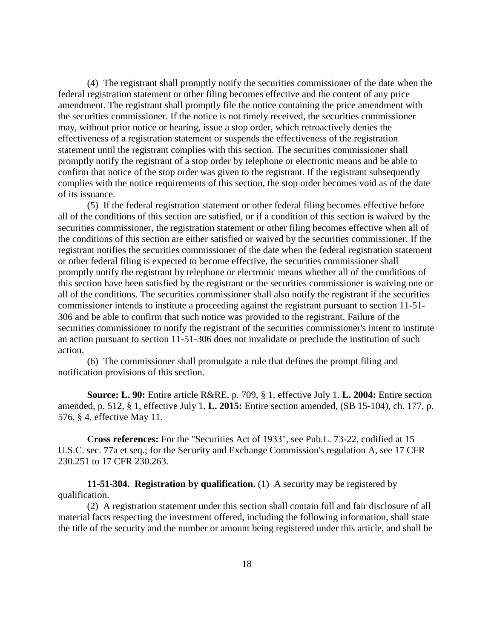(4) The registrant shall promptly notify the securities commissioner of the date when the federal registration statement or other filing becomes effective and the content of any price amendment. The registrant shall promptly file the notice containing the price amendment with the securities commissioner. If the notice is not timely received, the securities commissioner may, without prior notice or hearing, issue a stop order, which retroactively denies the effectiveness of a registration statement or suspends the effectiveness of the registration statement until the registrant complies with this section. The securities commissioner shall promptly notify the registrant of a stop order by telephone or electronic means and be able to confirm that notice of the stop order was given to the registrant. If the registrant subsequently complies with the notice requirements of this section, the stop order becomes void as of the date of its issuance.

(5) If the federal registration statement or other federal filing becomes effective before all of the conditions of this section are satisfied, or if a condition of this section is waived by the securities commissioner, the registration statement or other filing becomes effective when all of the conditions of this section are either satisfied or waived by the securities commissioner. If the registrant notifies the securities commissioner of the date when the federal registration statement or other federal filing is expected to become effective, the securities commissioner shall promptly notify the registrant by telephone or electronic means whether all of the conditions of this section have been satisfied by the registrant or the securities commissioner is waiving one or all of the conditions. The securities commissioner shall also notify the registrant if the securities commissioner intends to institute a proceeding against the registrant pursuant to section 11-51- 306 and be able to confirm that such notice was provided to the registrant. Failure of the securities commissioner to notify the registrant of the securities commissioner's intent to institute an action pursuant to section 11-51-306 does not invalidate or preclude the institution of such action.

(6) The commissioner shall promulgate a rule that defines the prompt filing and notification provisions of this section.

**Source: L. 90:** Entire article R&RE, p. 709, § 1, effective July 1. **L. 2004:** Entire section amended, p. 512, § 1, effective July 1. **L. 2015:** Entire section amended, (SB 15-104), ch. 177, p. 576, § 4, effective May 11.

**Cross references:** For the "Securities Act of 1933", see Pub.L. 73-22, codified at 15 U.S.C. sec. 77a et seq.; for the Security and Exchange Commission's regulation A, see 17 CFR 230.251 to 17 CFR 230.263.

**11-51-304. Registration by qualification.** (1) A security may be registered by qualification.

(2) A registration statement under this section shall contain full and fair disclosure of all material facts respecting the investment offered, including the following information, shall state the title of the security and the number or amount being registered under this article, and shall be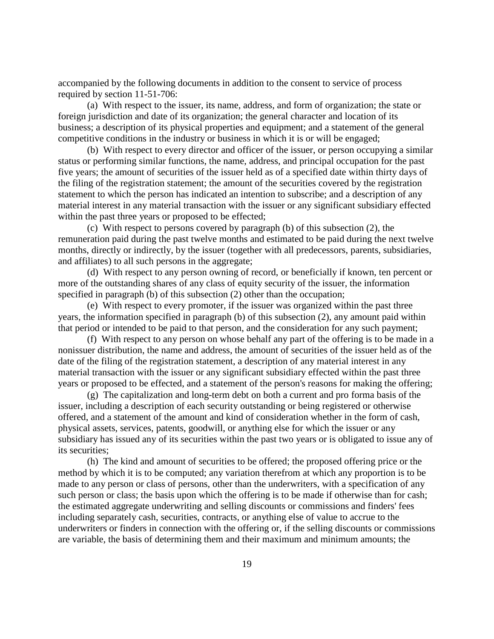accompanied by the following documents in addition to the consent to service of process required by section 11-51-706:

(a) With respect to the issuer, its name, address, and form of organization; the state or foreign jurisdiction and date of its organization; the general character and location of its business; a description of its physical properties and equipment; and a statement of the general competitive conditions in the industry or business in which it is or will be engaged;

(b) With respect to every director and officer of the issuer, or person occupying a similar status or performing similar functions, the name, address, and principal occupation for the past five years; the amount of securities of the issuer held as of a specified date within thirty days of the filing of the registration statement; the amount of the securities covered by the registration statement to which the person has indicated an intention to subscribe; and a description of any material interest in any material transaction with the issuer or any significant subsidiary effected within the past three years or proposed to be effected;

(c) With respect to persons covered by paragraph (b) of this subsection (2), the remuneration paid during the past twelve months and estimated to be paid during the next twelve months, directly or indirectly, by the issuer (together with all predecessors, parents, subsidiaries, and affiliates) to all such persons in the aggregate;

(d) With respect to any person owning of record, or beneficially if known, ten percent or more of the outstanding shares of any class of equity security of the issuer, the information specified in paragraph (b) of this subsection (2) other than the occupation;

(e) With respect to every promoter, if the issuer was organized within the past three years, the information specified in paragraph (b) of this subsection (2), any amount paid within that period or intended to be paid to that person, and the consideration for any such payment;

(f) With respect to any person on whose behalf any part of the offering is to be made in a nonissuer distribution, the name and address, the amount of securities of the issuer held as of the date of the filing of the registration statement, a description of any material interest in any material transaction with the issuer or any significant subsidiary effected within the past three years or proposed to be effected, and a statement of the person's reasons for making the offering;

(g) The capitalization and long-term debt on both a current and pro forma basis of the issuer, including a description of each security outstanding or being registered or otherwise offered, and a statement of the amount and kind of consideration whether in the form of cash, physical assets, services, patents, goodwill, or anything else for which the issuer or any subsidiary has issued any of its securities within the past two years or is obligated to issue any of its securities;

(h) The kind and amount of securities to be offered; the proposed offering price or the method by which it is to be computed; any variation therefrom at which any proportion is to be made to any person or class of persons, other than the underwriters, with a specification of any such person or class; the basis upon which the offering is to be made if otherwise than for cash; the estimated aggregate underwriting and selling discounts or commissions and finders' fees including separately cash, securities, contracts, or anything else of value to accrue to the underwriters or finders in connection with the offering or, if the selling discounts or commissions are variable, the basis of determining them and their maximum and minimum amounts; the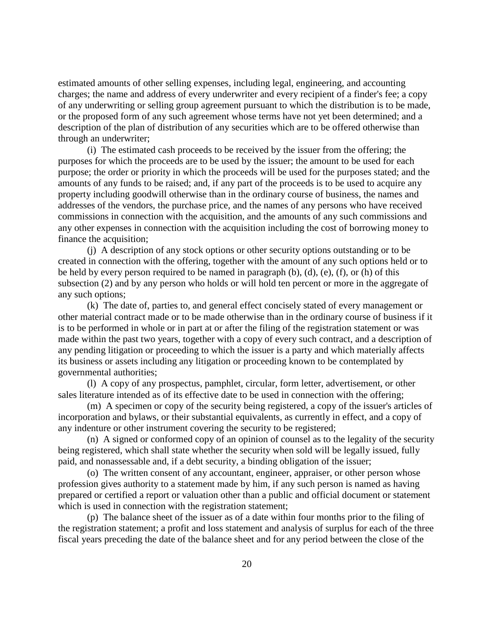estimated amounts of other selling expenses, including legal, engineering, and accounting charges; the name and address of every underwriter and every recipient of a finder's fee; a copy of any underwriting or selling group agreement pursuant to which the distribution is to be made, or the proposed form of any such agreement whose terms have not yet been determined; and a description of the plan of distribution of any securities which are to be offered otherwise than through an underwriter;

(i) The estimated cash proceeds to be received by the issuer from the offering; the purposes for which the proceeds are to be used by the issuer; the amount to be used for each purpose; the order or priority in which the proceeds will be used for the purposes stated; and the amounts of any funds to be raised; and, if any part of the proceeds is to be used to acquire any property including goodwill otherwise than in the ordinary course of business, the names and addresses of the vendors, the purchase price, and the names of any persons who have received commissions in connection with the acquisition, and the amounts of any such commissions and any other expenses in connection with the acquisition including the cost of borrowing money to finance the acquisition;

(j) A description of any stock options or other security options outstanding or to be created in connection with the offering, together with the amount of any such options held or to be held by every person required to be named in paragraph (b), (d), (e), (f), or (h) of this subsection (2) and by any person who holds or will hold ten percent or more in the aggregate of any such options;

(k) The date of, parties to, and general effect concisely stated of every management or other material contract made or to be made otherwise than in the ordinary course of business if it is to be performed in whole or in part at or after the filing of the registration statement or was made within the past two years, together with a copy of every such contract, and a description of any pending litigation or proceeding to which the issuer is a party and which materially affects its business or assets including any litigation or proceeding known to be contemplated by governmental authorities;

(l) A copy of any prospectus, pamphlet, circular, form letter, advertisement, or other sales literature intended as of its effective date to be used in connection with the offering;

(m) A specimen or copy of the security being registered, a copy of the issuer's articles of incorporation and bylaws, or their substantial equivalents, as currently in effect, and a copy of any indenture or other instrument covering the security to be registered;

(n) A signed or conformed copy of an opinion of counsel as to the legality of the security being registered, which shall state whether the security when sold will be legally issued, fully paid, and nonassessable and, if a debt security, a binding obligation of the issuer;

(o) The written consent of any accountant, engineer, appraiser, or other person whose profession gives authority to a statement made by him, if any such person is named as having prepared or certified a report or valuation other than a public and official document or statement which is used in connection with the registration statement;

(p) The balance sheet of the issuer as of a date within four months prior to the filing of the registration statement; a profit and loss statement and analysis of surplus for each of the three fiscal years preceding the date of the balance sheet and for any period between the close of the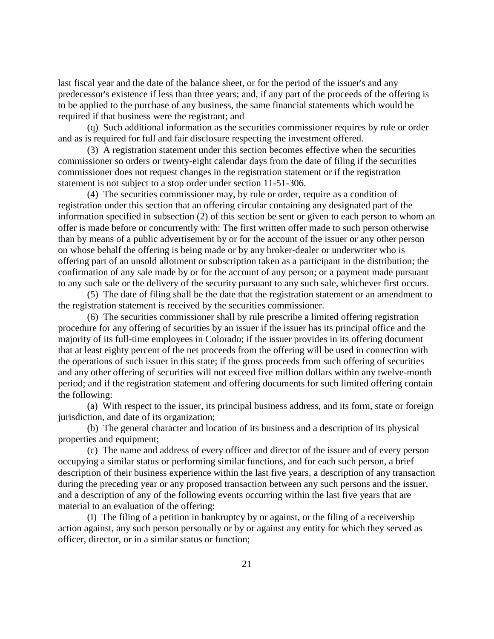last fiscal year and the date of the balance sheet, or for the period of the issuer's and any predecessor's existence if less than three years; and, if any part of the proceeds of the offering is to be applied to the purchase of any business, the same financial statements which would be required if that business were the registrant; and

(q) Such additional information as the securities commissioner requires by rule or order and as is required for full and fair disclosure respecting the investment offered.

(3) A registration statement under this section becomes effective when the securities commissioner so orders or twenty-eight calendar days from the date of filing if the securities commissioner does not request changes in the registration statement or if the registration statement is not subject to a stop order under section 11-51-306.

(4) The securities commissioner may, by rule or order, require as a condition of registration under this section that an offering circular containing any designated part of the information specified in subsection (2) of this section be sent or given to each person to whom an offer is made before or concurrently with: The first written offer made to such person otherwise than by means of a public advertisement by or for the account of the issuer or any other person on whose behalf the offering is being made or by any broker-dealer or underwriter who is offering part of an unsold allotment or subscription taken as a participant in the distribution; the confirmation of any sale made by or for the account of any person; or a payment made pursuant to any such sale or the delivery of the security pursuant to any such sale, whichever first occurs.

(5) The date of filing shall be the date that the registration statement or an amendment to the registration statement is received by the securities commissioner.

(6) The securities commissioner shall by rule prescribe a limited offering registration procedure for any offering of securities by an issuer if the issuer has its principal office and the majority of its full-time employees in Colorado; if the issuer provides in its offering document that at least eighty percent of the net proceeds from the offering will be used in connection with the operations of such issuer in this state; if the gross proceeds from such offering of securities and any other offering of securities will not exceed five million dollars within any twelve-month period; and if the registration statement and offering documents for such limited offering contain the following:

(a) With respect to the issuer, its principal business address, and its form, state or foreign jurisdiction, and date of its organization;

(b) The general character and location of its business and a description of its physical properties and equipment;

(c) The name and address of every officer and director of the issuer and of every person occupying a similar status or performing similar functions, and for each such person, a brief description of their business experience within the last five years, a description of any transaction during the preceding year or any proposed transaction between any such persons and the issuer, and a description of any of the following events occurring within the last five years that are material to an evaluation of the offering:

(I) The filing of a petition in bankruptcy by or against, or the filing of a receivership action against, any such person personally or by or against any entity for which they served as officer, director, or in a similar status or function;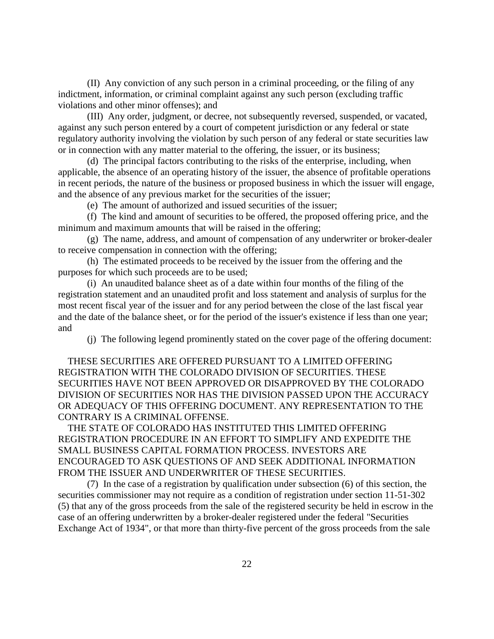(II) Any conviction of any such person in a criminal proceeding, or the filing of any indictment, information, or criminal complaint against any such person (excluding traffic violations and other minor offenses); and

(III) Any order, judgment, or decree, not subsequently reversed, suspended, or vacated, against any such person entered by a court of competent jurisdiction or any federal or state regulatory authority involving the violation by such person of any federal or state securities law or in connection with any matter material to the offering, the issuer, or its business;

(d) The principal factors contributing to the risks of the enterprise, including, when applicable, the absence of an operating history of the issuer, the absence of profitable operations in recent periods, the nature of the business or proposed business in which the issuer will engage, and the absence of any previous market for the securities of the issuer;

(e) The amount of authorized and issued securities of the issuer;

(f) The kind and amount of securities to be offered, the proposed offering price, and the minimum and maximum amounts that will be raised in the offering;

(g) The name, address, and amount of compensation of any underwriter or broker-dealer to receive compensation in connection with the offering;

(h) The estimated proceeds to be received by the issuer from the offering and the purposes for which such proceeds are to be used;

(i) An unaudited balance sheet as of a date within four months of the filing of the registration statement and an unaudited profit and loss statement and analysis of surplus for the most recent fiscal year of the issuer and for any period between the close of the last fiscal year and the date of the balance sheet, or for the period of the issuer's existence if less than one year; and

(j) The following legend prominently stated on the cover page of the offering document:

 THESE SECURITIES ARE OFFERED PURSUANT TO A LIMITED OFFERING REGISTRATION WITH THE COLORADO DIVISION OF SECURITIES. THESE SECURITIES HAVE NOT BEEN APPROVED OR DISAPPROVED BY THE COLORADO DIVISION OF SECURITIES NOR HAS THE DIVISION PASSED UPON THE ACCURACY OR ADEQUACY OF THIS OFFERING DOCUMENT. ANY REPRESENTATION TO THE CONTRARY IS A CRIMINAL OFFENSE.

 THE STATE OF COLORADO HAS INSTITUTED THIS LIMITED OFFERING REGISTRATION PROCEDURE IN AN EFFORT TO SIMPLIFY AND EXPEDITE THE SMALL BUSINESS CAPITAL FORMATION PROCESS. INVESTORS ARE ENCOURAGED TO ASK QUESTIONS OF AND SEEK ADDITIONAL INFORMATION FROM THE ISSUER AND UNDERWRITER OF THESE SECURITIES.

(7) In the case of a registration by qualification under subsection (6) of this section, the securities commissioner may not require as a condition of registration under section 11-51-302 (5) that any of the gross proceeds from the sale of the registered security be held in escrow in the case of an offering underwritten by a broker-dealer registered under the federal "Securities Exchange Act of 1934", or that more than thirty-five percent of the gross proceeds from the sale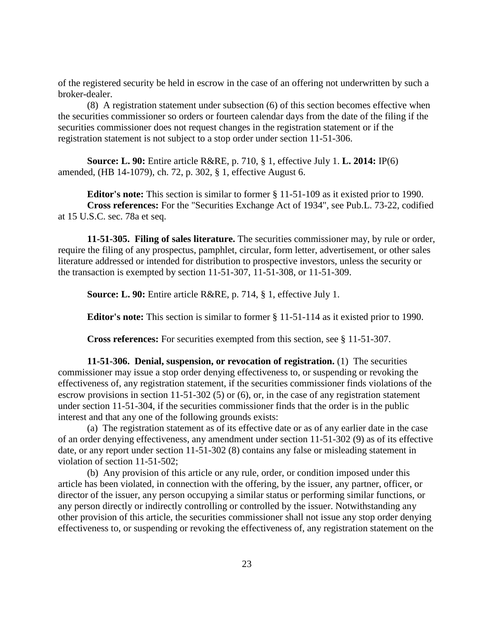of the registered security be held in escrow in the case of an offering not underwritten by such a broker-dealer.

(8) A registration statement under subsection (6) of this section becomes effective when the securities commissioner so orders or fourteen calendar days from the date of the filing if the securities commissioner does not request changes in the registration statement or if the registration statement is not subject to a stop order under section 11-51-306.

**Source: L. 90:** Entire article R&RE, p. 710, § 1, effective July 1. **L. 2014:** IP(6) amended, (HB 14-1079), ch. 72, p. 302, § 1, effective August 6.

**Editor's note:** This section is similar to former § 11-51-109 as it existed prior to 1990. **Cross references:** For the "Securities Exchange Act of 1934", see Pub.L. 73-22, codified at 15 U.S.C. sec. 78a et seq.

**11-51-305. Filing of sales literature.** The securities commissioner may, by rule or order, require the filing of any prospectus, pamphlet, circular, form letter, advertisement, or other sales literature addressed or intended for distribution to prospective investors, unless the security or the transaction is exempted by section 11-51-307, 11-51-308, or 11-51-309.

**Source: L. 90:** Entire article R&RE, p. 714, § 1, effective July 1.

**Editor's note:** This section is similar to former § 11-51-114 as it existed prior to 1990.

**Cross references:** For securities exempted from this section, see § 11-51-307.

**11-51-306. Denial, suspension, or revocation of registration.** (1) The securities commissioner may issue a stop order denying effectiveness to, or suspending or revoking the effectiveness of, any registration statement, if the securities commissioner finds violations of the escrow provisions in section 11-51-302 (5) or (6), or, in the case of any registration statement under section 11-51-304, if the securities commissioner finds that the order is in the public interest and that any one of the following grounds exists:

(a) The registration statement as of its effective date or as of any earlier date in the case of an order denying effectiveness, any amendment under section 11-51-302 (9) as of its effective date, or any report under section 11-51-302 (8) contains any false or misleading statement in violation of section 11-51-502;

(b) Any provision of this article or any rule, order, or condition imposed under this article has been violated, in connection with the offering, by the issuer, any partner, officer, or director of the issuer, any person occupying a similar status or performing similar functions, or any person directly or indirectly controlling or controlled by the issuer. Notwithstanding any other provision of this article, the securities commissioner shall not issue any stop order denying effectiveness to, or suspending or revoking the effectiveness of, any registration statement on the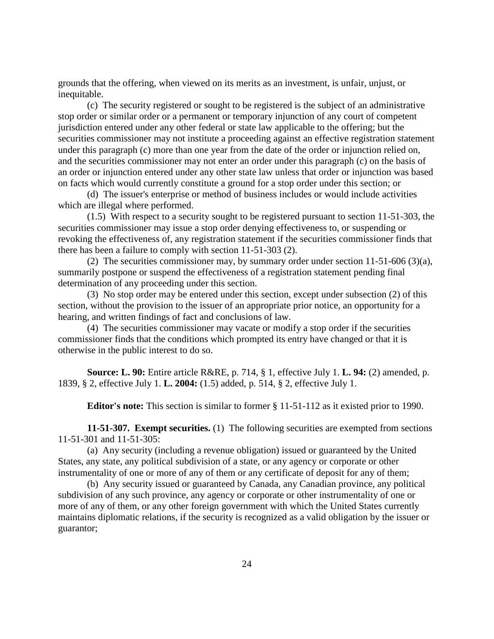grounds that the offering, when viewed on its merits as an investment, is unfair, unjust, or inequitable.

(c) The security registered or sought to be registered is the subject of an administrative stop order or similar order or a permanent or temporary injunction of any court of competent jurisdiction entered under any other federal or state law applicable to the offering; but the securities commissioner may not institute a proceeding against an effective registration statement under this paragraph (c) more than one year from the date of the order or injunction relied on, and the securities commissioner may not enter an order under this paragraph (c) on the basis of an order or injunction entered under any other state law unless that order or injunction was based on facts which would currently constitute a ground for a stop order under this section; or

(d) The issuer's enterprise or method of business includes or would include activities which are illegal where performed.

(1.5) With respect to a security sought to be registered pursuant to section 11-51-303, the securities commissioner may issue a stop order denying effectiveness to, or suspending or revoking the effectiveness of, any registration statement if the securities commissioner finds that there has been a failure to comply with section 11-51-303 (2).

(2) The securities commissioner may, by summary order under section  $11-51-606$  (3)(a), summarily postpone or suspend the effectiveness of a registration statement pending final determination of any proceeding under this section.

(3) No stop order may be entered under this section, except under subsection (2) of this section, without the provision to the issuer of an appropriate prior notice, an opportunity for a hearing, and written findings of fact and conclusions of law.

(4) The securities commissioner may vacate or modify a stop order if the securities commissioner finds that the conditions which prompted its entry have changed or that it is otherwise in the public interest to do so.

**Source: L. 90:** Entire article R&RE, p. 714, § 1, effective July 1. **L. 94:** (2) amended, p. 1839, § 2, effective July 1. **L. 2004:** (1.5) added, p. 514, § 2, effective July 1.

**Editor's note:** This section is similar to former § 11-51-112 as it existed prior to 1990.

**11-51-307. Exempt securities.** (1) The following securities are exempted from sections 11-51-301 and 11-51-305:

(a) Any security (including a revenue obligation) issued or guaranteed by the United States, any state, any political subdivision of a state, or any agency or corporate or other instrumentality of one or more of any of them or any certificate of deposit for any of them;

(b) Any security issued or guaranteed by Canada, any Canadian province, any political subdivision of any such province, any agency or corporate or other instrumentality of one or more of any of them, or any other foreign government with which the United States currently maintains diplomatic relations, if the security is recognized as a valid obligation by the issuer or guarantor;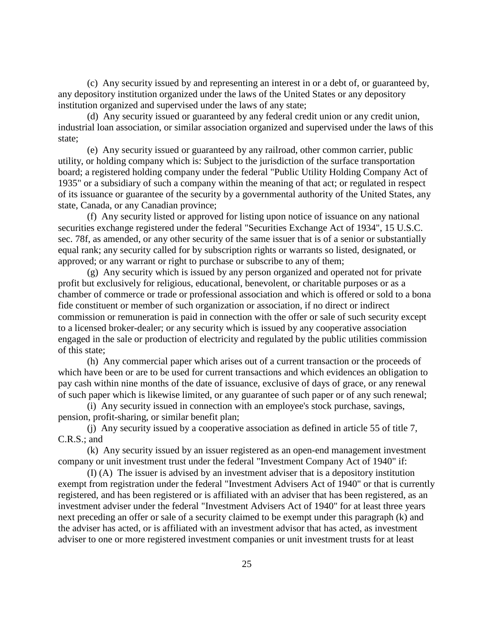(c) Any security issued by and representing an interest in or a debt of, or guaranteed by, any depository institution organized under the laws of the United States or any depository institution organized and supervised under the laws of any state;

(d) Any security issued or guaranteed by any federal credit union or any credit union, industrial loan association, or similar association organized and supervised under the laws of this state;

(e) Any security issued or guaranteed by any railroad, other common carrier, public utility, or holding company which is: Subject to the jurisdiction of the surface transportation board; a registered holding company under the federal "Public Utility Holding Company Act of 1935" or a subsidiary of such a company within the meaning of that act; or regulated in respect of its issuance or guarantee of the security by a governmental authority of the United States, any state, Canada, or any Canadian province;

(f) Any security listed or approved for listing upon notice of issuance on any national securities exchange registered under the federal "Securities Exchange Act of 1934", 15 U.S.C. sec. 78f, as amended, or any other security of the same issuer that is of a senior or substantially equal rank; any security called for by subscription rights or warrants so listed, designated, or approved; or any warrant or right to purchase or subscribe to any of them;

(g) Any security which is issued by any person organized and operated not for private profit but exclusively for religious, educational, benevolent, or charitable purposes or as a chamber of commerce or trade or professional association and which is offered or sold to a bona fide constituent or member of such organization or association, if no direct or indirect commission or remuneration is paid in connection with the offer or sale of such security except to a licensed broker-dealer; or any security which is issued by any cooperative association engaged in the sale or production of electricity and regulated by the public utilities commission of this state;

(h) Any commercial paper which arises out of a current transaction or the proceeds of which have been or are to be used for current transactions and which evidences an obligation to pay cash within nine months of the date of issuance, exclusive of days of grace, or any renewal of such paper which is likewise limited, or any guarantee of such paper or of any such renewal;

(i) Any security issued in connection with an employee's stock purchase, savings, pension, profit-sharing, or similar benefit plan;

(j) Any security issued by a cooperative association as defined in article 55 of title 7, C.R.S.; and

(k) Any security issued by an issuer registered as an open-end management investment company or unit investment trust under the federal "Investment Company Act of 1940" if:

(I) (A) The issuer is advised by an investment adviser that is a depository institution exempt from registration under the federal "Investment Advisers Act of 1940" or that is currently registered, and has been registered or is affiliated with an adviser that has been registered, as an investment adviser under the federal "Investment Advisers Act of 1940" for at least three years next preceding an offer or sale of a security claimed to be exempt under this paragraph (k) and the adviser has acted, or is affiliated with an investment advisor that has acted, as investment adviser to one or more registered investment companies or unit investment trusts for at least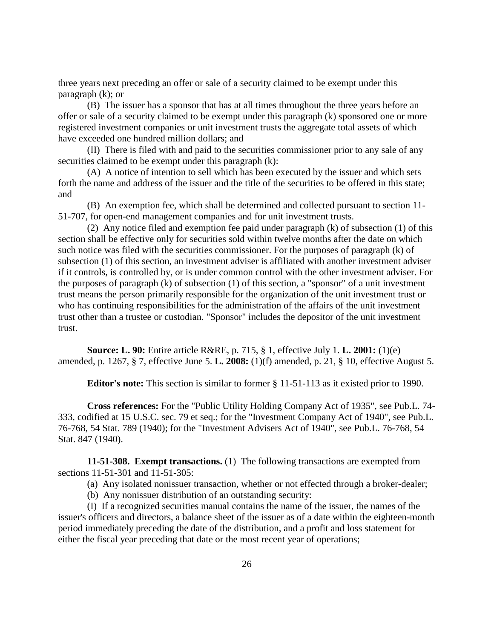three years next preceding an offer or sale of a security claimed to be exempt under this paragraph (k); or

(B) The issuer has a sponsor that has at all times throughout the three years before an offer or sale of a security claimed to be exempt under this paragraph (k) sponsored one or more registered investment companies or unit investment trusts the aggregate total assets of which have exceeded one hundred million dollars; and

(II) There is filed with and paid to the securities commissioner prior to any sale of any securities claimed to be exempt under this paragraph  $(k)$ :

(A) A notice of intention to sell which has been executed by the issuer and which sets forth the name and address of the issuer and the title of the securities to be offered in this state; and

(B) An exemption fee, which shall be determined and collected pursuant to section 11- 51-707, for open-end management companies and for unit investment trusts.

(2) Any notice filed and exemption fee paid under paragraph (k) of subsection (1) of this section shall be effective only for securities sold within twelve months after the date on which such notice was filed with the securities commissioner. For the purposes of paragraph (k) of subsection (1) of this section, an investment adviser is affiliated with another investment adviser if it controls, is controlled by, or is under common control with the other investment adviser. For the purposes of paragraph (k) of subsection (1) of this section, a "sponsor" of a unit investment trust means the person primarily responsible for the organization of the unit investment trust or who has continuing responsibilities for the administration of the affairs of the unit investment trust other than a trustee or custodian. "Sponsor" includes the depositor of the unit investment trust.

**Source: L. 90:** Entire article R&RE, p. 715, § 1, effective July 1. **L. 2001:** (1)(e) amended, p. 1267, § 7, effective June 5. **L. 2008:** (1)(f) amended, p. 21, § 10, effective August 5.

**Editor's note:** This section is similar to former § 11-51-113 as it existed prior to 1990.

**Cross references:** For the "Public Utility Holding Company Act of 1935", see Pub.L. 74- 333, codified at 15 U.S.C. sec. 79 et seq.; for the "Investment Company Act of 1940", see Pub.L. 76-768, 54 Stat. 789 (1940); for the "Investment Advisers Act of 1940", see Pub.L. 76-768, 54 Stat. 847 (1940).

**11-51-308. Exempt transactions.** (1) The following transactions are exempted from sections 11-51-301 and 11-51-305:

(a) Any isolated nonissuer transaction, whether or not effected through a broker-dealer;

(b) Any nonissuer distribution of an outstanding security:

(I) If a recognized securities manual contains the name of the issuer, the names of the issuer's officers and directors, a balance sheet of the issuer as of a date within the eighteen-month period immediately preceding the date of the distribution, and a profit and loss statement for either the fiscal year preceding that date or the most recent year of operations;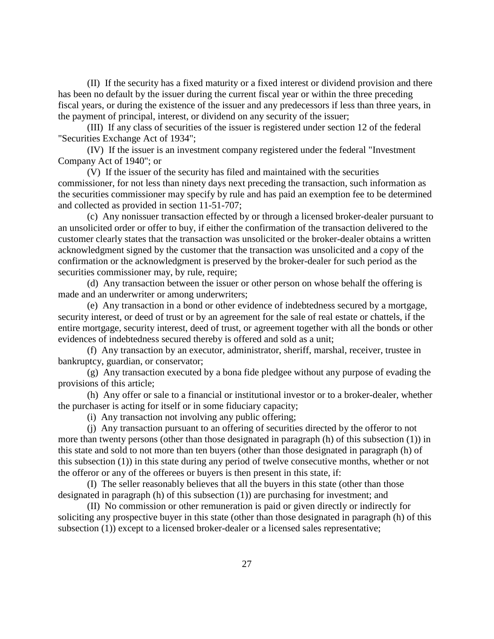(II) If the security has a fixed maturity or a fixed interest or dividend provision and there has been no default by the issuer during the current fiscal year or within the three preceding fiscal years, or during the existence of the issuer and any predecessors if less than three years, in the payment of principal, interest, or dividend on any security of the issuer;

(III) If any class of securities of the issuer is registered under section 12 of the federal "Securities Exchange Act of 1934";

(IV) If the issuer is an investment company registered under the federal "Investment Company Act of 1940"; or

(V) If the issuer of the security has filed and maintained with the securities commissioner, for not less than ninety days next preceding the transaction, such information as the securities commissioner may specify by rule and has paid an exemption fee to be determined and collected as provided in section 11-51-707;

(c) Any nonissuer transaction effected by or through a licensed broker-dealer pursuant to an unsolicited order or offer to buy, if either the confirmation of the transaction delivered to the customer clearly states that the transaction was unsolicited or the broker-dealer obtains a written acknowledgment signed by the customer that the transaction was unsolicited and a copy of the confirmation or the acknowledgment is preserved by the broker-dealer for such period as the securities commissioner may, by rule, require;

(d) Any transaction between the issuer or other person on whose behalf the offering is made and an underwriter or among underwriters;

(e) Any transaction in a bond or other evidence of indebtedness secured by a mortgage, security interest, or deed of trust or by an agreement for the sale of real estate or chattels, if the entire mortgage, security interest, deed of trust, or agreement together with all the bonds or other evidences of indebtedness secured thereby is offered and sold as a unit;

(f) Any transaction by an executor, administrator, sheriff, marshal, receiver, trustee in bankruptcy, guardian, or conservator;

(g) Any transaction executed by a bona fide pledgee without any purpose of evading the provisions of this article;

(h) Any offer or sale to a financial or institutional investor or to a broker-dealer, whether the purchaser is acting for itself or in some fiduciary capacity;

(i) Any transaction not involving any public offering;

(j) Any transaction pursuant to an offering of securities directed by the offeror to not more than twenty persons (other than those designated in paragraph (h) of this subsection (1)) in this state and sold to not more than ten buyers (other than those designated in paragraph (h) of this subsection (1)) in this state during any period of twelve consecutive months, whether or not the offeror or any of the offerees or buyers is then present in this state, if:

(I) The seller reasonably believes that all the buyers in this state (other than those designated in paragraph (h) of this subsection (1)) are purchasing for investment; and

(II) No commission or other remuneration is paid or given directly or indirectly for soliciting any prospective buyer in this state (other than those designated in paragraph (h) of this subsection (1)) except to a licensed broker-dealer or a licensed sales representative;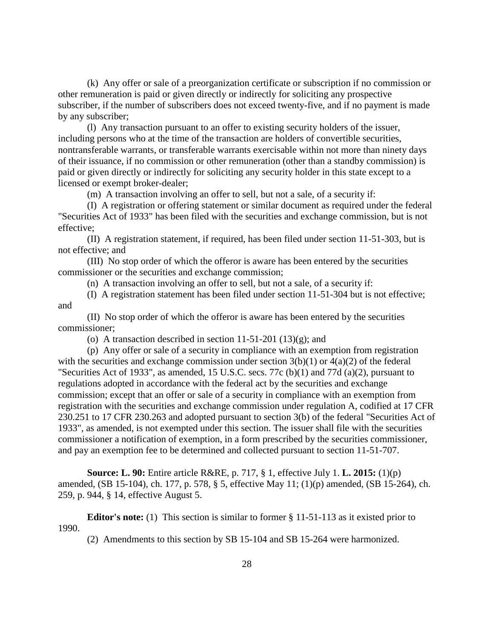(k) Any offer or sale of a preorganization certificate or subscription if no commission or other remuneration is paid or given directly or indirectly for soliciting any prospective subscriber, if the number of subscribers does not exceed twenty-five, and if no payment is made by any subscriber;

(l) Any transaction pursuant to an offer to existing security holders of the issuer, including persons who at the time of the transaction are holders of convertible securities, nontransferable warrants, or transferable warrants exercisable within not more than ninety days of their issuance, if no commission or other remuneration (other than a standby commission) is paid or given directly or indirectly for soliciting any security holder in this state except to a licensed or exempt broker-dealer;

(m) A transaction involving an offer to sell, but not a sale, of a security if:

(I) A registration or offering statement or similar document as required under the federal "Securities Act of 1933" has been filed with the securities and exchange commission, but is not effective;

(II) A registration statement, if required, has been filed under section 11-51-303, but is not effective; and

(III) No stop order of which the offeror is aware has been entered by the securities commissioner or the securities and exchange commission;

(n) A transaction involving an offer to sell, but not a sale, of a security if:

(I) A registration statement has been filed under section 11-51-304 but is not effective; and

(II) No stop order of which the offeror is aware has been entered by the securities commissioner;

(o) A transaction described in section  $11-51-201$  (13)(g); and

(p) Any offer or sale of a security in compliance with an exemption from registration with the securities and exchange commission under section  $3(b)(1)$  or  $4(a)(2)$  of the federal "Securities Act of 1933", as amended, 15 U.S.C. secs. 77c (b)(1) and 77d (a)(2), pursuant to regulations adopted in accordance with the federal act by the securities and exchange commission; except that an offer or sale of a security in compliance with an exemption from registration with the securities and exchange commission under regulation A, codified at 17 CFR 230.251 to 17 CFR 230.263 and adopted pursuant to section 3(b) of the federal "Securities Act of 1933", as amended, is not exempted under this section. The issuer shall file with the securities commissioner a notification of exemption, in a form prescribed by the securities commissioner, and pay an exemption fee to be determined and collected pursuant to section 11-51-707.

**Source: L. 90:** Entire article R&RE, p. 717, § 1, effective July 1. **L. 2015:** (1)(p) amended, (SB 15-104), ch. 177, p. 578, § 5, effective May 11; (1)(p) amended, (SB 15-264), ch. 259, p. 944, § 14, effective August 5.

**Editor's note:** (1) This section is similar to former § 11-51-113 as it existed prior to 1990.

(2) Amendments to this section by SB 15-104 and SB 15-264 were harmonized.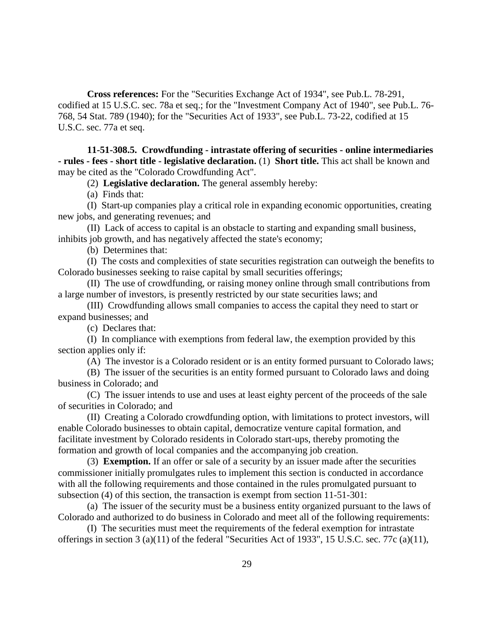**Cross references:** For the "Securities Exchange Act of 1934", see Pub.L. 78-291, codified at 15 U.S.C. sec. 78a et seq.; for the "Investment Company Act of 1940", see Pub.L. 76- 768, 54 Stat. 789 (1940); for the "Securities Act of 1933", see Pub.L. 73-22, codified at 15 U.S.C. sec. 77a et seq.

**11-51-308.5. Crowdfunding - intrastate offering of securities - online intermediaries - rules - fees - short title - legislative declaration.** (1) **Short title.** This act shall be known and may be cited as the "Colorado Crowdfunding Act".

(2) **Legislative declaration.** The general assembly hereby:

(a) Finds that:

(I) Start-up companies play a critical role in expanding economic opportunities, creating new jobs, and generating revenues; and

(II) Lack of access to capital is an obstacle to starting and expanding small business, inhibits job growth, and has negatively affected the state's economy;

(b) Determines that:

(I) The costs and complexities of state securities registration can outweigh the benefits to Colorado businesses seeking to raise capital by small securities offerings;

(II) The use of crowdfunding, or raising money online through small contributions from a large number of investors, is presently restricted by our state securities laws; and

(III) Crowdfunding allows small companies to access the capital they need to start or expand businesses; and

(c) Declares that:

(I) In compliance with exemptions from federal law, the exemption provided by this section applies only if:

(A) The investor is a Colorado resident or is an entity formed pursuant to Colorado laws;

(B) The issuer of the securities is an entity formed pursuant to Colorado laws and doing business in Colorado; and

(C) The issuer intends to use and uses at least eighty percent of the proceeds of the sale of securities in Colorado; and

(II) Creating a Colorado crowdfunding option, with limitations to protect investors, will enable Colorado businesses to obtain capital, democratize venture capital formation, and facilitate investment by Colorado residents in Colorado start-ups, thereby promoting the formation and growth of local companies and the accompanying job creation.

(3) **Exemption.** If an offer or sale of a security by an issuer made after the securities commissioner initially promulgates rules to implement this section is conducted in accordance with all the following requirements and those contained in the rules promulgated pursuant to subsection (4) of this section, the transaction is exempt from section 11-51-301:

(a) The issuer of the security must be a business entity organized pursuant to the laws of Colorado and authorized to do business in Colorado and meet all of the following requirements:

(I) The securities must meet the requirements of the federal exemption for intrastate offerings in section 3 (a)(11) of the federal "Securities Act of 1933", 15 U.S.C. sec. 77c (a)(11),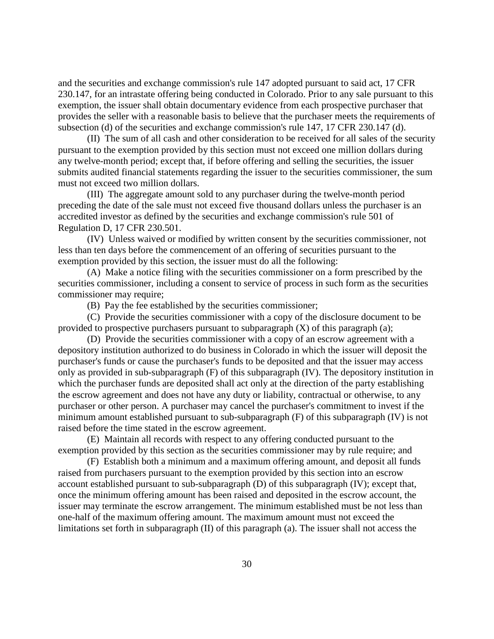and the securities and exchange commission's rule 147 adopted pursuant to said act, 17 CFR 230.147, for an intrastate offering being conducted in Colorado. Prior to any sale pursuant to this exemption, the issuer shall obtain documentary evidence from each prospective purchaser that provides the seller with a reasonable basis to believe that the purchaser meets the requirements of subsection (d) of the securities and exchange commission's rule 147, 17 CFR 230.147 (d).

(II) The sum of all cash and other consideration to be received for all sales of the security pursuant to the exemption provided by this section must not exceed one million dollars during any twelve-month period; except that, if before offering and selling the securities, the issuer submits audited financial statements regarding the issuer to the securities commissioner, the sum must not exceed two million dollars.

(III) The aggregate amount sold to any purchaser during the twelve-month period preceding the date of the sale must not exceed five thousand dollars unless the purchaser is an accredited investor as defined by the securities and exchange commission's rule 501 of Regulation D, 17 CFR 230.501.

(IV) Unless waived or modified by written consent by the securities commissioner, not less than ten days before the commencement of an offering of securities pursuant to the exemption provided by this section, the issuer must do all the following:

(A) Make a notice filing with the securities commissioner on a form prescribed by the securities commissioner, including a consent to service of process in such form as the securities commissioner may require;

(B) Pay the fee established by the securities commissioner;

(C) Provide the securities commissioner with a copy of the disclosure document to be provided to prospective purchasers pursuant to subparagraph  $(X)$  of this paragraph  $(a)$ ;

(D) Provide the securities commissioner with a copy of an escrow agreement with a depository institution authorized to do business in Colorado in which the issuer will deposit the purchaser's funds or cause the purchaser's funds to be deposited and that the issuer may access only as provided in sub-subparagraph (F) of this subparagraph (IV). The depository institution in which the purchaser funds are deposited shall act only at the direction of the party establishing the escrow agreement and does not have any duty or liability, contractual or otherwise, to any purchaser or other person. A purchaser may cancel the purchaser's commitment to invest if the minimum amount established pursuant to sub-subparagraph (F) of this subparagraph (IV) is not raised before the time stated in the escrow agreement.

(E) Maintain all records with respect to any offering conducted pursuant to the exemption provided by this section as the securities commissioner may by rule require; and

(F) Establish both a minimum and a maximum offering amount, and deposit all funds raised from purchasers pursuant to the exemption provided by this section into an escrow account established pursuant to sub-subparagraph (D) of this subparagraph (IV); except that, once the minimum offering amount has been raised and deposited in the escrow account, the issuer may terminate the escrow arrangement. The minimum established must be not less than one-half of the maximum offering amount. The maximum amount must not exceed the limitations set forth in subparagraph (II) of this paragraph (a). The issuer shall not access the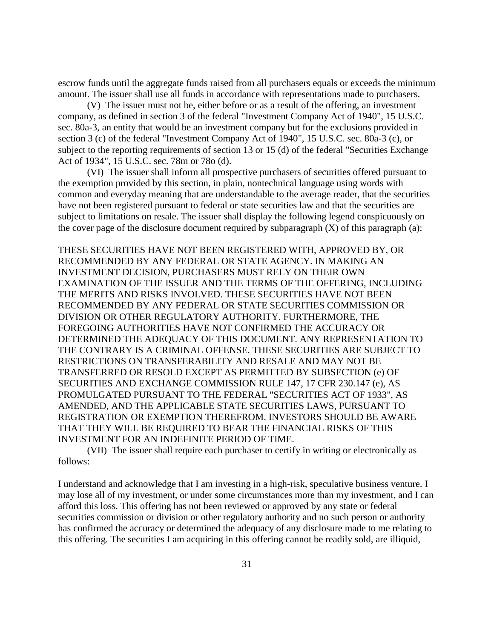escrow funds until the aggregate funds raised from all purchasers equals or exceeds the minimum amount. The issuer shall use all funds in accordance with representations made to purchasers.

(V) The issuer must not be, either before or as a result of the offering, an investment company, as defined in section 3 of the federal "Investment Company Act of 1940", 15 U.S.C. sec. 80a-3, an entity that would be an investment company but for the exclusions provided in section 3 (c) of the federal "Investment Company Act of 1940", 15 U.S.C. sec. 80a-3 (c), or subject to the reporting requirements of section 13 or 15 (d) of the federal "Securities Exchange Act of 1934", 15 U.S.C. sec. 78m or 78o (d).

(VI) The issuer shall inform all prospective purchasers of securities offered pursuant to the exemption provided by this section, in plain, nontechnical language using words with common and everyday meaning that are understandable to the average reader, that the securities have not been registered pursuant to federal or state securities law and that the securities are subject to limitations on resale. The issuer shall display the following legend conspicuously on the cover page of the disclosure document required by subparagraph  $(X)$  of this paragraph (a):

THESE SECURITIES HAVE NOT BEEN REGISTERED WITH, APPROVED BY, OR RECOMMENDED BY ANY FEDERAL OR STATE AGENCY. IN MAKING AN INVESTMENT DECISION, PURCHASERS MUST RELY ON THEIR OWN EXAMINATION OF THE ISSUER AND THE TERMS OF THE OFFERING, INCLUDING THE MERITS AND RISKS INVOLVED. THESE SECURITIES HAVE NOT BEEN RECOMMENDED BY ANY FEDERAL OR STATE SECURITIES COMMISSION OR DIVISION OR OTHER REGULATORY AUTHORITY. FURTHERMORE, THE FOREGOING AUTHORITIES HAVE NOT CONFIRMED THE ACCURACY OR DETERMINED THE ADEQUACY OF THIS DOCUMENT. ANY REPRESENTATION TO THE CONTRARY IS A CRIMINAL OFFENSE. THESE SECURITIES ARE SUBJECT TO RESTRICTIONS ON TRANSFERABILITY AND RESALE AND MAY NOT BE TRANSFERRED OR RESOLD EXCEPT AS PERMITTED BY SUBSECTION (e) OF SECURITIES AND EXCHANGE COMMISSION RULE 147, 17 CFR 230.147 (e), AS PROMULGATED PURSUANT TO THE FEDERAL "SECURITIES ACT OF 1933", AS AMENDED, AND THE APPLICABLE STATE SECURITIES LAWS, PURSUANT TO REGISTRATION OR EXEMPTION THEREFROM. INVESTORS SHOULD BE AWARE THAT THEY WILL BE REQUIRED TO BEAR THE FINANCIAL RISKS OF THIS INVESTMENT FOR AN INDEFINITE PERIOD OF TIME.

(VII) The issuer shall require each purchaser to certify in writing or electronically as follows:

I understand and acknowledge that I am investing in a high-risk, speculative business venture. I may lose all of my investment, or under some circumstances more than my investment, and I can afford this loss. This offering has not been reviewed or approved by any state or federal securities commission or division or other regulatory authority and no such person or authority has confirmed the accuracy or determined the adequacy of any disclosure made to me relating to this offering. The securities I am acquiring in this offering cannot be readily sold, are illiquid,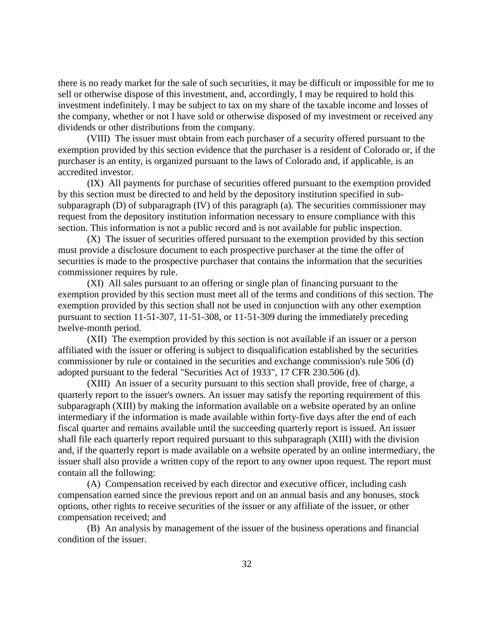there is no ready market for the sale of such securities, it may be difficult or impossible for me to sell or otherwise dispose of this investment, and, accordingly, I may be required to hold this investment indefinitely. I may be subject to tax on my share of the taxable income and losses of the company, whether or not I have sold or otherwise disposed of my investment or received any dividends or other distributions from the company.

(VIII) The issuer must obtain from each purchaser of a security offered pursuant to the exemption provided by this section evidence that the purchaser is a resident of Colorado or, if the purchaser is an entity, is organized pursuant to the laws of Colorado and, if applicable, is an accredited investor.

(IX) All payments for purchase of securities offered pursuant to the exemption provided by this section must be directed to and held by the depository institution specified in subsubparagraph (D) of subparagraph (IV) of this paragraph (a). The securities commissioner may request from the depository institution information necessary to ensure compliance with this section. This information is not a public record and is not available for public inspection.

(X) The issuer of securities offered pursuant to the exemption provided by this section must provide a disclosure document to each prospective purchaser at the time the offer of securities is made to the prospective purchaser that contains the information that the securities commissioner requires by rule.

(XI) All sales pursuant to an offering or single plan of financing pursuant to the exemption provided by this section must meet all of the terms and conditions of this section. The exemption provided by this section shall not be used in conjunction with any other exemption pursuant to section 11-51-307, 11-51-308, or 11-51-309 during the immediately preceding twelve-month period.

(XII) The exemption provided by this section is not available if an issuer or a person affiliated with the issuer or offering is subject to disqualification established by the securities commissioner by rule or contained in the securities and exchange commission's rule 506 (d) adopted pursuant to the federal "Securities Act of 1933", 17 CFR 230.506 (d).

(XIII) An issuer of a security pursuant to this section shall provide, free of charge, a quarterly report to the issuer's owners. An issuer may satisfy the reporting requirement of this subparagraph (XIII) by making the information available on a website operated by an online intermediary if the information is made available within forty-five days after the end of each fiscal quarter and remains available until the succeeding quarterly report is issued. An issuer shall file each quarterly report required pursuant to this subparagraph (XIII) with the division and, if the quarterly report is made available on a website operated by an online intermediary, the issuer shall also provide a written copy of the report to any owner upon request. The report must contain all the following:

(A) Compensation received by each director and executive officer, including cash compensation earned since the previous report and on an annual basis and any bonuses, stock options, other rights to receive securities of the issuer or any affiliate of the issuer, or other compensation received; and

(B) An analysis by management of the issuer of the business operations and financial condition of the issuer.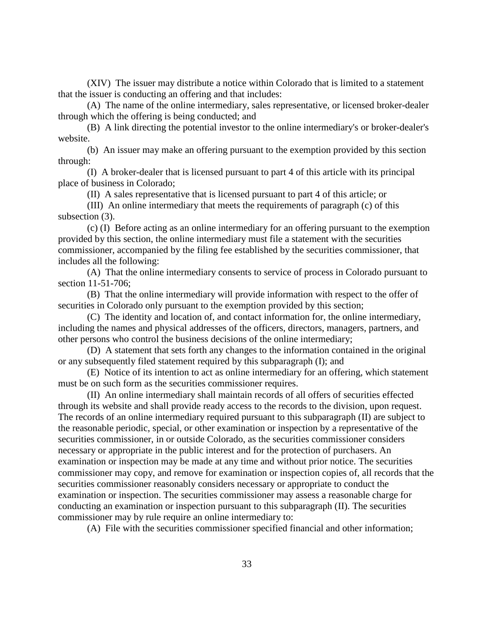(XIV) The issuer may distribute a notice within Colorado that is limited to a statement that the issuer is conducting an offering and that includes:

(A) The name of the online intermediary, sales representative, or licensed broker-dealer through which the offering is being conducted; and

(B) A link directing the potential investor to the online intermediary's or broker-dealer's website.

(b) An issuer may make an offering pursuant to the exemption provided by this section through:

(I) A broker-dealer that is licensed pursuant to part 4 of this article with its principal place of business in Colorado;

(II) A sales representative that is licensed pursuant to part 4 of this article; or

(III) An online intermediary that meets the requirements of paragraph (c) of this subsection (3).

(c) (I) Before acting as an online intermediary for an offering pursuant to the exemption provided by this section, the online intermediary must file a statement with the securities commissioner, accompanied by the filing fee established by the securities commissioner, that includes all the following:

(A) That the online intermediary consents to service of process in Colorado pursuant to section 11-51-706;

(B) That the online intermediary will provide information with respect to the offer of securities in Colorado only pursuant to the exemption provided by this section;

(C) The identity and location of, and contact information for, the online intermediary, including the names and physical addresses of the officers, directors, managers, partners, and other persons who control the business decisions of the online intermediary;

(D) A statement that sets forth any changes to the information contained in the original or any subsequently filed statement required by this subparagraph (I); and

(E) Notice of its intention to act as online intermediary for an offering, which statement must be on such form as the securities commissioner requires.

(II) An online intermediary shall maintain records of all offers of securities effected through its website and shall provide ready access to the records to the division, upon request. The records of an online intermediary required pursuant to this subparagraph (II) are subject to the reasonable periodic, special, or other examination or inspection by a representative of the securities commissioner, in or outside Colorado, as the securities commissioner considers necessary or appropriate in the public interest and for the protection of purchasers. An examination or inspection may be made at any time and without prior notice. The securities commissioner may copy, and remove for examination or inspection copies of, all records that the securities commissioner reasonably considers necessary or appropriate to conduct the examination or inspection. The securities commissioner may assess a reasonable charge for conducting an examination or inspection pursuant to this subparagraph (II). The securities commissioner may by rule require an online intermediary to:

(A) File with the securities commissioner specified financial and other information;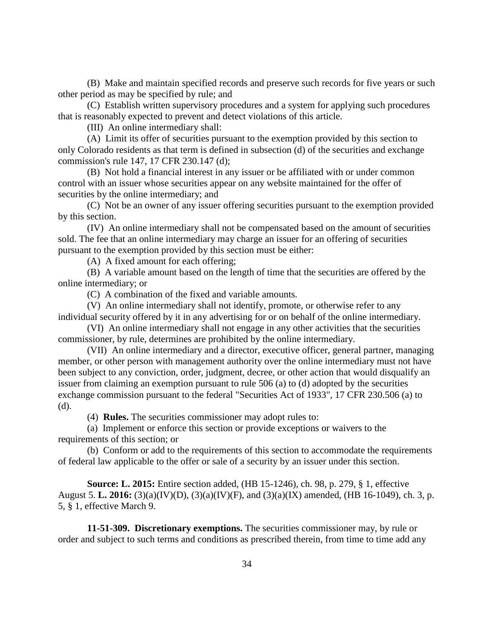(B) Make and maintain specified records and preserve such records for five years or such other period as may be specified by rule; and

(C) Establish written supervisory procedures and a system for applying such procedures that is reasonably expected to prevent and detect violations of this article.

(III) An online intermediary shall:

(A) Limit its offer of securities pursuant to the exemption provided by this section to only Colorado residents as that term is defined in subsection (d) of the securities and exchange commission's rule 147, 17 CFR 230.147 (d);

(B) Not hold a financial interest in any issuer or be affiliated with or under common control with an issuer whose securities appear on any website maintained for the offer of securities by the online intermediary; and

(C) Not be an owner of any issuer offering securities pursuant to the exemption provided by this section.

(IV) An online intermediary shall not be compensated based on the amount of securities sold. The fee that an online intermediary may charge an issuer for an offering of securities pursuant to the exemption provided by this section must be either:

(A) A fixed amount for each offering;

(B) A variable amount based on the length of time that the securities are offered by the online intermediary; or

(C) A combination of the fixed and variable amounts.

(V) An online intermediary shall not identify, promote, or otherwise refer to any individual security offered by it in any advertising for or on behalf of the online intermediary.

(VI) An online intermediary shall not engage in any other activities that the securities commissioner, by rule, determines are prohibited by the online intermediary.

(VII) An online intermediary and a director, executive officer, general partner, managing member, or other person with management authority over the online intermediary must not have been subject to any conviction, order, judgment, decree, or other action that would disqualify an issuer from claiming an exemption pursuant to rule 506 (a) to (d) adopted by the securities exchange commission pursuant to the federal "Securities Act of 1933", 17 CFR 230.506 (a) to (d).

(4) **Rules.** The securities commissioner may adopt rules to:

(a) Implement or enforce this section or provide exceptions or waivers to the requirements of this section; or

(b) Conform or add to the requirements of this section to accommodate the requirements of federal law applicable to the offer or sale of a security by an issuer under this section.

**Source: L. 2015:** Entire section added, (HB 15-1246), ch. 98, p. 279, § 1, effective August 5. **L. 2016:** (3)(a)(IV)(D), (3)(a)(IV)(F), and (3)(a)(IX) amended, (HB 16-1049), ch. 3, p. 5, § 1, effective March 9.

**11-51-309. Discretionary exemptions.** The securities commissioner may, by rule or order and subject to such terms and conditions as prescribed therein, from time to time add any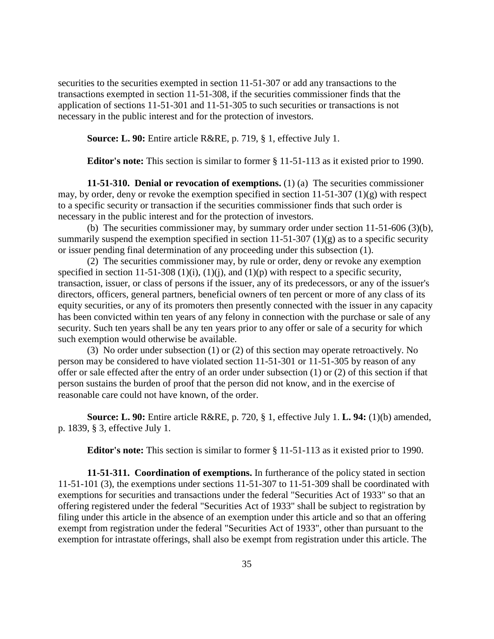securities to the securities exempted in section 11-51-307 or add any transactions to the transactions exempted in section 11-51-308, if the securities commissioner finds that the application of sections 11-51-301 and 11-51-305 to such securities or transactions is not necessary in the public interest and for the protection of investors.

**Source: L. 90:** Entire article R&RE, p. 719, § 1, effective July 1.

**Editor's note:** This section is similar to former § 11-51-113 as it existed prior to 1990.

**11-51-310. Denial or revocation of exemptions.** (1) (a) The securities commissioner may, by order, deny or revoke the exemption specified in section 11-51-307 (1)(g) with respect to a specific security or transaction if the securities commissioner finds that such order is necessary in the public interest and for the protection of investors.

(b) The securities commissioner may, by summary order under section 11-51-606 (3)(b), summarily suspend the exemption specified in section  $11-51-307(1)(g)$  as to a specific security or issuer pending final determination of any proceeding under this subsection (1).

(2) The securities commissioner may, by rule or order, deny or revoke any exemption specified in section 11-51-308 (1)(i), (1)(j), and (1)(p) with respect to a specific security, transaction, issuer, or class of persons if the issuer, any of its predecessors, or any of the issuer's directors, officers, general partners, beneficial owners of ten percent or more of any class of its equity securities, or any of its promoters then presently connected with the issuer in any capacity has been convicted within ten years of any felony in connection with the purchase or sale of any security. Such ten years shall be any ten years prior to any offer or sale of a security for which such exemption would otherwise be available.

(3) No order under subsection (1) or (2) of this section may operate retroactively. No person may be considered to have violated section 11-51-301 or 11-51-305 by reason of any offer or sale effected after the entry of an order under subsection (1) or (2) of this section if that person sustains the burden of proof that the person did not know, and in the exercise of reasonable care could not have known, of the order.

**Source: L. 90:** Entire article R&RE, p. 720, § 1, effective July 1. **L. 94:** (1)(b) amended, p. 1839, § 3, effective July 1.

**Editor's note:** This section is similar to former § 11-51-113 as it existed prior to 1990.

**11-51-311. Coordination of exemptions.** In furtherance of the policy stated in section 11-51-101 (3), the exemptions under sections 11-51-307 to 11-51-309 shall be coordinated with exemptions for securities and transactions under the federal "Securities Act of 1933" so that an offering registered under the federal "Securities Act of 1933" shall be subject to registration by filing under this article in the absence of an exemption under this article and so that an offering exempt from registration under the federal "Securities Act of 1933", other than pursuant to the exemption for intrastate offerings, shall also be exempt from registration under this article. The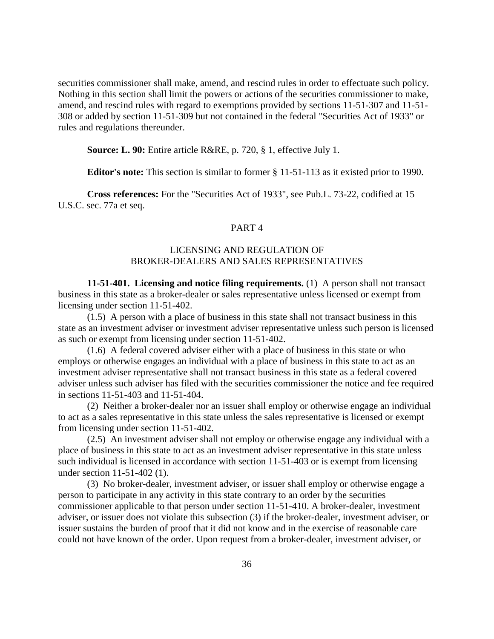securities commissioner shall make, amend, and rescind rules in order to effectuate such policy. Nothing in this section shall limit the powers or actions of the securities commissioner to make, amend, and rescind rules with regard to exemptions provided by sections 11-51-307 and 11-51- 308 or added by section 11-51-309 but not contained in the federal "Securities Act of 1933" or rules and regulations thereunder.

**Source: L. 90:** Entire article R&RE, p. 720, § 1, effective July 1.

**Editor's note:** This section is similar to former § 11-51-113 as it existed prior to 1990.

**Cross references:** For the "Securities Act of 1933", see Pub.L. 73-22, codified at 15 U.S.C. sec. 77a et seq.

## PART 4

# LICENSING AND REGULATION OF BROKER-DEALERS AND SALES REPRESENTATIVES

**11-51-401. Licensing and notice filing requirements.** (1) A person shall not transact business in this state as a broker-dealer or sales representative unless licensed or exempt from licensing under section 11-51-402.

(1.5) A person with a place of business in this state shall not transact business in this state as an investment adviser or investment adviser representative unless such person is licensed as such or exempt from licensing under section 11-51-402.

(1.6) A federal covered adviser either with a place of business in this state or who employs or otherwise engages an individual with a place of business in this state to act as an investment adviser representative shall not transact business in this state as a federal covered adviser unless such adviser has filed with the securities commissioner the notice and fee required in sections 11-51-403 and 11-51-404.

(2) Neither a broker-dealer nor an issuer shall employ or otherwise engage an individual to act as a sales representative in this state unless the sales representative is licensed or exempt from licensing under section 11-51-402.

(2.5) An investment adviser shall not employ or otherwise engage any individual with a place of business in this state to act as an investment adviser representative in this state unless such individual is licensed in accordance with section 11-51-403 or is exempt from licensing under section 11-51-402 (1).

(3) No broker-dealer, investment adviser, or issuer shall employ or otherwise engage a person to participate in any activity in this state contrary to an order by the securities commissioner applicable to that person under section 11-51-410. A broker-dealer, investment adviser, or issuer does not violate this subsection (3) if the broker-dealer, investment adviser, or issuer sustains the burden of proof that it did not know and in the exercise of reasonable care could not have known of the order. Upon request from a broker-dealer, investment adviser, or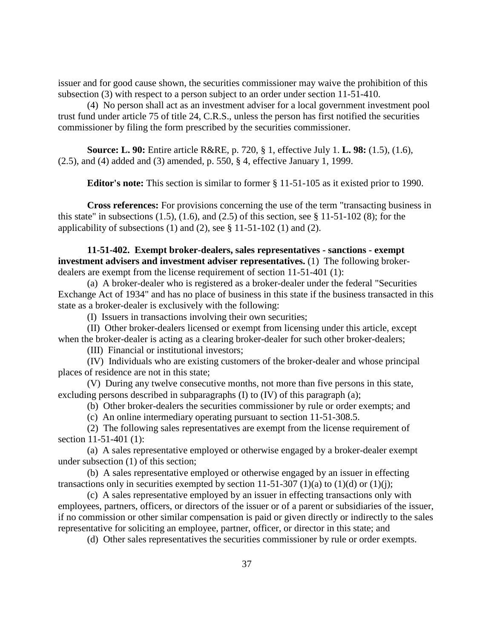issuer and for good cause shown, the securities commissioner may waive the prohibition of this subsection (3) with respect to a person subject to an order under section 11-51-410.

(4) No person shall act as an investment adviser for a local government investment pool trust fund under article 75 of title 24, C.R.S., unless the person has first notified the securities commissioner by filing the form prescribed by the securities commissioner.

**Source: L. 90:** Entire article R&RE, p. 720, § 1, effective July 1. **L. 98:** (1.5), (1.6), (2.5), and (4) added and (3) amended, p. 550, § 4, effective January 1, 1999.

**Editor's note:** This section is similar to former § 11-51-105 as it existed prior to 1990.

**Cross references:** For provisions concerning the use of the term "transacting business in this state" in subsections  $(1.5)$ ,  $(1.6)$ , and  $(2.5)$  of this section, see § 11-51-102  $(8)$ ; for the applicability of subsections (1) and (2), see  $\S$  11-51-102 (1) and (2).

**11-51-402. Exempt broker-dealers, sales representatives - sanctions - exempt investment advisers and investment adviser representatives.** (1) The following brokerdealers are exempt from the license requirement of section 11-51-401 (1):

(a) A broker-dealer who is registered as a broker-dealer under the federal "Securities Exchange Act of 1934" and has no place of business in this state if the business transacted in this state as a broker-dealer is exclusively with the following:

(I) Issuers in transactions involving their own securities;

(II) Other broker-dealers licensed or exempt from licensing under this article, except when the broker-dealer is acting as a clearing broker-dealer for such other broker-dealers;

(III) Financial or institutional investors;

(IV) Individuals who are existing customers of the broker-dealer and whose principal places of residence are not in this state;

(V) During any twelve consecutive months, not more than five persons in this state, excluding persons described in subparagraphs (I) to (IV) of this paragraph (a);

(b) Other broker-dealers the securities commissioner by rule or order exempts; and

(c) An online intermediary operating pursuant to section 11-51-308.5.

(2) The following sales representatives are exempt from the license requirement of section 11-51-401 (1):

(a) A sales representative employed or otherwise engaged by a broker-dealer exempt under subsection (1) of this section;

(b) A sales representative employed or otherwise engaged by an issuer in effecting transactions only in securities exempted by section 11-51-307 (1)(a) to (1)(d) or (1)(j);

(c) A sales representative employed by an issuer in effecting transactions only with employees, partners, officers, or directors of the issuer or of a parent or subsidiaries of the issuer, if no commission or other similar compensation is paid or given directly or indirectly to the sales representative for soliciting an employee, partner, officer, or director in this state; and

(d) Other sales representatives the securities commissioner by rule or order exempts.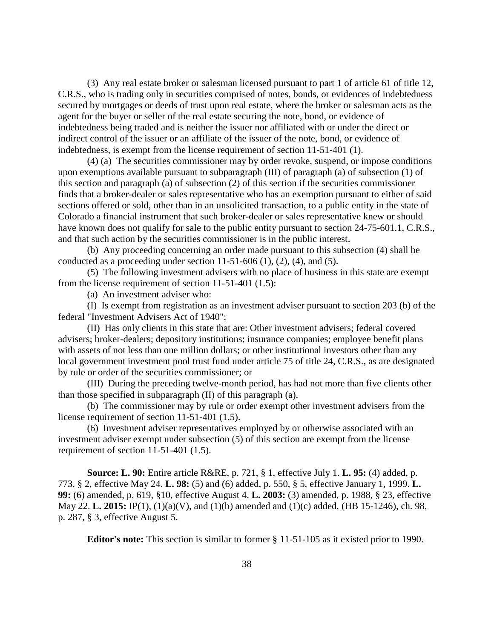(3) Any real estate broker or salesman licensed pursuant to part 1 of article 61 of title 12, C.R.S., who is trading only in securities comprised of notes, bonds, or evidences of indebtedness secured by mortgages or deeds of trust upon real estate, where the broker or salesman acts as the agent for the buyer or seller of the real estate securing the note, bond, or evidence of indebtedness being traded and is neither the issuer nor affiliated with or under the direct or indirect control of the issuer or an affiliate of the issuer of the note, bond, or evidence of indebtedness, is exempt from the license requirement of section 11-51-401 (1).

(4) (a) The securities commissioner may by order revoke, suspend, or impose conditions upon exemptions available pursuant to subparagraph (III) of paragraph (a) of subsection (1) of this section and paragraph (a) of subsection (2) of this section if the securities commissioner finds that a broker-dealer or sales representative who has an exemption pursuant to either of said sections offered or sold, other than in an unsolicited transaction, to a public entity in the state of Colorado a financial instrument that such broker-dealer or sales representative knew or should have known does not qualify for sale to the public entity pursuant to section 24-75-601.1, C.R.S., and that such action by the securities commissioner is in the public interest.

(b) Any proceeding concerning an order made pursuant to this subsection (4) shall be conducted as a proceeding under section  $11-51-606$  (1), (2), (4), and (5).

(5) The following investment advisers with no place of business in this state are exempt from the license requirement of section 11-51-401 (1.5):

(a) An investment adviser who:

(I) Is exempt from registration as an investment adviser pursuant to section 203 (b) of the federal "Investment Advisers Act of 1940";

(II) Has only clients in this state that are: Other investment advisers; federal covered advisers; broker-dealers; depository institutions; insurance companies; employee benefit plans with assets of not less than one million dollars; or other institutional investors other than any local government investment pool trust fund under article 75 of title 24, C.R.S., as are designated by rule or order of the securities commissioner; or

(III) During the preceding twelve-month period, has had not more than five clients other than those specified in subparagraph (II) of this paragraph (a).

(b) The commissioner may by rule or order exempt other investment advisers from the license requirement of section 11-51-401 (1.5).

(6) Investment adviser representatives employed by or otherwise associated with an investment adviser exempt under subsection (5) of this section are exempt from the license requirement of section 11-51-401 (1.5).

**Source: L. 90:** Entire article R&RE, p. 721, § 1, effective July 1. **L. 95:** (4) added, p. 773, § 2, effective May 24. **L. 98:** (5) and (6) added, p. 550, § 5, effective January 1, 1999. **L. 99:** (6) amended, p. 619, §10, effective August 4. **L. 2003:** (3) amended, p. 1988, § 23, effective May 22. **L. 2015:** IP(1), (1)(a)(V), and (1)(b) amended and (1)(c) added, (HB 15-1246), ch. 98, p. 287, § 3, effective August 5.

**Editor's note:** This section is similar to former § 11-51-105 as it existed prior to 1990.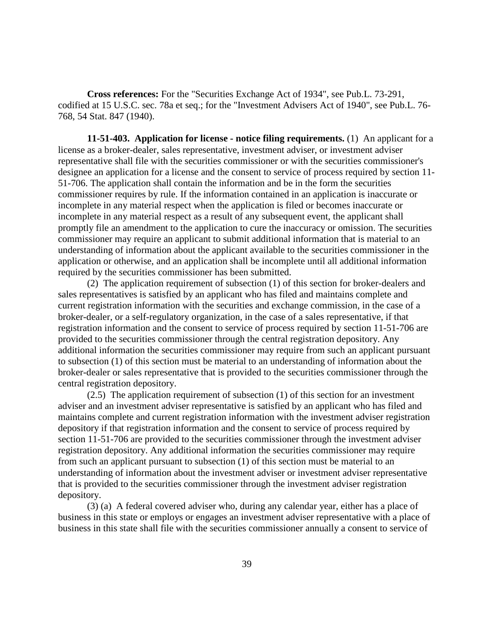**Cross references:** For the "Securities Exchange Act of 1934", see Pub.L. 73-291, codified at 15 U.S.C. sec. 78a et seq.; for the "Investment Advisers Act of 1940", see Pub.L. 76- 768, 54 Stat. 847 (1940).

**11-51-403. Application for license - notice filing requirements.** (1) An applicant for a license as a broker-dealer, sales representative, investment adviser, or investment adviser representative shall file with the securities commissioner or with the securities commissioner's designee an application for a license and the consent to service of process required by section 11- 51-706. The application shall contain the information and be in the form the securities commissioner requires by rule. If the information contained in an application is inaccurate or incomplete in any material respect when the application is filed or becomes inaccurate or incomplete in any material respect as a result of any subsequent event, the applicant shall promptly file an amendment to the application to cure the inaccuracy or omission. The securities commissioner may require an applicant to submit additional information that is material to an understanding of information about the applicant available to the securities commissioner in the application or otherwise, and an application shall be incomplete until all additional information required by the securities commissioner has been submitted.

(2) The application requirement of subsection (1) of this section for broker-dealers and sales representatives is satisfied by an applicant who has filed and maintains complete and current registration information with the securities and exchange commission, in the case of a broker-dealer, or a self-regulatory organization, in the case of a sales representative, if that registration information and the consent to service of process required by section 11-51-706 are provided to the securities commissioner through the central registration depository. Any additional information the securities commissioner may require from such an applicant pursuant to subsection (1) of this section must be material to an understanding of information about the broker-dealer or sales representative that is provided to the securities commissioner through the central registration depository.

(2.5) The application requirement of subsection (1) of this section for an investment adviser and an investment adviser representative is satisfied by an applicant who has filed and maintains complete and current registration information with the investment adviser registration depository if that registration information and the consent to service of process required by section 11-51-706 are provided to the securities commissioner through the investment adviser registration depository. Any additional information the securities commissioner may require from such an applicant pursuant to subsection (1) of this section must be material to an understanding of information about the investment adviser or investment adviser representative that is provided to the securities commissioner through the investment adviser registration depository.

(3) (a) A federal covered adviser who, during any calendar year, either has a place of business in this state or employs or engages an investment adviser representative with a place of business in this state shall file with the securities commissioner annually a consent to service of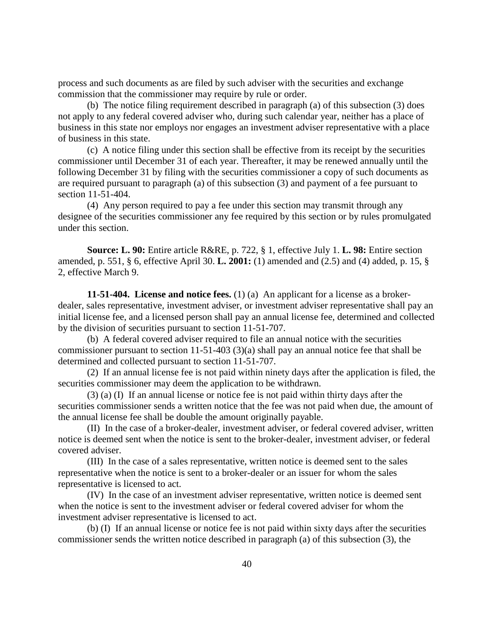process and such documents as are filed by such adviser with the securities and exchange commission that the commissioner may require by rule or order.

(b) The notice filing requirement described in paragraph (a) of this subsection (3) does not apply to any federal covered adviser who, during such calendar year, neither has a place of business in this state nor employs nor engages an investment adviser representative with a place of business in this state.

(c) A notice filing under this section shall be effective from its receipt by the securities commissioner until December 31 of each year. Thereafter, it may be renewed annually until the following December 31 by filing with the securities commissioner a copy of such documents as are required pursuant to paragraph (a) of this subsection (3) and payment of a fee pursuant to section 11-51-404.

(4) Any person required to pay a fee under this section may transmit through any designee of the securities commissioner any fee required by this section or by rules promulgated under this section.

**Source: L. 90:** Entire article R&RE, p. 722, § 1, effective July 1. **L. 98:** Entire section amended, p. 551, § 6, effective April 30. **L. 2001:** (1) amended and (2.5) and (4) added, p. 15, § 2, effective March 9.

**11-51-404. License and notice fees.** (1) (a) An applicant for a license as a brokerdealer, sales representative, investment adviser, or investment adviser representative shall pay an initial license fee, and a licensed person shall pay an annual license fee, determined and collected by the division of securities pursuant to section 11-51-707.

(b) A federal covered adviser required to file an annual notice with the securities commissioner pursuant to section 11-51-403 (3)(a) shall pay an annual notice fee that shall be determined and collected pursuant to section 11-51-707.

(2) If an annual license fee is not paid within ninety days after the application is filed, the securities commissioner may deem the application to be withdrawn.

(3) (a) (I) If an annual license or notice fee is not paid within thirty days after the securities commissioner sends a written notice that the fee was not paid when due, the amount of the annual license fee shall be double the amount originally payable.

(II) In the case of a broker-dealer, investment adviser, or federal covered adviser, written notice is deemed sent when the notice is sent to the broker-dealer, investment adviser, or federal covered adviser.

(III) In the case of a sales representative, written notice is deemed sent to the sales representative when the notice is sent to a broker-dealer or an issuer for whom the sales representative is licensed to act.

(IV) In the case of an investment adviser representative, written notice is deemed sent when the notice is sent to the investment adviser or federal covered adviser for whom the investment adviser representative is licensed to act.

(b) (I) If an annual license or notice fee is not paid within sixty days after the securities commissioner sends the written notice described in paragraph (a) of this subsection (3), the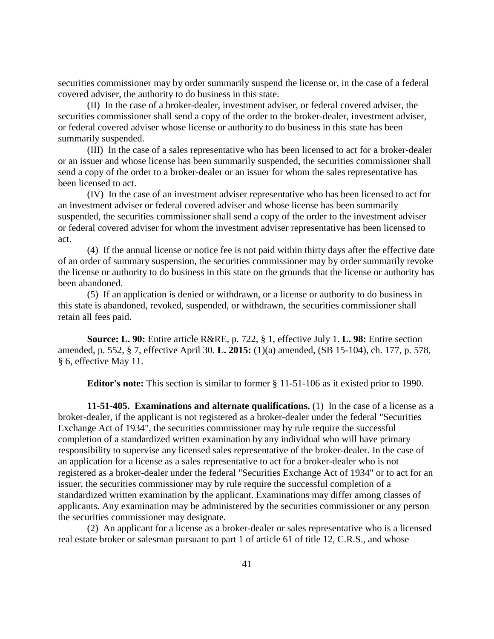securities commissioner may by order summarily suspend the license or, in the case of a federal covered adviser, the authority to do business in this state.

(II) In the case of a broker-dealer, investment adviser, or federal covered adviser, the securities commissioner shall send a copy of the order to the broker-dealer, investment adviser, or federal covered adviser whose license or authority to do business in this state has been summarily suspended.

(III) In the case of a sales representative who has been licensed to act for a broker-dealer or an issuer and whose license has been summarily suspended, the securities commissioner shall send a copy of the order to a broker-dealer or an issuer for whom the sales representative has been licensed to act.

(IV) In the case of an investment adviser representative who has been licensed to act for an investment adviser or federal covered adviser and whose license has been summarily suspended, the securities commissioner shall send a copy of the order to the investment adviser or federal covered adviser for whom the investment adviser representative has been licensed to act.

(4) If the annual license or notice fee is not paid within thirty days after the effective date of an order of summary suspension, the securities commissioner may by order summarily revoke the license or authority to do business in this state on the grounds that the license or authority has been abandoned.

(5) If an application is denied or withdrawn, or a license or authority to do business in this state is abandoned, revoked, suspended, or withdrawn, the securities commissioner shall retain all fees paid.

**Source: L. 90:** Entire article R&RE, p. 722, § 1, effective July 1. **L. 98:** Entire section amended, p. 552, § 7, effective April 30. **L. 2015:** (1)(a) amended, (SB 15-104), ch. 177, p. 578, § 6, effective May 11.

**Editor's note:** This section is similar to former § 11-51-106 as it existed prior to 1990.

**11-51-405. Examinations and alternate qualifications.** (1) In the case of a license as a broker-dealer, if the applicant is not registered as a broker-dealer under the federal "Securities Exchange Act of 1934", the securities commissioner may by rule require the successful completion of a standardized written examination by any individual who will have primary responsibility to supervise any licensed sales representative of the broker-dealer. In the case of an application for a license as a sales representative to act for a broker-dealer who is not registered as a broker-dealer under the federal "Securities Exchange Act of 1934" or to act for an issuer, the securities commissioner may by rule require the successful completion of a standardized written examination by the applicant. Examinations may differ among classes of applicants. Any examination may be administered by the securities commissioner or any person the securities commissioner may designate.

(2) An applicant for a license as a broker-dealer or sales representative who is a licensed real estate broker or salesman pursuant to part 1 of article 61 of title 12, C.R.S., and whose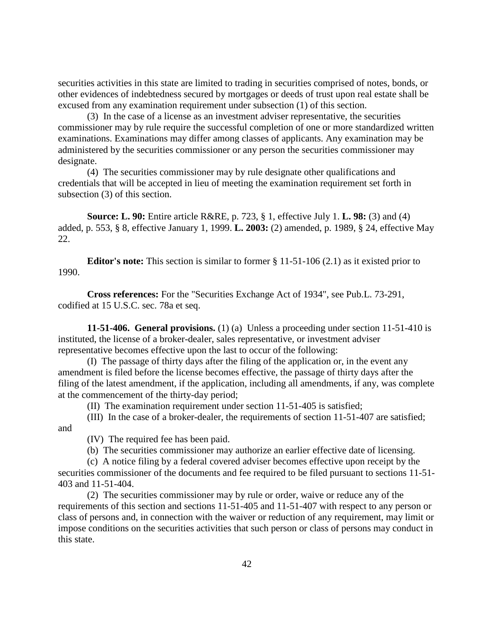securities activities in this state are limited to trading in securities comprised of notes, bonds, or other evidences of indebtedness secured by mortgages or deeds of trust upon real estate shall be excused from any examination requirement under subsection (1) of this section.

(3) In the case of a license as an investment adviser representative, the securities commissioner may by rule require the successful completion of one or more standardized written examinations. Examinations may differ among classes of applicants. Any examination may be administered by the securities commissioner or any person the securities commissioner may designate.

(4) The securities commissioner may by rule designate other qualifications and credentials that will be accepted in lieu of meeting the examination requirement set forth in subsection (3) of this section.

**Source: L. 90:** Entire article R&RE, p. 723, § 1, effective July 1. **L. 98:** (3) and (4) added, p. 553, § 8, effective January 1, 1999. **L. 2003:** (2) amended, p. 1989, § 24, effective May 22.

**Editor's note:** This section is similar to former § 11-51-106 (2.1) as it existed prior to 1990.

**Cross references:** For the "Securities Exchange Act of 1934", see Pub.L. 73-291, codified at 15 U.S.C. sec. 78a et seq.

**11-51-406. General provisions.** (1) (a) Unless a proceeding under section 11-51-410 is instituted, the license of a broker-dealer, sales representative, or investment adviser representative becomes effective upon the last to occur of the following:

(I) The passage of thirty days after the filing of the application or, in the event any amendment is filed before the license becomes effective, the passage of thirty days after the filing of the latest amendment, if the application, including all amendments, if any, was complete at the commencement of the thirty-day period;

(II) The examination requirement under section 11-51-405 is satisfied;

(III) In the case of a broker-dealer, the requirements of section 11-51-407 are satisfied;

and

(IV) The required fee has been paid.

(b) The securities commissioner may authorize an earlier effective date of licensing.

(c) A notice filing by a federal covered adviser becomes effective upon receipt by the securities commissioner of the documents and fee required to be filed pursuant to sections 11-51- 403 and 11-51-404.

(2) The securities commissioner may by rule or order, waive or reduce any of the requirements of this section and sections 11-51-405 and 11-51-407 with respect to any person or class of persons and, in connection with the waiver or reduction of any requirement, may limit or impose conditions on the securities activities that such person or class of persons may conduct in this state.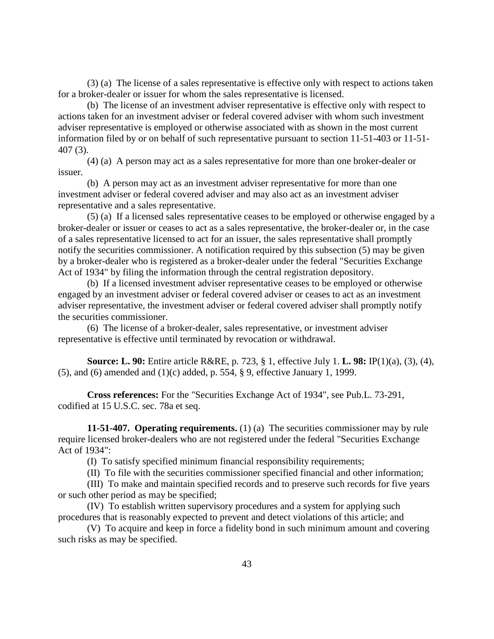(3) (a) The license of a sales representative is effective only with respect to actions taken for a broker-dealer or issuer for whom the sales representative is licensed.

(b) The license of an investment adviser representative is effective only with respect to actions taken for an investment adviser or federal covered adviser with whom such investment adviser representative is employed or otherwise associated with as shown in the most current information filed by or on behalf of such representative pursuant to section 11-51-403 or 11-51- 407 (3).

(4) (a) A person may act as a sales representative for more than one broker-dealer or issuer.

(b) A person may act as an investment adviser representative for more than one investment adviser or federal covered adviser and may also act as an investment adviser representative and a sales representative.

(5) (a) If a licensed sales representative ceases to be employed or otherwise engaged by a broker-dealer or issuer or ceases to act as a sales representative, the broker-dealer or, in the case of a sales representative licensed to act for an issuer, the sales representative shall promptly notify the securities commissioner. A notification required by this subsection (5) may be given by a broker-dealer who is registered as a broker-dealer under the federal "Securities Exchange Act of 1934" by filing the information through the central registration depository.

(b) If a licensed investment adviser representative ceases to be employed or otherwise engaged by an investment adviser or federal covered adviser or ceases to act as an investment adviser representative, the investment adviser or federal covered adviser shall promptly notify the securities commissioner.

(6) The license of a broker-dealer, sales representative, or investment adviser representative is effective until terminated by revocation or withdrawal.

**Source: L. 90:** Entire article R&RE, p. 723, § 1, effective July 1. **L. 98:** IP(1)(a), (3), (4), (5), and (6) amended and (1)(c) added, p. 554, § 9, effective January 1, 1999.

**Cross references:** For the "Securities Exchange Act of 1934", see Pub.L. 73-291, codified at 15 U.S.C. sec. 78a et seq.

**11-51-407. Operating requirements.** (1) (a) The securities commissioner may by rule require licensed broker-dealers who are not registered under the federal "Securities Exchange Act of 1934":

(I) To satisfy specified minimum financial responsibility requirements;

(II) To file with the securities commissioner specified financial and other information;

(III) To make and maintain specified records and to preserve such records for five years or such other period as may be specified;

(IV) To establish written supervisory procedures and a system for applying such procedures that is reasonably expected to prevent and detect violations of this article; and

(V) To acquire and keep in force a fidelity bond in such minimum amount and covering such risks as may be specified.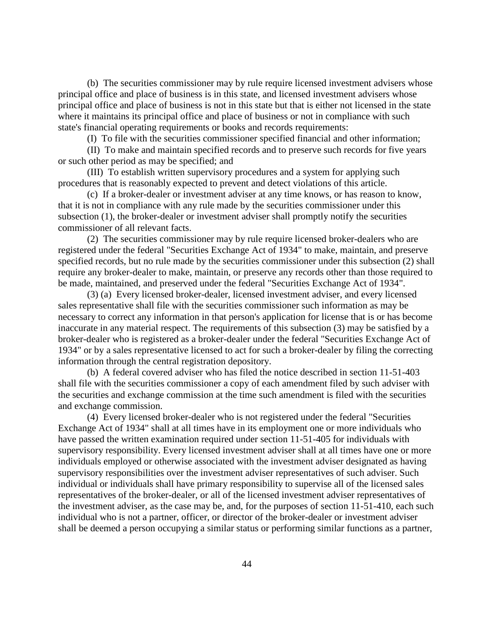(b) The securities commissioner may by rule require licensed investment advisers whose principal office and place of business is in this state, and licensed investment advisers whose principal office and place of business is not in this state but that is either not licensed in the state where it maintains its principal office and place of business or not in compliance with such state's financial operating requirements or books and records requirements:

(I) To file with the securities commissioner specified financial and other information;

(II) To make and maintain specified records and to preserve such records for five years or such other period as may be specified; and

(III) To establish written supervisory procedures and a system for applying such procedures that is reasonably expected to prevent and detect violations of this article.

(c) If a broker-dealer or investment adviser at any time knows, or has reason to know, that it is not in compliance with any rule made by the securities commissioner under this subsection (1), the broker-dealer or investment adviser shall promptly notify the securities commissioner of all relevant facts.

(2) The securities commissioner may by rule require licensed broker-dealers who are registered under the federal "Securities Exchange Act of 1934" to make, maintain, and preserve specified records, but no rule made by the securities commissioner under this subsection (2) shall require any broker-dealer to make, maintain, or preserve any records other than those required to be made, maintained, and preserved under the federal "Securities Exchange Act of 1934".

(3) (a) Every licensed broker-dealer, licensed investment adviser, and every licensed sales representative shall file with the securities commissioner such information as may be necessary to correct any information in that person's application for license that is or has become inaccurate in any material respect. The requirements of this subsection (3) may be satisfied by a broker-dealer who is registered as a broker-dealer under the federal "Securities Exchange Act of 1934" or by a sales representative licensed to act for such a broker-dealer by filing the correcting information through the central registration depository.

(b) A federal covered adviser who has filed the notice described in section 11-51-403 shall file with the securities commissioner a copy of each amendment filed by such adviser with the securities and exchange commission at the time such amendment is filed with the securities and exchange commission.

(4) Every licensed broker-dealer who is not registered under the federal "Securities Exchange Act of 1934" shall at all times have in its employment one or more individuals who have passed the written examination required under section 11-51-405 for individuals with supervisory responsibility. Every licensed investment adviser shall at all times have one or more individuals employed or otherwise associated with the investment adviser designated as having supervisory responsibilities over the investment adviser representatives of such adviser. Such individual or individuals shall have primary responsibility to supervise all of the licensed sales representatives of the broker-dealer, or all of the licensed investment adviser representatives of the investment adviser, as the case may be, and, for the purposes of section 11-51-410, each such individual who is not a partner, officer, or director of the broker-dealer or investment adviser shall be deemed a person occupying a similar status or performing similar functions as a partner,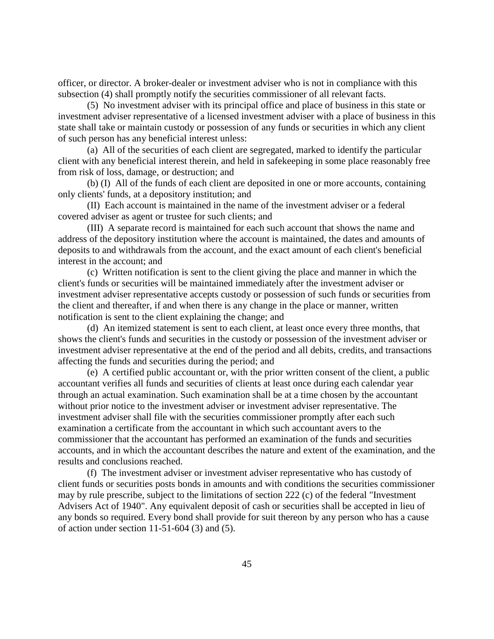officer, or director. A broker-dealer or investment adviser who is not in compliance with this subsection (4) shall promptly notify the securities commissioner of all relevant facts.

(5) No investment adviser with its principal office and place of business in this state or investment adviser representative of a licensed investment adviser with a place of business in this state shall take or maintain custody or possession of any funds or securities in which any client of such person has any beneficial interest unless:

(a) All of the securities of each client are segregated, marked to identify the particular client with any beneficial interest therein, and held in safekeeping in some place reasonably free from risk of loss, damage, or destruction; and

(b) (I) All of the funds of each client are deposited in one or more accounts, containing only clients' funds, at a depository institution; and

(II) Each account is maintained in the name of the investment adviser or a federal covered adviser as agent or trustee for such clients; and

(III) A separate record is maintained for each such account that shows the name and address of the depository institution where the account is maintained, the dates and amounts of deposits to and withdrawals from the account, and the exact amount of each client's beneficial interest in the account; and

(c) Written notification is sent to the client giving the place and manner in which the client's funds or securities will be maintained immediately after the investment adviser or investment adviser representative accepts custody or possession of such funds or securities from the client and thereafter, if and when there is any change in the place or manner, written notification is sent to the client explaining the change; and

(d) An itemized statement is sent to each client, at least once every three months, that shows the client's funds and securities in the custody or possession of the investment adviser or investment adviser representative at the end of the period and all debits, credits, and transactions affecting the funds and securities during the period; and

(e) A certified public accountant or, with the prior written consent of the client, a public accountant verifies all funds and securities of clients at least once during each calendar year through an actual examination. Such examination shall be at a time chosen by the accountant without prior notice to the investment adviser or investment adviser representative. The investment adviser shall file with the securities commissioner promptly after each such examination a certificate from the accountant in which such accountant avers to the commissioner that the accountant has performed an examination of the funds and securities accounts, and in which the accountant describes the nature and extent of the examination, and the results and conclusions reached.

(f) The investment adviser or investment adviser representative who has custody of client funds or securities posts bonds in amounts and with conditions the securities commissioner may by rule prescribe, subject to the limitations of section 222 (c) of the federal "Investment Advisers Act of 1940". Any equivalent deposit of cash or securities shall be accepted in lieu of any bonds so required. Every bond shall provide for suit thereon by any person who has a cause of action under section 11-51-604 (3) and (5).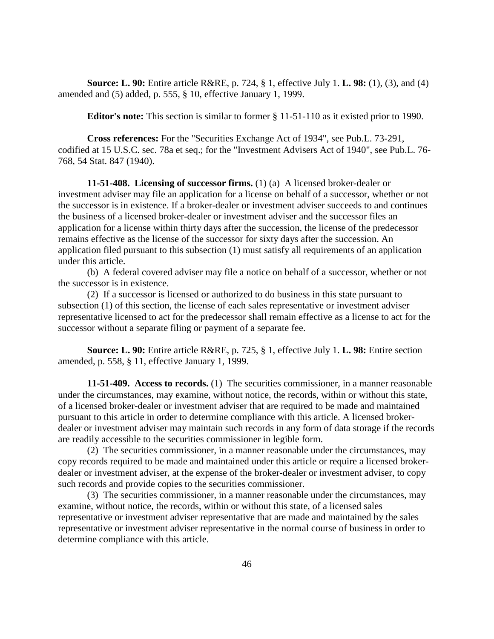**Source: L. 90:** Entire article R&RE, p. 724, § 1, effective July 1. **L. 98:** (1), (3), and (4) amended and (5) added, p. 555, § 10, effective January 1, 1999.

**Editor's note:** This section is similar to former § 11-51-110 as it existed prior to 1990.

**Cross references:** For the "Securities Exchange Act of 1934", see Pub.L. 73-291, codified at 15 U.S.C. sec. 78a et seq.; for the "Investment Advisers Act of 1940", see Pub.L. 76- 768, 54 Stat. 847 (1940).

**11-51-408. Licensing of successor firms.** (1) (a) A licensed broker-dealer or investment adviser may file an application for a license on behalf of a successor, whether or not the successor is in existence. If a broker-dealer or investment adviser succeeds to and continues the business of a licensed broker-dealer or investment adviser and the successor files an application for a license within thirty days after the succession, the license of the predecessor remains effective as the license of the successor for sixty days after the succession. An application filed pursuant to this subsection (1) must satisfy all requirements of an application under this article.

(b) A federal covered adviser may file a notice on behalf of a successor, whether or not the successor is in existence.

(2) If a successor is licensed or authorized to do business in this state pursuant to subsection (1) of this section, the license of each sales representative or investment adviser representative licensed to act for the predecessor shall remain effective as a license to act for the successor without a separate filing or payment of a separate fee.

**Source: L. 90:** Entire article R&RE, p. 725, § 1, effective July 1. **L. 98:** Entire section amended, p. 558, § 11, effective January 1, 1999.

**11-51-409. Access to records.** (1) The securities commissioner, in a manner reasonable under the circumstances, may examine, without notice, the records, within or without this state, of a licensed broker-dealer or investment adviser that are required to be made and maintained pursuant to this article in order to determine compliance with this article. A licensed brokerdealer or investment adviser may maintain such records in any form of data storage if the records are readily accessible to the securities commissioner in legible form.

(2) The securities commissioner, in a manner reasonable under the circumstances, may copy records required to be made and maintained under this article or require a licensed brokerdealer or investment adviser, at the expense of the broker-dealer or investment adviser, to copy such records and provide copies to the securities commissioner.

(3) The securities commissioner, in a manner reasonable under the circumstances, may examine, without notice, the records, within or without this state, of a licensed sales representative or investment adviser representative that are made and maintained by the sales representative or investment adviser representative in the normal course of business in order to determine compliance with this article.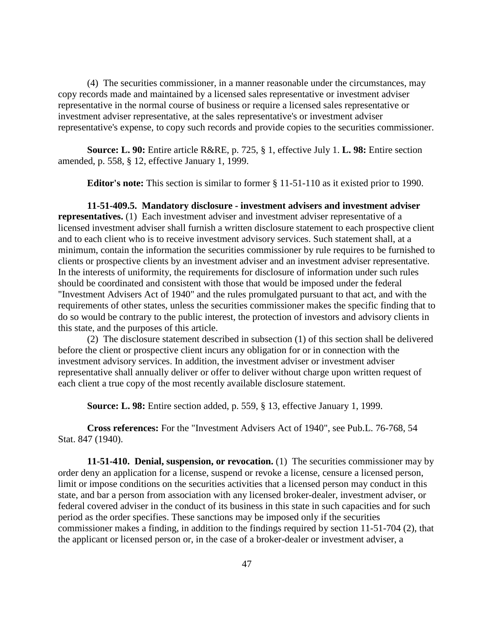(4) The securities commissioner, in a manner reasonable under the circumstances, may copy records made and maintained by a licensed sales representative or investment adviser representative in the normal course of business or require a licensed sales representative or investment adviser representative, at the sales representative's or investment adviser representative's expense, to copy such records and provide copies to the securities commissioner.

**Source: L. 90:** Entire article R&RE, p. 725, § 1, effective July 1. **L. 98:** Entire section amended, p. 558, § 12, effective January 1, 1999.

**Editor's note:** This section is similar to former § 11-51-110 as it existed prior to 1990.

**11-51-409.5. Mandatory disclosure - investment advisers and investment adviser representatives.** (1) Each investment adviser and investment adviser representative of a licensed investment adviser shall furnish a written disclosure statement to each prospective client and to each client who is to receive investment advisory services. Such statement shall, at a minimum, contain the information the securities commissioner by rule requires to be furnished to clients or prospective clients by an investment adviser and an investment adviser representative. In the interests of uniformity, the requirements for disclosure of information under such rules should be coordinated and consistent with those that would be imposed under the federal "Investment Advisers Act of 1940" and the rules promulgated pursuant to that act, and with the requirements of other states, unless the securities commissioner makes the specific finding that to do so would be contrary to the public interest, the protection of investors and advisory clients in this state, and the purposes of this article.

(2) The disclosure statement described in subsection (1) of this section shall be delivered before the client or prospective client incurs any obligation for or in connection with the investment advisory services. In addition, the investment adviser or investment adviser representative shall annually deliver or offer to deliver without charge upon written request of each client a true copy of the most recently available disclosure statement.

**Source: L. 98:** Entire section added, p. 559, § 13, effective January 1, 1999.

**Cross references:** For the "Investment Advisers Act of 1940", see Pub.L. 76-768, 54 Stat. 847 (1940).

**11-51-410. Denial, suspension, or revocation.** (1) The securities commissioner may by order deny an application for a license, suspend or revoke a license, censure a licensed person, limit or impose conditions on the securities activities that a licensed person may conduct in this state, and bar a person from association with any licensed broker-dealer, investment adviser, or federal covered adviser in the conduct of its business in this state in such capacities and for such period as the order specifies. These sanctions may be imposed only if the securities commissioner makes a finding, in addition to the findings required by section 11-51-704 (2), that the applicant or licensed person or, in the case of a broker-dealer or investment adviser, a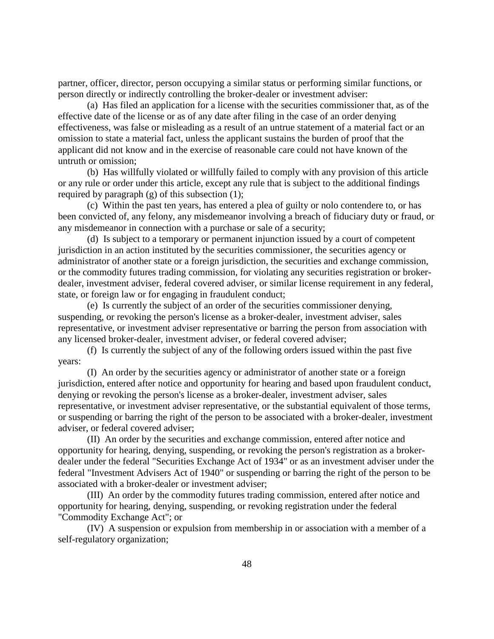partner, officer, director, person occupying a similar status or performing similar functions, or person directly or indirectly controlling the broker-dealer or investment adviser:

(a) Has filed an application for a license with the securities commissioner that, as of the effective date of the license or as of any date after filing in the case of an order denying effectiveness, was false or misleading as a result of an untrue statement of a material fact or an omission to state a material fact, unless the applicant sustains the burden of proof that the applicant did not know and in the exercise of reasonable care could not have known of the untruth or omission;

(b) Has willfully violated or willfully failed to comply with any provision of this article or any rule or order under this article, except any rule that is subject to the additional findings required by paragraph (g) of this subsection (1);

(c) Within the past ten years, has entered a plea of guilty or nolo contendere to, or has been convicted of, any felony, any misdemeanor involving a breach of fiduciary duty or fraud, or any misdemeanor in connection with a purchase or sale of a security;

(d) Is subject to a temporary or permanent injunction issued by a court of competent jurisdiction in an action instituted by the securities commissioner, the securities agency or administrator of another state or a foreign jurisdiction, the securities and exchange commission, or the commodity futures trading commission, for violating any securities registration or brokerdealer, investment adviser, federal covered adviser, or similar license requirement in any federal, state, or foreign law or for engaging in fraudulent conduct;

(e) Is currently the subject of an order of the securities commissioner denying, suspending, or revoking the person's license as a broker-dealer, investment adviser, sales representative, or investment adviser representative or barring the person from association with any licensed broker-dealer, investment adviser, or federal covered adviser;

(f) Is currently the subject of any of the following orders issued within the past five years:

(I) An order by the securities agency or administrator of another state or a foreign jurisdiction, entered after notice and opportunity for hearing and based upon fraudulent conduct, denying or revoking the person's license as a broker-dealer, investment adviser, sales representative, or investment adviser representative, or the substantial equivalent of those terms, or suspending or barring the right of the person to be associated with a broker-dealer, investment adviser, or federal covered adviser;

(II) An order by the securities and exchange commission, entered after notice and opportunity for hearing, denying, suspending, or revoking the person's registration as a brokerdealer under the federal "Securities Exchange Act of 1934" or as an investment adviser under the federal "Investment Advisers Act of 1940" or suspending or barring the right of the person to be associated with a broker-dealer or investment adviser;

(III) An order by the commodity futures trading commission, entered after notice and opportunity for hearing, denying, suspending, or revoking registration under the federal "Commodity Exchange Act"; or

(IV) A suspension or expulsion from membership in or association with a member of a self-regulatory organization;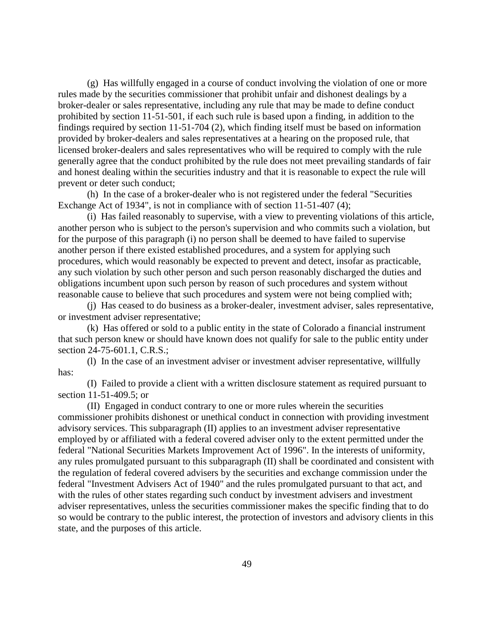(g) Has willfully engaged in a course of conduct involving the violation of one or more rules made by the securities commissioner that prohibit unfair and dishonest dealings by a broker-dealer or sales representative, including any rule that may be made to define conduct prohibited by section 11-51-501, if each such rule is based upon a finding, in addition to the findings required by section 11-51-704 (2), which finding itself must be based on information provided by broker-dealers and sales representatives at a hearing on the proposed rule, that licensed broker-dealers and sales representatives who will be required to comply with the rule generally agree that the conduct prohibited by the rule does not meet prevailing standards of fair and honest dealing within the securities industry and that it is reasonable to expect the rule will prevent or deter such conduct;

(h) In the case of a broker-dealer who is not registered under the federal "Securities Exchange Act of 1934", is not in compliance with of section 11-51-407 (4);

(i) Has failed reasonably to supervise, with a view to preventing violations of this article, another person who is subject to the person's supervision and who commits such a violation, but for the purpose of this paragraph (i) no person shall be deemed to have failed to supervise another person if there existed established procedures, and a system for applying such procedures, which would reasonably be expected to prevent and detect, insofar as practicable, any such violation by such other person and such person reasonably discharged the duties and obligations incumbent upon such person by reason of such procedures and system without reasonable cause to believe that such procedures and system were not being complied with;

(j) Has ceased to do business as a broker-dealer, investment adviser, sales representative, or investment adviser representative;

(k) Has offered or sold to a public entity in the state of Colorado a financial instrument that such person knew or should have known does not qualify for sale to the public entity under section 24-75-601.1, C.R.S.;

(l) In the case of an investment adviser or investment adviser representative, willfully has:

(I) Failed to provide a client with a written disclosure statement as required pursuant to section 11-51-409.5; or

(II) Engaged in conduct contrary to one or more rules wherein the securities commissioner prohibits dishonest or unethical conduct in connection with providing investment advisory services. This subparagraph (II) applies to an investment adviser representative employed by or affiliated with a federal covered adviser only to the extent permitted under the federal "National Securities Markets Improvement Act of 1996". In the interests of uniformity, any rules promulgated pursuant to this subparagraph (II) shall be coordinated and consistent with the regulation of federal covered advisers by the securities and exchange commission under the federal "Investment Advisers Act of 1940" and the rules promulgated pursuant to that act, and with the rules of other states regarding such conduct by investment advisers and investment adviser representatives, unless the securities commissioner makes the specific finding that to do so would be contrary to the public interest, the protection of investors and advisory clients in this state, and the purposes of this article.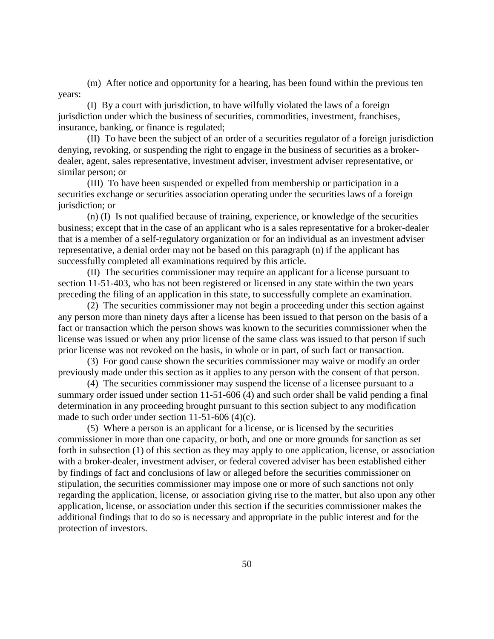(m) After notice and opportunity for a hearing, has been found within the previous ten years:

(I) By a court with jurisdiction, to have wilfully violated the laws of a foreign jurisdiction under which the business of securities, commodities, investment, franchises, insurance, banking, or finance is regulated;

(II) To have been the subject of an order of a securities regulator of a foreign jurisdiction denying, revoking, or suspending the right to engage in the business of securities as a brokerdealer, agent, sales representative, investment adviser, investment adviser representative, or similar person; or

(III) To have been suspended or expelled from membership or participation in a securities exchange or securities association operating under the securities laws of a foreign jurisdiction; or

(n) (I) Is not qualified because of training, experience, or knowledge of the securities business; except that in the case of an applicant who is a sales representative for a broker-dealer that is a member of a self-regulatory organization or for an individual as an investment adviser representative, a denial order may not be based on this paragraph (n) if the applicant has successfully completed all examinations required by this article.

(II) The securities commissioner may require an applicant for a license pursuant to section 11-51-403, who has not been registered or licensed in any state within the two years preceding the filing of an application in this state, to successfully complete an examination.

(2) The securities commissioner may not begin a proceeding under this section against any person more than ninety days after a license has been issued to that person on the basis of a fact or transaction which the person shows was known to the securities commissioner when the license was issued or when any prior license of the same class was issued to that person if such prior license was not revoked on the basis, in whole or in part, of such fact or transaction.

(3) For good cause shown the securities commissioner may waive or modify an order previously made under this section as it applies to any person with the consent of that person.

(4) The securities commissioner may suspend the license of a licensee pursuant to a summary order issued under section 11-51-606 (4) and such order shall be valid pending a final determination in any proceeding brought pursuant to this section subject to any modification made to such order under section 11-51-606 (4)(c).

(5) Where a person is an applicant for a license, or is licensed by the securities commissioner in more than one capacity, or both, and one or more grounds for sanction as set forth in subsection (1) of this section as they may apply to one application, license, or association with a broker-dealer, investment adviser, or federal covered adviser has been established either by findings of fact and conclusions of law or alleged before the securities commissioner on stipulation, the securities commissioner may impose one or more of such sanctions not only regarding the application, license, or association giving rise to the matter, but also upon any other application, license, or association under this section if the securities commissioner makes the additional findings that to do so is necessary and appropriate in the public interest and for the protection of investors.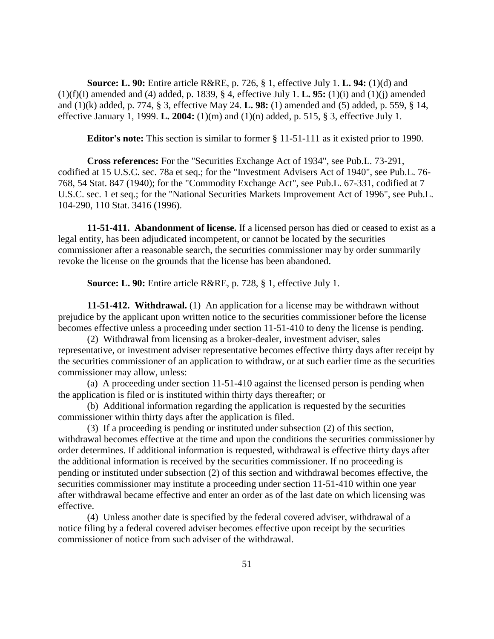**Source: L. 90:** Entire article R&RE, p. 726, § 1, effective July 1. **L. 94:** (1)(d) and (1)(f)(I) amended and (4) added, p. 1839, § 4, effective July 1. **L. 95:** (1)(i) and (1)(j) amended and (1)(k) added, p. 774, § 3, effective May 24. **L. 98:** (1) amended and (5) added, p. 559, § 14, effective January 1, 1999. **L. 2004:** (1)(m) and (1)(n) added, p. 515, § 3, effective July 1.

**Editor's note:** This section is similar to former § 11-51-111 as it existed prior to 1990.

**Cross references:** For the "Securities Exchange Act of 1934", see Pub.L. 73-291, codified at 15 U.S.C. sec. 78a et seq.; for the "Investment Advisers Act of 1940", see Pub.L. 76- 768, 54 Stat. 847 (1940); for the "Commodity Exchange Act", see Pub.L. 67-331, codified at 7 U.S.C. sec. 1 et seq.; for the "National Securities Markets Improvement Act of 1996", see Pub.L. 104-290, 110 Stat. 3416 (1996).

**11-51-411. Abandonment of license.** If a licensed person has died or ceased to exist as a legal entity, has been adjudicated incompetent, or cannot be located by the securities commissioner after a reasonable search, the securities commissioner may by order summarily revoke the license on the grounds that the license has been abandoned.

**Source: L. 90:** Entire article R&RE, p. 728, § 1, effective July 1.

**11-51-412. Withdrawal.** (1) An application for a license may be withdrawn without prejudice by the applicant upon written notice to the securities commissioner before the license becomes effective unless a proceeding under section 11-51-410 to deny the license is pending.

(2) Withdrawal from licensing as a broker-dealer, investment adviser, sales representative, or investment adviser representative becomes effective thirty days after receipt by the securities commissioner of an application to withdraw, or at such earlier time as the securities commissioner may allow, unless:

(a) A proceeding under section 11-51-410 against the licensed person is pending when the application is filed or is instituted within thirty days thereafter; or

(b) Additional information regarding the application is requested by the securities commissioner within thirty days after the application is filed.

(3) If a proceeding is pending or instituted under subsection (2) of this section, withdrawal becomes effective at the time and upon the conditions the securities commissioner by order determines. If additional information is requested, withdrawal is effective thirty days after the additional information is received by the securities commissioner. If no proceeding is pending or instituted under subsection (2) of this section and withdrawal becomes effective, the securities commissioner may institute a proceeding under section 11-51-410 within one year after withdrawal became effective and enter an order as of the last date on which licensing was effective.

(4) Unless another date is specified by the federal covered adviser, withdrawal of a notice filing by a federal covered adviser becomes effective upon receipt by the securities commissioner of notice from such adviser of the withdrawal.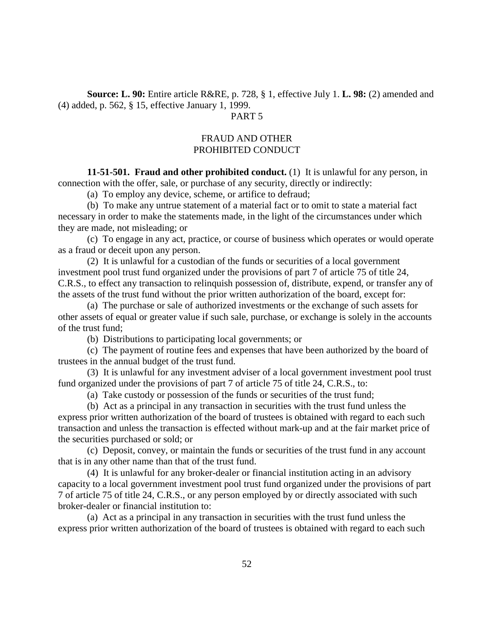**Source: L. 90:** Entire article R&RE, p. 728, § 1, effective July 1. **L. 98:** (2) amended and (4) added, p. 562, § 15, effective January 1, 1999.

## PART 5

# FRAUD AND OTHER PROHIBITED CONDUCT

**11-51-501. Fraud and other prohibited conduct.** (1) It is unlawful for any person, in connection with the offer, sale, or purchase of any security, directly or indirectly:

(a) To employ any device, scheme, or artifice to defraud;

(b) To make any untrue statement of a material fact or to omit to state a material fact necessary in order to make the statements made, in the light of the circumstances under which they are made, not misleading; or

(c) To engage in any act, practice, or course of business which operates or would operate as a fraud or deceit upon any person.

(2) It is unlawful for a custodian of the funds or securities of a local government investment pool trust fund organized under the provisions of part 7 of article 75 of title 24, C.R.S., to effect any transaction to relinquish possession of, distribute, expend, or transfer any of the assets of the trust fund without the prior written authorization of the board, except for:

(a) The purchase or sale of authorized investments or the exchange of such assets for other assets of equal or greater value if such sale, purchase, or exchange is solely in the accounts of the trust fund;

(b) Distributions to participating local governments; or

(c) The payment of routine fees and expenses that have been authorized by the board of trustees in the annual budget of the trust fund.

(3) It is unlawful for any investment adviser of a local government investment pool trust fund organized under the provisions of part 7 of article 75 of title 24, C.R.S., to:

(a) Take custody or possession of the funds or securities of the trust fund;

(b) Act as a principal in any transaction in securities with the trust fund unless the express prior written authorization of the board of trustees is obtained with regard to each such transaction and unless the transaction is effected without mark-up and at the fair market price of the securities purchased or sold; or

(c) Deposit, convey, or maintain the funds or securities of the trust fund in any account that is in any other name than that of the trust fund.

(4) It is unlawful for any broker-dealer or financial institution acting in an advisory capacity to a local government investment pool trust fund organized under the provisions of part 7 of article 75 of title 24, C.R.S., or any person employed by or directly associated with such broker-dealer or financial institution to:

(a) Act as a principal in any transaction in securities with the trust fund unless the express prior written authorization of the board of trustees is obtained with regard to each such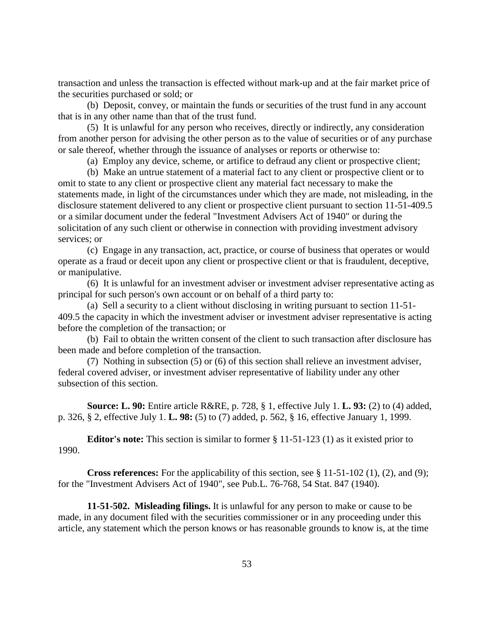transaction and unless the transaction is effected without mark-up and at the fair market price of the securities purchased or sold; or

(b) Deposit, convey, or maintain the funds or securities of the trust fund in any account that is in any other name than that of the trust fund.

(5) It is unlawful for any person who receives, directly or indirectly, any consideration from another person for advising the other person as to the value of securities or of any purchase or sale thereof, whether through the issuance of analyses or reports or otherwise to:

(a) Employ any device, scheme, or artifice to defraud any client or prospective client;

(b) Make an untrue statement of a material fact to any client or prospective client or to omit to state to any client or prospective client any material fact necessary to make the statements made, in light of the circumstances under which they are made, not misleading, in the disclosure statement delivered to any client or prospective client pursuant to section 11-51-409.5 or a similar document under the federal "Investment Advisers Act of 1940" or during the solicitation of any such client or otherwise in connection with providing investment advisory services; or

(c) Engage in any transaction, act, practice, or course of business that operates or would operate as a fraud or deceit upon any client or prospective client or that is fraudulent, deceptive, or manipulative.

(6) It is unlawful for an investment adviser or investment adviser representative acting as principal for such person's own account or on behalf of a third party to:

(a) Sell a security to a client without disclosing in writing pursuant to section 11-51- 409.5 the capacity in which the investment adviser or investment adviser representative is acting before the completion of the transaction; or

(b) Fail to obtain the written consent of the client to such transaction after disclosure has been made and before completion of the transaction.

(7) Nothing in subsection (5) or (6) of this section shall relieve an investment adviser, federal covered adviser, or investment adviser representative of liability under any other subsection of this section.

**Source: L. 90:** Entire article R&RE, p. 728, § 1, effective July 1. **L. 93:** (2) to (4) added, p. 326, § 2, effective July 1. **L. 98:** (5) to (7) added, p. 562, § 16, effective January 1, 1999.

**Editor's note:** This section is similar to former § 11-51-123 (1) as it existed prior to 1990.

**Cross references:** For the applicability of this section, see § 11-51-102 (1), (2), and (9); for the "Investment Advisers Act of 1940", see Pub.L. 76-768, 54 Stat. 847 (1940).

**11-51-502. Misleading filings.** It is unlawful for any person to make or cause to be made, in any document filed with the securities commissioner or in any proceeding under this article, any statement which the person knows or has reasonable grounds to know is, at the time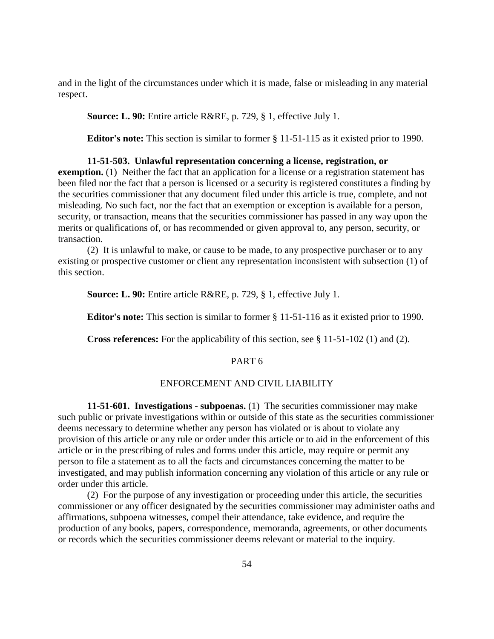and in the light of the circumstances under which it is made, false or misleading in any material respect.

**Source: L. 90:** Entire article R&RE, p. 729, § 1, effective July 1.

**Editor's note:** This section is similar to former § 11-51-115 as it existed prior to 1990.

#### **11-51-503. Unlawful representation concerning a license, registration, or**

**exemption.** (1) Neither the fact that an application for a license or a registration statement has been filed nor the fact that a person is licensed or a security is registered constitutes a finding by the securities commissioner that any document filed under this article is true, complete, and not misleading. No such fact, nor the fact that an exemption or exception is available for a person, security, or transaction, means that the securities commissioner has passed in any way upon the merits or qualifications of, or has recommended or given approval to, any person, security, or transaction.

(2) It is unlawful to make, or cause to be made, to any prospective purchaser or to any existing or prospective customer or client any representation inconsistent with subsection (1) of this section.

**Source: L. 90:** Entire article R&RE, p. 729, § 1, effective July 1.

**Editor's note:** This section is similar to former § 11-51-116 as it existed prior to 1990.

**Cross references:** For the applicability of this section, see § 11-51-102 (1) and (2).

# PART 6

## ENFORCEMENT AND CIVIL LIABILITY

**11-51-601. Investigations - subpoenas.** (1) The securities commissioner may make such public or private investigations within or outside of this state as the securities commissioner deems necessary to determine whether any person has violated or is about to violate any provision of this article or any rule or order under this article or to aid in the enforcement of this article or in the prescribing of rules and forms under this article, may require or permit any person to file a statement as to all the facts and circumstances concerning the matter to be investigated, and may publish information concerning any violation of this article or any rule or order under this article.

(2) For the purpose of any investigation or proceeding under this article, the securities commissioner or any officer designated by the securities commissioner may administer oaths and affirmations, subpoena witnesses, compel their attendance, take evidence, and require the production of any books, papers, correspondence, memoranda, agreements, or other documents or records which the securities commissioner deems relevant or material to the inquiry.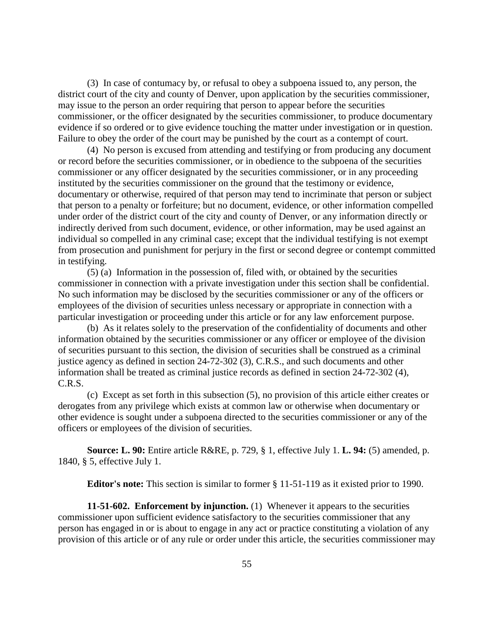(3) In case of contumacy by, or refusal to obey a subpoena issued to, any person, the district court of the city and county of Denver, upon application by the securities commissioner, may issue to the person an order requiring that person to appear before the securities commissioner, or the officer designated by the securities commissioner, to produce documentary evidence if so ordered or to give evidence touching the matter under investigation or in question. Failure to obey the order of the court may be punished by the court as a contempt of court.

(4) No person is excused from attending and testifying or from producing any document or record before the securities commissioner, or in obedience to the subpoena of the securities commissioner or any officer designated by the securities commissioner, or in any proceeding instituted by the securities commissioner on the ground that the testimony or evidence, documentary or otherwise, required of that person may tend to incriminate that person or subject that person to a penalty or forfeiture; but no document, evidence, or other information compelled under order of the district court of the city and county of Denver, or any information directly or indirectly derived from such document, evidence, or other information, may be used against an individual so compelled in any criminal case; except that the individual testifying is not exempt from prosecution and punishment for perjury in the first or second degree or contempt committed in testifying.

(5) (a) Information in the possession of, filed with, or obtained by the securities commissioner in connection with a private investigation under this section shall be confidential. No such information may be disclosed by the securities commissioner or any of the officers or employees of the division of securities unless necessary or appropriate in connection with a particular investigation or proceeding under this article or for any law enforcement purpose.

(b) As it relates solely to the preservation of the confidentiality of documents and other information obtained by the securities commissioner or any officer or employee of the division of securities pursuant to this section, the division of securities shall be construed as a criminal justice agency as defined in section 24-72-302 (3), C.R.S., and such documents and other information shall be treated as criminal justice records as defined in section 24-72-302 (4), C.R.S.

(c) Except as set forth in this subsection (5), no provision of this article either creates or derogates from any privilege which exists at common law or otherwise when documentary or other evidence is sought under a subpoena directed to the securities commissioner or any of the officers or employees of the division of securities.

**Source: L. 90:** Entire article R&RE, p. 729, § 1, effective July 1. **L. 94:** (5) amended, p. 1840, § 5, effective July 1.

**Editor's note:** This section is similar to former § 11-51-119 as it existed prior to 1990.

**11-51-602. Enforcement by injunction.** (1) Whenever it appears to the securities commissioner upon sufficient evidence satisfactory to the securities commissioner that any person has engaged in or is about to engage in any act or practice constituting a violation of any provision of this article or of any rule or order under this article, the securities commissioner may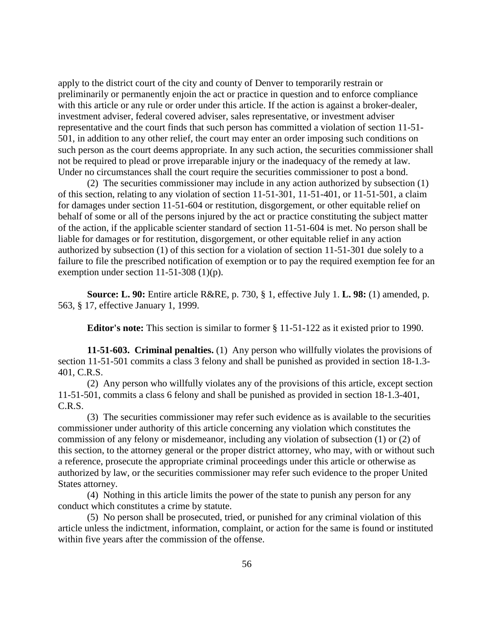apply to the district court of the city and county of Denver to temporarily restrain or preliminarily or permanently enjoin the act or practice in question and to enforce compliance with this article or any rule or order under this article. If the action is against a broker-dealer, investment adviser, federal covered adviser, sales representative, or investment adviser representative and the court finds that such person has committed a violation of section 11-51- 501, in addition to any other relief, the court may enter an order imposing such conditions on such person as the court deems appropriate. In any such action, the securities commissioner shall not be required to plead or prove irreparable injury or the inadequacy of the remedy at law. Under no circumstances shall the court require the securities commissioner to post a bond.

(2) The securities commissioner may include in any action authorized by subsection (1) of this section, relating to any violation of section 11-51-301, 11-51-401, or 11-51-501, a claim for damages under section 11-51-604 or restitution, disgorgement, or other equitable relief on behalf of some or all of the persons injured by the act or practice constituting the subject matter of the action, if the applicable scienter standard of section 11-51-604 is met. No person shall be liable for damages or for restitution, disgorgement, or other equitable relief in any action authorized by subsection (1) of this section for a violation of section 11-51-301 due solely to a failure to file the prescribed notification of exemption or to pay the required exemption fee for an exemption under section 11-51-308 (1)(p).

**Source: L. 90:** Entire article R&RE, p. 730, § 1, effective July 1. **L. 98:** (1) amended, p. 563, § 17, effective January 1, 1999.

**Editor's note:** This section is similar to former § 11-51-122 as it existed prior to 1990.

**11-51-603. Criminal penalties.** (1) Any person who willfully violates the provisions of section 11-51-501 commits a class 3 felony and shall be punished as provided in section 18-1.3- 401, C.R.S.

(2) Any person who willfully violates any of the provisions of this article, except section 11-51-501, commits a class 6 felony and shall be punished as provided in section 18-1.3-401, C.R.S.

(3) The securities commissioner may refer such evidence as is available to the securities commissioner under authority of this article concerning any violation which constitutes the commission of any felony or misdemeanor, including any violation of subsection (1) or (2) of this section, to the attorney general or the proper district attorney, who may, with or without such a reference, prosecute the appropriate criminal proceedings under this article or otherwise as authorized by law, or the securities commissioner may refer such evidence to the proper United States attorney.

(4) Nothing in this article limits the power of the state to punish any person for any conduct which constitutes a crime by statute.

(5) No person shall be prosecuted, tried, or punished for any criminal violation of this article unless the indictment, information, complaint, or action for the same is found or instituted within five years after the commission of the offense.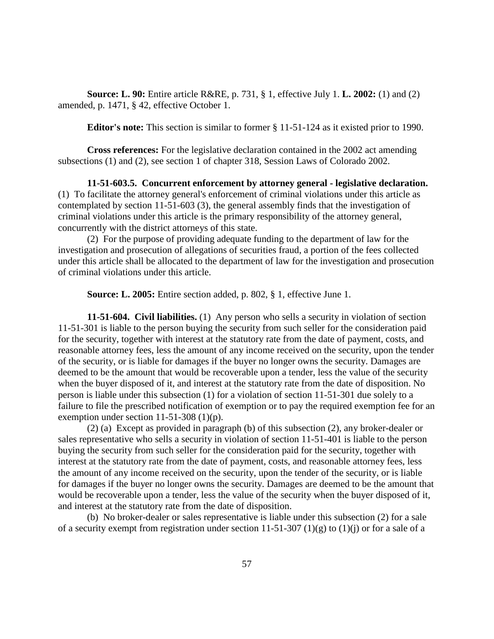**Source: L. 90:** Entire article R&RE, p. 731, § 1, effective July 1. **L. 2002:** (1) and (2) amended, p. 1471, § 42, effective October 1.

**Editor's note:** This section is similar to former § 11-51-124 as it existed prior to 1990.

**Cross references:** For the legislative declaration contained in the 2002 act amending subsections (1) and (2), see section 1 of chapter 318, Session Laws of Colorado 2002.

**11-51-603.5. Concurrent enforcement by attorney general - legislative declaration.**  (1) To facilitate the attorney general's enforcement of criminal violations under this article as contemplated by section 11-51-603 (3), the general assembly finds that the investigation of criminal violations under this article is the primary responsibility of the attorney general, concurrently with the district attorneys of this state.

(2) For the purpose of providing adequate funding to the department of law for the investigation and prosecution of allegations of securities fraud, a portion of the fees collected under this article shall be allocated to the department of law for the investigation and prosecution of criminal violations under this article.

**Source: L. 2005:** Entire section added, p. 802, § 1, effective June 1.

**11-51-604. Civil liabilities.** (1) Any person who sells a security in violation of section 11-51-301 is liable to the person buying the security from such seller for the consideration paid for the security, together with interest at the statutory rate from the date of payment, costs, and reasonable attorney fees, less the amount of any income received on the security, upon the tender of the security, or is liable for damages if the buyer no longer owns the security. Damages are deemed to be the amount that would be recoverable upon a tender, less the value of the security when the buyer disposed of it, and interest at the statutory rate from the date of disposition. No person is liable under this subsection (1) for a violation of section 11-51-301 due solely to a failure to file the prescribed notification of exemption or to pay the required exemption fee for an exemption under section 11-51-308 (1)(p).

(2) (a) Except as provided in paragraph (b) of this subsection (2), any broker-dealer or sales representative who sells a security in violation of section 11-51-401 is liable to the person buying the security from such seller for the consideration paid for the security, together with interest at the statutory rate from the date of payment, costs, and reasonable attorney fees, less the amount of any income received on the security, upon the tender of the security, or is liable for damages if the buyer no longer owns the security. Damages are deemed to be the amount that would be recoverable upon a tender, less the value of the security when the buyer disposed of it, and interest at the statutory rate from the date of disposition.

(b) No broker-dealer or sales representative is liable under this subsection (2) for a sale of a security exempt from registration under section 11-51-307 (1)(g) to (1)(j) or for a sale of a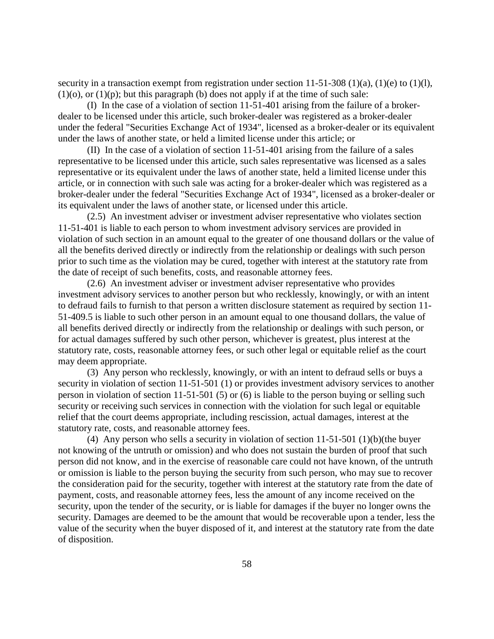security in a transaction exempt from registration under section  $11-51-308$  (1)(a), (1)(e) to (1)(l),  $(1)(o)$ , or  $(1)(p)$ ; but this paragraph (b) does not apply if at the time of such sale:

(I) In the case of a violation of section 11-51-401 arising from the failure of a brokerdealer to be licensed under this article, such broker-dealer was registered as a broker-dealer under the federal "Securities Exchange Act of 1934", licensed as a broker-dealer or its equivalent under the laws of another state, or held a limited license under this article; or

(II) In the case of a violation of section 11-51-401 arising from the failure of a sales representative to be licensed under this article, such sales representative was licensed as a sales representative or its equivalent under the laws of another state, held a limited license under this article, or in connection with such sale was acting for a broker-dealer which was registered as a broker-dealer under the federal "Securities Exchange Act of 1934", licensed as a broker-dealer or its equivalent under the laws of another state, or licensed under this article.

(2.5) An investment adviser or investment adviser representative who violates section 11-51-401 is liable to each person to whom investment advisory services are provided in violation of such section in an amount equal to the greater of one thousand dollars or the value of all the benefits derived directly or indirectly from the relationship or dealings with such person prior to such time as the violation may be cured, together with interest at the statutory rate from the date of receipt of such benefits, costs, and reasonable attorney fees.

(2.6) An investment adviser or investment adviser representative who provides investment advisory services to another person but who recklessly, knowingly, or with an intent to defraud fails to furnish to that person a written disclosure statement as required by section 11- 51-409.5 is liable to such other person in an amount equal to one thousand dollars, the value of all benefits derived directly or indirectly from the relationship or dealings with such person, or for actual damages suffered by such other person, whichever is greatest, plus interest at the statutory rate, costs, reasonable attorney fees, or such other legal or equitable relief as the court may deem appropriate.

(3) Any person who recklessly, knowingly, or with an intent to defraud sells or buys a security in violation of section 11-51-501 (1) or provides investment advisory services to another person in violation of section 11-51-501 (5) or (6) is liable to the person buying or selling such security or receiving such services in connection with the violation for such legal or equitable relief that the court deems appropriate, including rescission, actual damages, interest at the statutory rate, costs, and reasonable attorney fees.

(4) Any person who sells a security in violation of section 11-51-501 (1)(b)(the buyer not knowing of the untruth or omission) and who does not sustain the burden of proof that such person did not know, and in the exercise of reasonable care could not have known, of the untruth or omission is liable to the person buying the security from such person, who may sue to recover the consideration paid for the security, together with interest at the statutory rate from the date of payment, costs, and reasonable attorney fees, less the amount of any income received on the security, upon the tender of the security, or is liable for damages if the buyer no longer owns the security. Damages are deemed to be the amount that would be recoverable upon a tender, less the value of the security when the buyer disposed of it, and interest at the statutory rate from the date of disposition.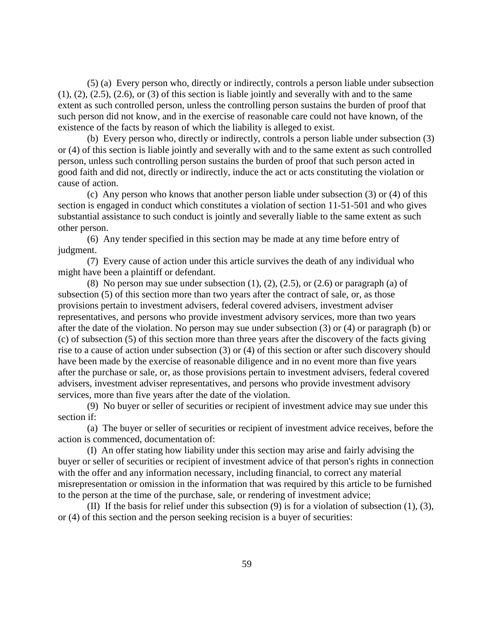(5) (a) Every person who, directly or indirectly, controls a person liable under subsection  $(1)$ ,  $(2)$ ,  $(2.5)$ ,  $(2.6)$ , or  $(3)$  of this section is liable jointly and severally with and to the same extent as such controlled person, unless the controlling person sustains the burden of proof that such person did not know, and in the exercise of reasonable care could not have known, of the existence of the facts by reason of which the liability is alleged to exist.

(b) Every person who, directly or indirectly, controls a person liable under subsection (3) or (4) of this section is liable jointly and severally with and to the same extent as such controlled person, unless such controlling person sustains the burden of proof that such person acted in good faith and did not, directly or indirectly, induce the act or acts constituting the violation or cause of action.

(c) Any person who knows that another person liable under subsection (3) or (4) of this section is engaged in conduct which constitutes a violation of section 11-51-501 and who gives substantial assistance to such conduct is jointly and severally liable to the same extent as such other person.

(6) Any tender specified in this section may be made at any time before entry of judgment.

(7) Every cause of action under this article survives the death of any individual who might have been a plaintiff or defendant.

(8) No person may sue under subsection  $(1)$ ,  $(2)$ ,  $(2.5)$ , or  $(2.6)$  or paragraph  $(a)$  of subsection (5) of this section more than two years after the contract of sale, or, as those provisions pertain to investment advisers, federal covered advisers, investment adviser representatives, and persons who provide investment advisory services, more than two years after the date of the violation. No person may sue under subsection (3) or (4) or paragraph (b) or (c) of subsection (5) of this section more than three years after the discovery of the facts giving rise to a cause of action under subsection (3) or (4) of this section or after such discovery should have been made by the exercise of reasonable diligence and in no event more than five years after the purchase or sale, or, as those provisions pertain to investment advisers, federal covered advisers, investment adviser representatives, and persons who provide investment advisory services, more than five years after the date of the violation.

(9) No buyer or seller of securities or recipient of investment advice may sue under this section if:

(a) The buyer or seller of securities or recipient of investment advice receives, before the action is commenced, documentation of:

(I) An offer stating how liability under this section may arise and fairly advising the buyer or seller of securities or recipient of investment advice of that person's rights in connection with the offer and any information necessary, including financial, to correct any material misrepresentation or omission in the information that was required by this article to be furnished to the person at the time of the purchase, sale, or rendering of investment advice;

(II) If the basis for relief under this subsection (9) is for a violation of subsection (1), (3), or (4) of this section and the person seeking recision is a buyer of securities: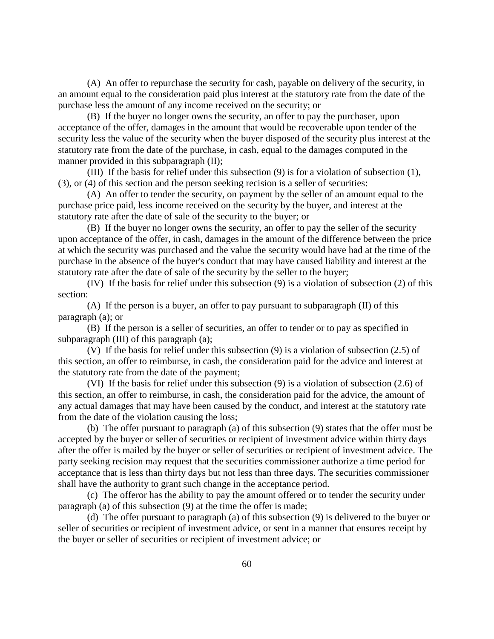(A) An offer to repurchase the security for cash, payable on delivery of the security, in an amount equal to the consideration paid plus interest at the statutory rate from the date of the purchase less the amount of any income received on the security; or

(B) If the buyer no longer owns the security, an offer to pay the purchaser, upon acceptance of the offer, damages in the amount that would be recoverable upon tender of the security less the value of the security when the buyer disposed of the security plus interest at the statutory rate from the date of the purchase, in cash, equal to the damages computed in the manner provided in this subparagraph (II);

(III) If the basis for relief under this subsection (9) is for a violation of subsection (1), (3), or (4) of this section and the person seeking recision is a seller of securities:

(A) An offer to tender the security, on payment by the seller of an amount equal to the purchase price paid, less income received on the security by the buyer, and interest at the statutory rate after the date of sale of the security to the buyer; or

(B) If the buyer no longer owns the security, an offer to pay the seller of the security upon acceptance of the offer, in cash, damages in the amount of the difference between the price at which the security was purchased and the value the security would have had at the time of the purchase in the absence of the buyer's conduct that may have caused liability and interest at the statutory rate after the date of sale of the security by the seller to the buyer;

(IV) If the basis for relief under this subsection (9) is a violation of subsection (2) of this section:

(A) If the person is a buyer, an offer to pay pursuant to subparagraph (II) of this paragraph (a); or

(B) If the person is a seller of securities, an offer to tender or to pay as specified in subparagraph (III) of this paragraph (a);

(V) If the basis for relief under this subsection (9) is a violation of subsection (2.5) of this section, an offer to reimburse, in cash, the consideration paid for the advice and interest at the statutory rate from the date of the payment;

(VI) If the basis for relief under this subsection (9) is a violation of subsection (2.6) of this section, an offer to reimburse, in cash, the consideration paid for the advice, the amount of any actual damages that may have been caused by the conduct, and interest at the statutory rate from the date of the violation causing the loss;

(b) The offer pursuant to paragraph (a) of this subsection (9) states that the offer must be accepted by the buyer or seller of securities or recipient of investment advice within thirty days after the offer is mailed by the buyer or seller of securities or recipient of investment advice. The party seeking recision may request that the securities commissioner authorize a time period for acceptance that is less than thirty days but not less than three days. The securities commissioner shall have the authority to grant such change in the acceptance period.

(c) The offeror has the ability to pay the amount offered or to tender the security under paragraph (a) of this subsection (9) at the time the offer is made;

(d) The offer pursuant to paragraph (a) of this subsection (9) is delivered to the buyer or seller of securities or recipient of investment advice, or sent in a manner that ensures receipt by the buyer or seller of securities or recipient of investment advice; or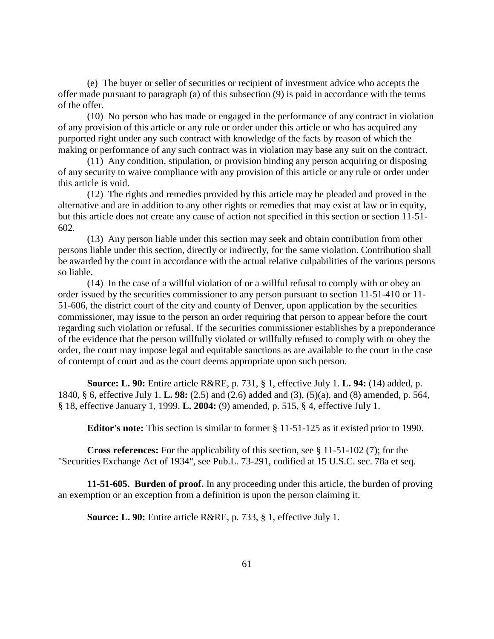(e) The buyer or seller of securities or recipient of investment advice who accepts the offer made pursuant to paragraph (a) of this subsection (9) is paid in accordance with the terms of the offer.

(10) No person who has made or engaged in the performance of any contract in violation of any provision of this article or any rule or order under this article or who has acquired any purported right under any such contract with knowledge of the facts by reason of which the making or performance of any such contract was in violation may base any suit on the contract.

(11) Any condition, stipulation, or provision binding any person acquiring or disposing of any security to waive compliance with any provision of this article or any rule or order under this article is void.

(12) The rights and remedies provided by this article may be pleaded and proved in the alternative and are in addition to any other rights or remedies that may exist at law or in equity, but this article does not create any cause of action not specified in this section or section 11-51- 602.

(13) Any person liable under this section may seek and obtain contribution from other persons liable under this section, directly or indirectly, for the same violation. Contribution shall be awarded by the court in accordance with the actual relative culpabilities of the various persons so liable.

(14) In the case of a willful violation of or a willful refusal to comply with or obey an order issued by the securities commissioner to any person pursuant to section 11-51-410 or 11- 51-606, the district court of the city and county of Denver, upon application by the securities commissioner, may issue to the person an order requiring that person to appear before the court regarding such violation or refusal. If the securities commissioner establishes by a preponderance of the evidence that the person willfully violated or willfully refused to comply with or obey the order, the court may impose legal and equitable sanctions as are available to the court in the case of contempt of court and as the court deems appropriate upon such person.

**Source: L. 90:** Entire article R&RE, p. 731, § 1, effective July 1. **L. 94:** (14) added, p. 1840, § 6, effective July 1. **L. 98:** (2.5) and (2.6) added and (3), (5)(a), and (8) amended, p. 564, § 18, effective January 1, 1999. **L. 2004:** (9) amended, p. 515, § 4, effective July 1.

**Editor's note:** This section is similar to former § 11-51-125 as it existed prior to 1990.

**Cross references:** For the applicability of this section, see § 11-51-102 (7); for the "Securities Exchange Act of 1934", see Pub.L. 73-291, codified at 15 U.S.C. sec. 78a et seq.

**11-51-605. Burden of proof.** In any proceeding under this article, the burden of proving an exemption or an exception from a definition is upon the person claiming it.

**Source: L. 90:** Entire article R&RE, p. 733, § 1, effective July 1.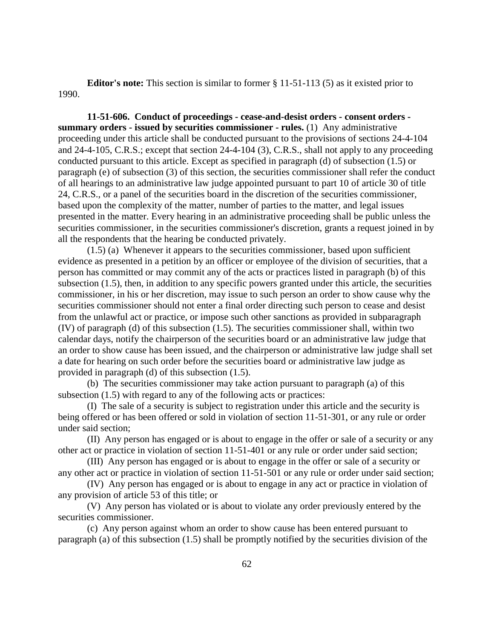**Editor's note:** This section is similar to former § 11-51-113 (5) as it existed prior to 1990.

**11-51-606. Conduct of proceedings - cease-and-desist orders - consent orders summary orders - issued by securities commissioner - rules.** (1) Any administrative proceeding under this article shall be conducted pursuant to the provisions of sections 24-4-104 and 24-4-105, C.R.S.; except that section 24-4-104 (3), C.R.S., shall not apply to any proceeding conducted pursuant to this article. Except as specified in paragraph (d) of subsection (1.5) or paragraph (e) of subsection (3) of this section, the securities commissioner shall refer the conduct of all hearings to an administrative law judge appointed pursuant to part 10 of article 30 of title 24, C.R.S., or a panel of the securities board in the discretion of the securities commissioner, based upon the complexity of the matter, number of parties to the matter, and legal issues presented in the matter. Every hearing in an administrative proceeding shall be public unless the securities commissioner, in the securities commissioner's discretion, grants a request joined in by all the respondents that the hearing be conducted privately.

(1.5) (a) Whenever it appears to the securities commissioner, based upon sufficient evidence as presented in a petition by an officer or employee of the division of securities, that a person has committed or may commit any of the acts or practices listed in paragraph (b) of this subsection (1.5), then, in addition to any specific powers granted under this article, the securities commissioner, in his or her discretion, may issue to such person an order to show cause why the securities commissioner should not enter a final order directing such person to cease and desist from the unlawful act or practice, or impose such other sanctions as provided in subparagraph (IV) of paragraph (d) of this subsection (1.5). The securities commissioner shall, within two calendar days, notify the chairperson of the securities board or an administrative law judge that an order to show cause has been issued, and the chairperson or administrative law judge shall set a date for hearing on such order before the securities board or administrative law judge as provided in paragraph (d) of this subsection (1.5).

(b) The securities commissioner may take action pursuant to paragraph (a) of this subsection (1.5) with regard to any of the following acts or practices:

(I) The sale of a security is subject to registration under this article and the security is being offered or has been offered or sold in violation of section 11-51-301, or any rule or order under said section;

(II) Any person has engaged or is about to engage in the offer or sale of a security or any other act or practice in violation of section 11-51-401 or any rule or order under said section;

(III) Any person has engaged or is about to engage in the offer or sale of a security or any other act or practice in violation of section 11-51-501 or any rule or order under said section;

(IV) Any person has engaged or is about to engage in any act or practice in violation of any provision of article 53 of this title; or

(V) Any person has violated or is about to violate any order previously entered by the securities commissioner.

(c) Any person against whom an order to show cause has been entered pursuant to paragraph (a) of this subsection (1.5) shall be promptly notified by the securities division of the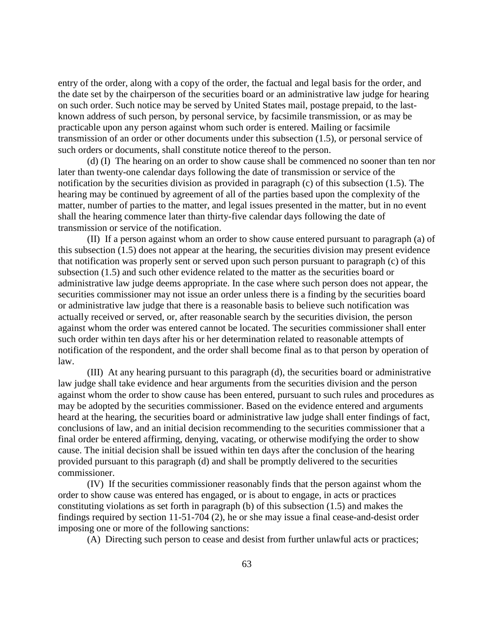entry of the order, along with a copy of the order, the factual and legal basis for the order, and the date set by the chairperson of the securities board or an administrative law judge for hearing on such order. Such notice may be served by United States mail, postage prepaid, to the lastknown address of such person, by personal service, by facsimile transmission, or as may be practicable upon any person against whom such order is entered. Mailing or facsimile transmission of an order or other documents under this subsection (1.5), or personal service of such orders or documents, shall constitute notice thereof to the person.

(d) (I) The hearing on an order to show cause shall be commenced no sooner than ten nor later than twenty-one calendar days following the date of transmission or service of the notification by the securities division as provided in paragraph (c) of this subsection (1.5). The hearing may be continued by agreement of all of the parties based upon the complexity of the matter, number of parties to the matter, and legal issues presented in the matter, but in no event shall the hearing commence later than thirty-five calendar days following the date of transmission or service of the notification.

(II) If a person against whom an order to show cause entered pursuant to paragraph (a) of this subsection (1.5) does not appear at the hearing, the securities division may present evidence that notification was properly sent or served upon such person pursuant to paragraph (c) of this subsection (1.5) and such other evidence related to the matter as the securities board or administrative law judge deems appropriate. In the case where such person does not appear, the securities commissioner may not issue an order unless there is a finding by the securities board or administrative law judge that there is a reasonable basis to believe such notification was actually received or served, or, after reasonable search by the securities division, the person against whom the order was entered cannot be located. The securities commissioner shall enter such order within ten days after his or her determination related to reasonable attempts of notification of the respondent, and the order shall become final as to that person by operation of law.

(III) At any hearing pursuant to this paragraph (d), the securities board or administrative law judge shall take evidence and hear arguments from the securities division and the person against whom the order to show cause has been entered, pursuant to such rules and procedures as may be adopted by the securities commissioner. Based on the evidence entered and arguments heard at the hearing, the securities board or administrative law judge shall enter findings of fact, conclusions of law, and an initial decision recommending to the securities commissioner that a final order be entered affirming, denying, vacating, or otherwise modifying the order to show cause. The initial decision shall be issued within ten days after the conclusion of the hearing provided pursuant to this paragraph (d) and shall be promptly delivered to the securities commissioner.

(IV) If the securities commissioner reasonably finds that the person against whom the order to show cause was entered has engaged, or is about to engage, in acts or practices constituting violations as set forth in paragraph (b) of this subsection (1.5) and makes the findings required by section 11-51-704 (2), he or she may issue a final cease-and-desist order imposing one or more of the following sanctions:

(A) Directing such person to cease and desist from further unlawful acts or practices;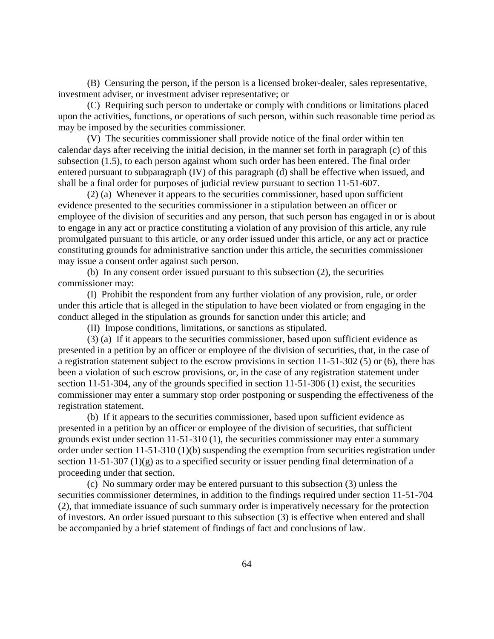(B) Censuring the person, if the person is a licensed broker-dealer, sales representative, investment adviser, or investment adviser representative; or

(C) Requiring such person to undertake or comply with conditions or limitations placed upon the activities, functions, or operations of such person, within such reasonable time period as may be imposed by the securities commissioner.

(V) The securities commissioner shall provide notice of the final order within ten calendar days after receiving the initial decision, in the manner set forth in paragraph (c) of this subsection (1.5), to each person against whom such order has been entered. The final order entered pursuant to subparagraph (IV) of this paragraph (d) shall be effective when issued, and shall be a final order for purposes of judicial review pursuant to section 11-51-607.

(2) (a) Whenever it appears to the securities commissioner, based upon sufficient evidence presented to the securities commissioner in a stipulation between an officer or employee of the division of securities and any person, that such person has engaged in or is about to engage in any act or practice constituting a violation of any provision of this article, any rule promulgated pursuant to this article, or any order issued under this article, or any act or practice constituting grounds for administrative sanction under this article, the securities commissioner may issue a consent order against such person.

(b) In any consent order issued pursuant to this subsection (2), the securities commissioner may:

(I) Prohibit the respondent from any further violation of any provision, rule, or order under this article that is alleged in the stipulation to have been violated or from engaging in the conduct alleged in the stipulation as grounds for sanction under this article; and

(II) Impose conditions, limitations, or sanctions as stipulated.

(3) (a) If it appears to the securities commissioner, based upon sufficient evidence as presented in a petition by an officer or employee of the division of securities, that, in the case of a registration statement subject to the escrow provisions in section 11-51-302 (5) or (6), there has been a violation of such escrow provisions, or, in the case of any registration statement under section 11-51-304, any of the grounds specified in section 11-51-306 (1) exist, the securities commissioner may enter a summary stop order postponing or suspending the effectiveness of the registration statement.

(b) If it appears to the securities commissioner, based upon sufficient evidence as presented in a petition by an officer or employee of the division of securities, that sufficient grounds exist under section 11-51-310 (1), the securities commissioner may enter a summary order under section 11-51-310 (1)(b) suspending the exemption from securities registration under section 11-51-307 (1)(g) as to a specified security or issuer pending final determination of a proceeding under that section.

(c) No summary order may be entered pursuant to this subsection (3) unless the securities commissioner determines, in addition to the findings required under section 11-51-704 (2), that immediate issuance of such summary order is imperatively necessary for the protection of investors. An order issued pursuant to this subsection (3) is effective when entered and shall be accompanied by a brief statement of findings of fact and conclusions of law.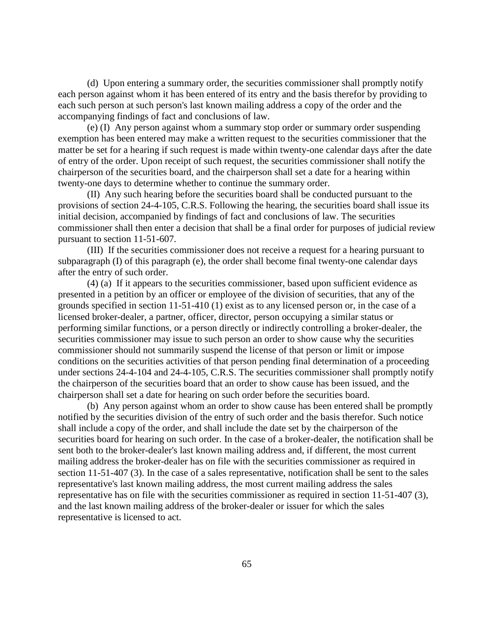(d) Upon entering a summary order, the securities commissioner shall promptly notify each person against whom it has been entered of its entry and the basis therefor by providing to each such person at such person's last known mailing address a copy of the order and the accompanying findings of fact and conclusions of law.

(e) (I) Any person against whom a summary stop order or summary order suspending exemption has been entered may make a written request to the securities commissioner that the matter be set for a hearing if such request is made within twenty-one calendar days after the date of entry of the order. Upon receipt of such request, the securities commissioner shall notify the chairperson of the securities board, and the chairperson shall set a date for a hearing within twenty-one days to determine whether to continue the summary order.

(II) Any such hearing before the securities board shall be conducted pursuant to the provisions of section 24-4-105, C.R.S. Following the hearing, the securities board shall issue its initial decision, accompanied by findings of fact and conclusions of law. The securities commissioner shall then enter a decision that shall be a final order for purposes of judicial review pursuant to section 11-51-607.

(III) If the securities commissioner does not receive a request for a hearing pursuant to subparagraph (I) of this paragraph (e), the order shall become final twenty-one calendar days after the entry of such order.

(4) (a) If it appears to the securities commissioner, based upon sufficient evidence as presented in a petition by an officer or employee of the division of securities, that any of the grounds specified in section 11-51-410 (1) exist as to any licensed person or, in the case of a licensed broker-dealer, a partner, officer, director, person occupying a similar status or performing similar functions, or a person directly or indirectly controlling a broker-dealer, the securities commissioner may issue to such person an order to show cause why the securities commissioner should not summarily suspend the license of that person or limit or impose conditions on the securities activities of that person pending final determination of a proceeding under sections 24-4-104 and 24-4-105, C.R.S. The securities commissioner shall promptly notify the chairperson of the securities board that an order to show cause has been issued, and the chairperson shall set a date for hearing on such order before the securities board.

(b) Any person against whom an order to show cause has been entered shall be promptly notified by the securities division of the entry of such order and the basis therefor. Such notice shall include a copy of the order, and shall include the date set by the chairperson of the securities board for hearing on such order. In the case of a broker-dealer, the notification shall be sent both to the broker-dealer's last known mailing address and, if different, the most current mailing address the broker-dealer has on file with the securities commissioner as required in section 11-51-407 (3). In the case of a sales representative, notification shall be sent to the sales representative's last known mailing address, the most current mailing address the sales representative has on file with the securities commissioner as required in section 11-51-407 (3), and the last known mailing address of the broker-dealer or issuer for which the sales representative is licensed to act.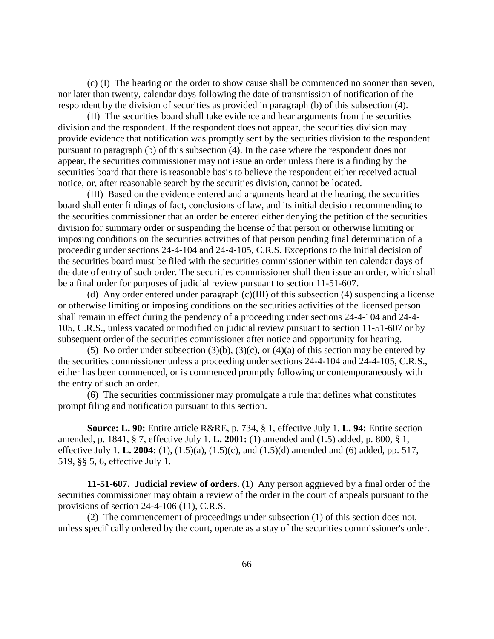(c) (I) The hearing on the order to show cause shall be commenced no sooner than seven, nor later than twenty, calendar days following the date of transmission of notification of the respondent by the division of securities as provided in paragraph (b) of this subsection (4).

(II) The securities board shall take evidence and hear arguments from the securities division and the respondent. If the respondent does not appear, the securities division may provide evidence that notification was promptly sent by the securities division to the respondent pursuant to paragraph (b) of this subsection (4). In the case where the respondent does not appear, the securities commissioner may not issue an order unless there is a finding by the securities board that there is reasonable basis to believe the respondent either received actual notice, or, after reasonable search by the securities division, cannot be located.

(III) Based on the evidence entered and arguments heard at the hearing, the securities board shall enter findings of fact, conclusions of law, and its initial decision recommending to the securities commissioner that an order be entered either denying the petition of the securities division for summary order or suspending the license of that person or otherwise limiting or imposing conditions on the securities activities of that person pending final determination of a proceeding under sections 24-4-104 and 24-4-105, C.R.S. Exceptions to the initial decision of the securities board must be filed with the securities commissioner within ten calendar days of the date of entry of such order. The securities commissioner shall then issue an order, which shall be a final order for purposes of judicial review pursuant to section 11-51-607.

(d) Any order entered under paragraph (c)(III) of this subsection (4) suspending a license or otherwise limiting or imposing conditions on the securities activities of the licensed person shall remain in effect during the pendency of a proceeding under sections 24-4-104 and 24-4- 105, C.R.S., unless vacated or modified on judicial review pursuant to section 11-51-607 or by subsequent order of the securities commissioner after notice and opportunity for hearing.

(5) No order under subsection (3)(b), (3)(c), or (4)(a) of this section may be entered by the securities commissioner unless a proceeding under sections 24-4-104 and 24-4-105, C.R.S., either has been commenced, or is commenced promptly following or contemporaneously with the entry of such an order.

(6) The securities commissioner may promulgate a rule that defines what constitutes prompt filing and notification pursuant to this section.

**Source: L. 90:** Entire article R&RE, p. 734, § 1, effective July 1. **L. 94:** Entire section amended, p. 1841, § 7, effective July 1. **L. 2001:** (1) amended and (1.5) added, p. 800, § 1, effective July 1. **L. 2004:** (1), (1.5)(a), (1.5)(c), and (1.5)(d) amended and (6) added, pp. 517, 519, §§ 5, 6, effective July 1.

**11-51-607. Judicial review of orders.** (1) Any person aggrieved by a final order of the securities commissioner may obtain a review of the order in the court of appeals pursuant to the provisions of section 24-4-106 (11), C.R.S.

(2) The commencement of proceedings under subsection (1) of this section does not, unless specifically ordered by the court, operate as a stay of the securities commissioner's order.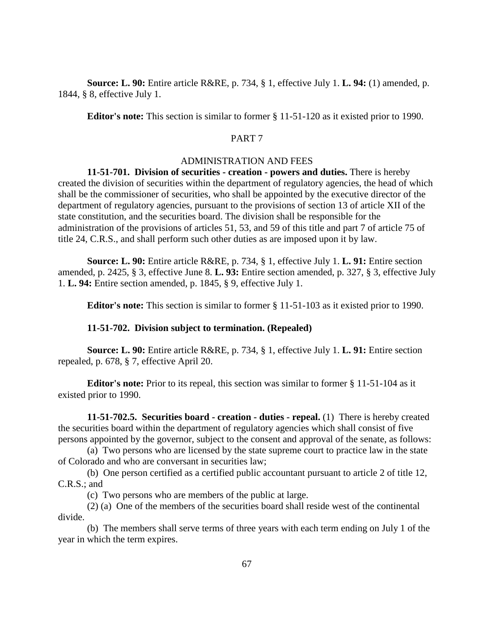**Source: L. 90:** Entire article R&RE, p. 734, § 1, effective July 1. **L. 94:** (1) amended, p. 1844, § 8, effective July 1.

**Editor's note:** This section is similar to former § 11-51-120 as it existed prior to 1990.

## PART 7

#### ADMINISTRATION AND FEES

**11-51-701. Division of securities - creation - powers and duties.** There is hereby created the division of securities within the department of regulatory agencies, the head of which shall be the commissioner of securities, who shall be appointed by the executive director of the department of regulatory agencies, pursuant to the provisions of section 13 of article XII of the state constitution, and the securities board. The division shall be responsible for the administration of the provisions of articles 51, 53, and 59 of this title and part 7 of article 75 of title 24, C.R.S., and shall perform such other duties as are imposed upon it by law.

**Source: L. 90:** Entire article R&RE, p. 734, § 1, effective July 1. **L. 91:** Entire section amended, p. 2425, § 3, effective June 8. **L. 93:** Entire section amended, p. 327, § 3, effective July 1. **L. 94:** Entire section amended, p. 1845, § 9, effective July 1.

**Editor's note:** This section is similar to former § 11-51-103 as it existed prior to 1990.

#### **11-51-702. Division subject to termination. (Repealed)**

**Source: L. 90:** Entire article R&RE, p. 734, § 1, effective July 1. **L. 91:** Entire section repealed, p. 678, § 7, effective April 20.

**Editor's note:** Prior to its repeal, this section was similar to former § 11-51-104 as it existed prior to 1990.

**11-51-702.5. Securities board - creation - duties - repeal.** (1) There is hereby created the securities board within the department of regulatory agencies which shall consist of five persons appointed by the governor, subject to the consent and approval of the senate, as follows:

(a) Two persons who are licensed by the state supreme court to practice law in the state of Colorado and who are conversant in securities law;

(b) One person certified as a certified public accountant pursuant to article 2 of title 12, C.R.S.; and

(c) Two persons who are members of the public at large.

(2) (a) One of the members of the securities board shall reside west of the continental divide.

(b) The members shall serve terms of three years with each term ending on July 1 of the year in which the term expires.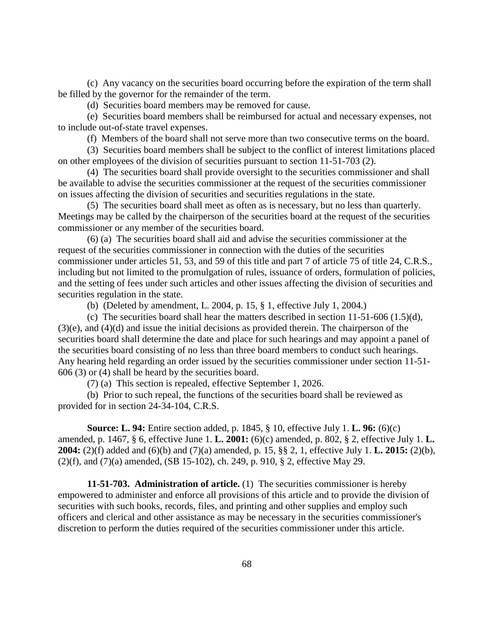(c) Any vacancy on the securities board occurring before the expiration of the term shall be filled by the governor for the remainder of the term.

(d) Securities board members may be removed for cause.

(e) Securities board members shall be reimbursed for actual and necessary expenses, not to include out-of-state travel expenses.

(f) Members of the board shall not serve more than two consecutive terms on the board.

(3) Securities board members shall be subject to the conflict of interest limitations placed on other employees of the division of securities pursuant to section 11-51-703 (2).

(4) The securities board shall provide oversight to the securities commissioner and shall be available to advise the securities commissioner at the request of the securities commissioner on issues affecting the division of securities and securities regulations in the state.

(5) The securities board shall meet as often as is necessary, but no less than quarterly. Meetings may be called by the chairperson of the securities board at the request of the securities commissioner or any member of the securities board.

(6) (a) The securities board shall aid and advise the securities commissioner at the request of the securities commissioner in connection with the duties of the securities commissioner under articles 51, 53, and 59 of this title and part 7 of article 75 of title 24, C.R.S., including but not limited to the promulgation of rules, issuance of orders, formulation of policies, and the setting of fees under such articles and other issues affecting the division of securities and securities regulation in the state.

(b) (Deleted by amendment, L. 2004, p. 15, § 1, effective July 1, 2004.)

(c) The securities board shall hear the matters described in section 11-51-606 (1.5)(d), (3)(e), and (4)(d) and issue the initial decisions as provided therein. The chairperson of the securities board shall determine the date and place for such hearings and may appoint a panel of the securities board consisting of no less than three board members to conduct such hearings. Any hearing held regarding an order issued by the securities commissioner under section 11-51- 606 (3) or (4) shall be heard by the securities board.

(7) (a) This section is repealed, effective September 1, 2026.

(b) Prior to such repeal, the functions of the securities board shall be reviewed as provided for in section 24-34-104, C.R.S.

**Source: L. 94:** Entire section added, p. 1845, § 10, effective July 1. **L. 96:** (6)(c) amended, p. 1467, § 6, effective June 1. **L. 2001:** (6)(c) amended, p. 802, § 2, effective July 1. **L. 2004:** (2)(f) added and (6)(b) and (7)(a) amended, p. 15, §§ 2, 1, effective July 1. **L. 2015:** (2)(b), (2)(f), and (7)(a) amended, (SB 15-102), ch. 249, p. 910, § 2, effective May 29.

**11-51-703. Administration of article.** (1) The securities commissioner is hereby empowered to administer and enforce all provisions of this article and to provide the division of securities with such books, records, files, and printing and other supplies and employ such officers and clerical and other assistance as may be necessary in the securities commissioner's discretion to perform the duties required of the securities commissioner under this article.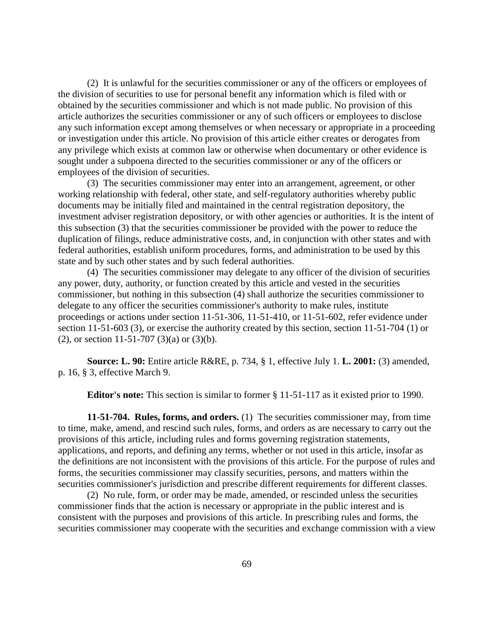(2) It is unlawful for the securities commissioner or any of the officers or employees of the division of securities to use for personal benefit any information which is filed with or obtained by the securities commissioner and which is not made public. No provision of this article authorizes the securities commissioner or any of such officers or employees to disclose any such information except among themselves or when necessary or appropriate in a proceeding or investigation under this article. No provision of this article either creates or derogates from any privilege which exists at common law or otherwise when documentary or other evidence is sought under a subpoena directed to the securities commissioner or any of the officers or employees of the division of securities.

(3) The securities commissioner may enter into an arrangement, agreement, or other working relationship with federal, other state, and self-regulatory authorities whereby public documents may be initially filed and maintained in the central registration depository, the investment adviser registration depository, or with other agencies or authorities. It is the intent of this subsection (3) that the securities commissioner be provided with the power to reduce the duplication of filings, reduce administrative costs, and, in conjunction with other states and with federal authorities, establish uniform procedures, forms, and administration to be used by this state and by such other states and by such federal authorities.

(4) The securities commissioner may delegate to any officer of the division of securities any power, duty, authority, or function created by this article and vested in the securities commissioner, but nothing in this subsection (4) shall authorize the securities commissioner to delegate to any officer the securities commissioner's authority to make rules, institute proceedings or actions under section 11-51-306, 11-51-410, or 11-51-602, refer evidence under section 11-51-603 (3), or exercise the authority created by this section, section 11-51-704 (1) or (2), or section 11-51-707 (3)(a) or (3)(b).

**Source: L. 90:** Entire article R&RE, p. 734, § 1, effective July 1. **L. 2001:** (3) amended, p. 16, § 3, effective March 9.

**Editor's note:** This section is similar to former § 11-51-117 as it existed prior to 1990.

**11-51-704. Rules, forms, and orders.** (1) The securities commissioner may, from time to time, make, amend, and rescind such rules, forms, and orders as are necessary to carry out the provisions of this article, including rules and forms governing registration statements, applications, and reports, and defining any terms, whether or not used in this article, insofar as the definitions are not inconsistent with the provisions of this article. For the purpose of rules and forms, the securities commissioner may classify securities, persons, and matters within the securities commissioner's jurisdiction and prescribe different requirements for different classes.

(2) No rule, form, or order may be made, amended, or rescinded unless the securities commissioner finds that the action is necessary or appropriate in the public interest and is consistent with the purposes and provisions of this article. In prescribing rules and forms, the securities commissioner may cooperate with the securities and exchange commission with a view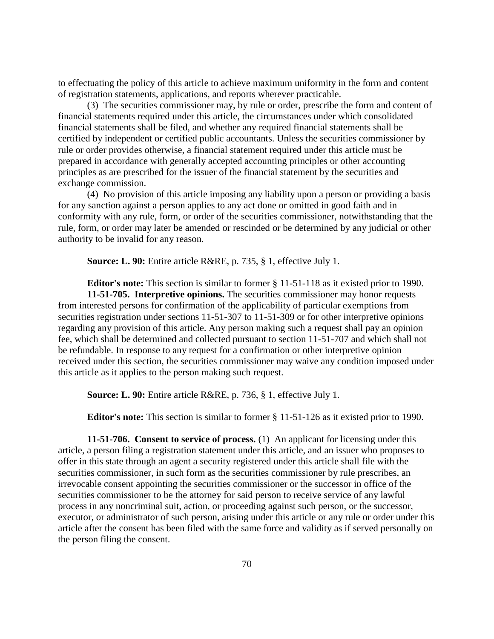to effectuating the policy of this article to achieve maximum uniformity in the form and content of registration statements, applications, and reports wherever practicable.

(3) The securities commissioner may, by rule or order, prescribe the form and content of financial statements required under this article, the circumstances under which consolidated financial statements shall be filed, and whether any required financial statements shall be certified by independent or certified public accountants. Unless the securities commissioner by rule or order provides otherwise, a financial statement required under this article must be prepared in accordance with generally accepted accounting principles or other accounting principles as are prescribed for the issuer of the financial statement by the securities and exchange commission.

(4) No provision of this article imposing any liability upon a person or providing a basis for any sanction against a person applies to any act done or omitted in good faith and in conformity with any rule, form, or order of the securities commissioner, notwithstanding that the rule, form, or order may later be amended or rescinded or be determined by any judicial or other authority to be invalid for any reason.

**Source: L. 90:** Entire article R&RE, p. 735, § 1, effective July 1.

**Editor's note:** This section is similar to former § 11-51-118 as it existed prior to 1990. **11-51-705. Interpretive opinions.** The securities commissioner may honor requests from interested persons for confirmation of the applicability of particular exemptions from securities registration under sections 11-51-307 to 11-51-309 or for other interpretive opinions regarding any provision of this article. Any person making such a request shall pay an opinion fee, which shall be determined and collected pursuant to section 11-51-707 and which shall not be refundable. In response to any request for a confirmation or other interpretive opinion received under this section, the securities commissioner may waive any condition imposed under this article as it applies to the person making such request.

**Source: L. 90:** Entire article R&RE, p. 736, § 1, effective July 1.

**Editor's note:** This section is similar to former § 11-51-126 as it existed prior to 1990.

**11-51-706. Consent to service of process.** (1) An applicant for licensing under this article, a person filing a registration statement under this article, and an issuer who proposes to offer in this state through an agent a security registered under this article shall file with the securities commissioner, in such form as the securities commissioner by rule prescribes, an irrevocable consent appointing the securities commissioner or the successor in office of the securities commissioner to be the attorney for said person to receive service of any lawful process in any noncriminal suit, action, or proceeding against such person, or the successor, executor, or administrator of such person, arising under this article or any rule or order under this article after the consent has been filed with the same force and validity as if served personally on the person filing the consent.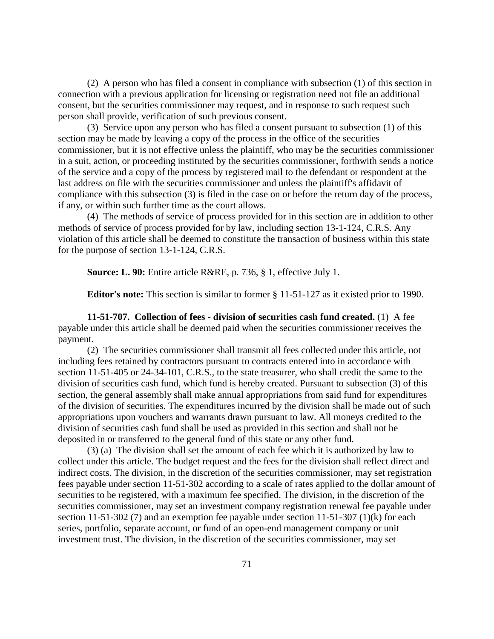(2) A person who has filed a consent in compliance with subsection (1) of this section in connection with a previous application for licensing or registration need not file an additional consent, but the securities commissioner may request, and in response to such request such person shall provide, verification of such previous consent.

(3) Service upon any person who has filed a consent pursuant to subsection (1) of this section may be made by leaving a copy of the process in the office of the securities commissioner, but it is not effective unless the plaintiff, who may be the securities commissioner in a suit, action, or proceeding instituted by the securities commissioner, forthwith sends a notice of the service and a copy of the process by registered mail to the defendant or respondent at the last address on file with the securities commissioner and unless the plaintiff's affidavit of compliance with this subsection (3) is filed in the case on or before the return day of the process, if any, or within such further time as the court allows.

(4) The methods of service of process provided for in this section are in addition to other methods of service of process provided for by law, including section 13-1-124, C.R.S. Any violation of this article shall be deemed to constitute the transaction of business within this state for the purpose of section 13-1-124, C.R.S.

**Source: L. 90:** Entire article R&RE, p. 736, § 1, effective July 1.

**Editor's note:** This section is similar to former § 11-51-127 as it existed prior to 1990.

**11-51-707. Collection of fees - division of securities cash fund created.** (1) A fee payable under this article shall be deemed paid when the securities commissioner receives the payment.

(2) The securities commissioner shall transmit all fees collected under this article, not including fees retained by contractors pursuant to contracts entered into in accordance with section 11-51-405 or 24-34-101, C.R.S., to the state treasurer, who shall credit the same to the division of securities cash fund, which fund is hereby created. Pursuant to subsection (3) of this section, the general assembly shall make annual appropriations from said fund for expenditures of the division of securities. The expenditures incurred by the division shall be made out of such appropriations upon vouchers and warrants drawn pursuant to law. All moneys credited to the division of securities cash fund shall be used as provided in this section and shall not be deposited in or transferred to the general fund of this state or any other fund.

(3) (a) The division shall set the amount of each fee which it is authorized by law to collect under this article. The budget request and the fees for the division shall reflect direct and indirect costs. The division, in the discretion of the securities commissioner, may set registration fees payable under section 11-51-302 according to a scale of rates applied to the dollar amount of securities to be registered, with a maximum fee specified. The division, in the discretion of the securities commissioner, may set an investment company registration renewal fee payable under section 11-51-302 (7) and an exemption fee payable under section 11-51-307 (1)(k) for each series, portfolio, separate account, or fund of an open-end management company or unit investment trust. The division, in the discretion of the securities commissioner, may set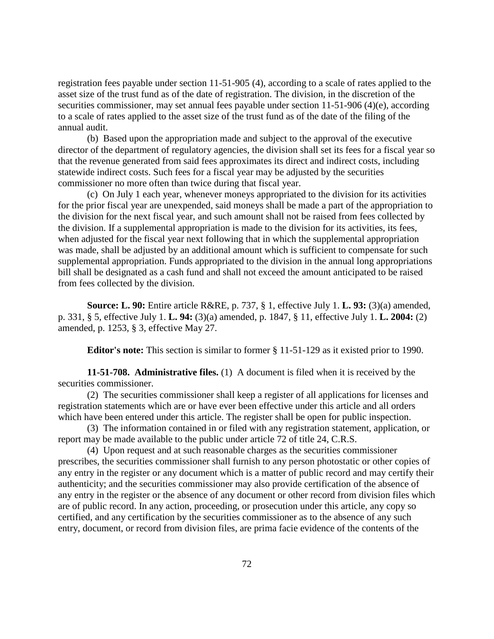registration fees payable under section 11-51-905 (4), according to a scale of rates applied to the asset size of the trust fund as of the date of registration. The division, in the discretion of the securities commissioner, may set annual fees payable under section 11-51-906 (4)(e), according to a scale of rates applied to the asset size of the trust fund as of the date of the filing of the annual audit.

(b) Based upon the appropriation made and subject to the approval of the executive director of the department of regulatory agencies, the division shall set its fees for a fiscal year so that the revenue generated from said fees approximates its direct and indirect costs, including statewide indirect costs. Such fees for a fiscal year may be adjusted by the securities commissioner no more often than twice during that fiscal year.

(c) On July 1 each year, whenever moneys appropriated to the division for its activities for the prior fiscal year are unexpended, said moneys shall be made a part of the appropriation to the division for the next fiscal year, and such amount shall not be raised from fees collected by the division. If a supplemental appropriation is made to the division for its activities, its fees, when adjusted for the fiscal year next following that in which the supplemental appropriation was made, shall be adjusted by an additional amount which is sufficient to compensate for such supplemental appropriation. Funds appropriated to the division in the annual long appropriations bill shall be designated as a cash fund and shall not exceed the amount anticipated to be raised from fees collected by the division.

**Source: L. 90:** Entire article R&RE, p. 737, § 1, effective July 1. **L. 93:** (3)(a) amended, p. 331, § 5, effective July 1. **L. 94:** (3)(a) amended, p. 1847, § 11, effective July 1. **L. 2004:** (2) amended, p. 1253, § 3, effective May 27.

**Editor's note:** This section is similar to former § 11-51-129 as it existed prior to 1990.

**11-51-708. Administrative files.** (1) A document is filed when it is received by the securities commissioner.

(2) The securities commissioner shall keep a register of all applications for licenses and registration statements which are or have ever been effective under this article and all orders which have been entered under this article. The register shall be open for public inspection.

(3) The information contained in or filed with any registration statement, application, or report may be made available to the public under article 72 of title 24, C.R.S.

(4) Upon request and at such reasonable charges as the securities commissioner prescribes, the securities commissioner shall furnish to any person photostatic or other copies of any entry in the register or any document which is a matter of public record and may certify their authenticity; and the securities commissioner may also provide certification of the absence of any entry in the register or the absence of any document or other record from division files which are of public record. In any action, proceeding, or prosecution under this article, any copy so certified, and any certification by the securities commissioner as to the absence of any such entry, document, or record from division files, are prima facie evidence of the contents of the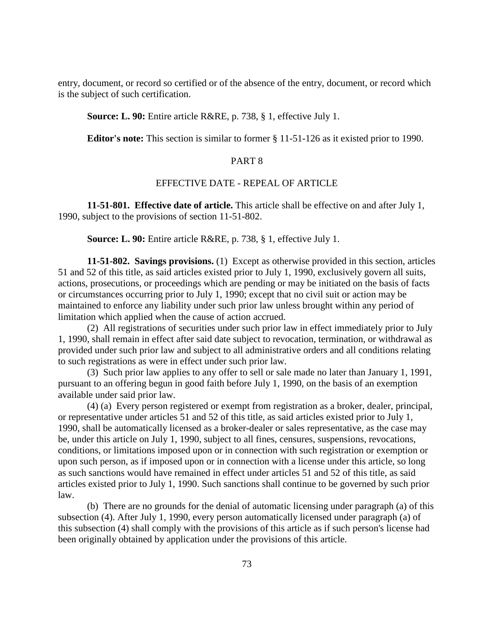entry, document, or record so certified or of the absence of the entry, document, or record which is the subject of such certification.

## **Source: L. 90:** Entire article R&RE, p. 738, § 1, effective July 1.

**Editor's note:** This section is similar to former § 11-51-126 as it existed prior to 1990.

# PART 8

### EFFECTIVE DATE - REPEAL OF ARTICLE

**11-51-801. Effective date of article.** This article shall be effective on and after July 1, 1990, subject to the provisions of section 11-51-802.

**Source: L. 90:** Entire article R&RE, p. 738, § 1, effective July 1.

**11-51-802. Savings provisions.** (1) Except as otherwise provided in this section, articles 51 and 52 of this title, as said articles existed prior to July 1, 1990, exclusively govern all suits, actions, prosecutions, or proceedings which are pending or may be initiated on the basis of facts or circumstances occurring prior to July 1, 1990; except that no civil suit or action may be maintained to enforce any liability under such prior law unless brought within any period of limitation which applied when the cause of action accrued.

(2) All registrations of securities under such prior law in effect immediately prior to July 1, 1990, shall remain in effect after said date subject to revocation, termination, or withdrawal as provided under such prior law and subject to all administrative orders and all conditions relating to such registrations as were in effect under such prior law.

(3) Such prior law applies to any offer to sell or sale made no later than January 1, 1991, pursuant to an offering begun in good faith before July 1, 1990, on the basis of an exemption available under said prior law.

(4) (a) Every person registered or exempt from registration as a broker, dealer, principal, or representative under articles 51 and 52 of this title, as said articles existed prior to July 1, 1990, shall be automatically licensed as a broker-dealer or sales representative, as the case may be, under this article on July 1, 1990, subject to all fines, censures, suspensions, revocations, conditions, or limitations imposed upon or in connection with such registration or exemption or upon such person, as if imposed upon or in connection with a license under this article, so long as such sanctions would have remained in effect under articles 51 and 52 of this title, as said articles existed prior to July 1, 1990. Such sanctions shall continue to be governed by such prior law.

(b) There are no grounds for the denial of automatic licensing under paragraph (a) of this subsection (4). After July 1, 1990, every person automatically licensed under paragraph (a) of this subsection (4) shall comply with the provisions of this article as if such person's license had been originally obtained by application under the provisions of this article.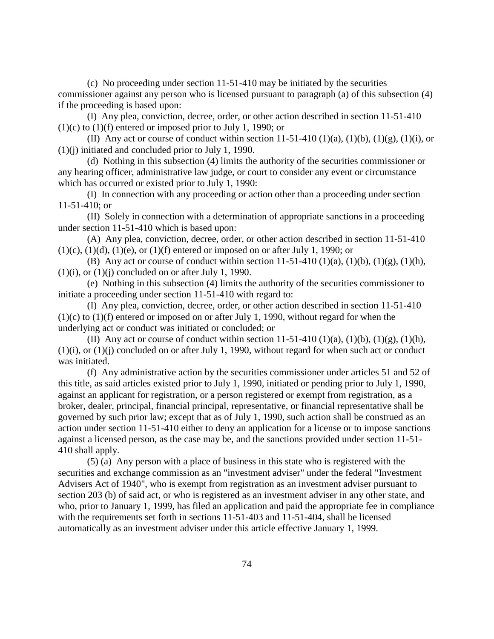(c) No proceeding under section 11-51-410 may be initiated by the securities commissioner against any person who is licensed pursuant to paragraph (a) of this subsection (4) if the proceeding is based upon:

(I) Any plea, conviction, decree, order, or other action described in section 11-51-410  $(1)(c)$  to  $(1)(f)$  entered or imposed prior to July 1, 1990; or

(II) Any act or course of conduct within section 11-51-410 (1)(a), (1)(b), (1)(g), (1)(i), or (1)(j) initiated and concluded prior to July 1, 1990.

(d) Nothing in this subsection (4) limits the authority of the securities commissioner or any hearing officer, administrative law judge, or court to consider any event or circumstance which has occurred or existed prior to July 1, 1990:

(I) In connection with any proceeding or action other than a proceeding under section 11-51-410; or

(II) Solely in connection with a determination of appropriate sanctions in a proceeding under section 11-51-410 which is based upon:

(A) Any plea, conviction, decree, order, or other action described in section 11-51-410  $(1)(c)$ ,  $(1)(d)$ ,  $(1)(e)$ , or  $(1)(f)$  entered or imposed on or after July 1, 1990; or

(B) Any act or course of conduct within section  $11-51-410$  (1)(a), (1)(b), (1)(g), (1)(h),  $(1)(i)$ , or  $(1)(i)$  concluded on or after July 1, 1990.

(e) Nothing in this subsection (4) limits the authority of the securities commissioner to initiate a proceeding under section 11-51-410 with regard to:

(I) Any plea, conviction, decree, order, or other action described in section 11-51-410  $(1)(c)$  to  $(1)(f)$  entered or imposed on or after July 1, 1990, without regard for when the underlying act or conduct was initiated or concluded; or

(II) Any act or course of conduct within section 11-51-410 (1)(a), (1)(b), (1)(g), (1)(h), (1)(i), or (1)(j) concluded on or after July 1, 1990, without regard for when such act or conduct was initiated.

(f) Any administrative action by the securities commissioner under articles 51 and 52 of this title, as said articles existed prior to July 1, 1990, initiated or pending prior to July 1, 1990, against an applicant for registration, or a person registered or exempt from registration, as a broker, dealer, principal, financial principal, representative, or financial representative shall be governed by such prior law; except that as of July 1, 1990, such action shall be construed as an action under section 11-51-410 either to deny an application for a license or to impose sanctions against a licensed person, as the case may be, and the sanctions provided under section 11-51- 410 shall apply.

(5) (a) Any person with a place of business in this state who is registered with the securities and exchange commission as an "investment adviser" under the federal "Investment Advisers Act of 1940", who is exempt from registration as an investment adviser pursuant to section 203 (b) of said act, or who is registered as an investment adviser in any other state, and who, prior to January 1, 1999, has filed an application and paid the appropriate fee in compliance with the requirements set forth in sections 11-51-403 and 11-51-404, shall be licensed automatically as an investment adviser under this article effective January 1, 1999.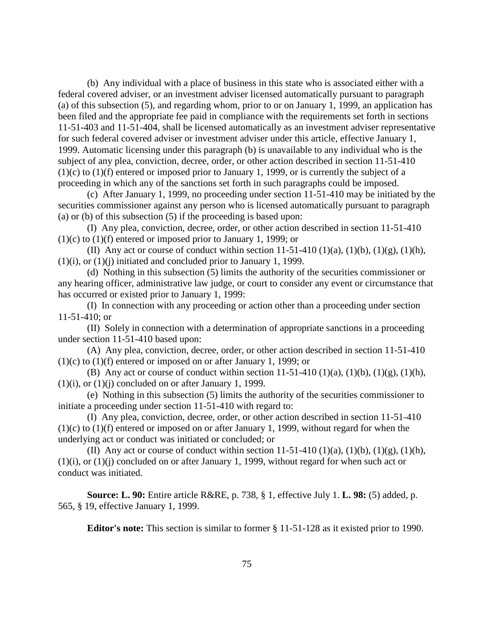(b) Any individual with a place of business in this state who is associated either with a federal covered adviser, or an investment adviser licensed automatically pursuant to paragraph (a) of this subsection (5), and regarding whom, prior to or on January 1, 1999, an application has been filed and the appropriate fee paid in compliance with the requirements set forth in sections 11-51-403 and 11-51-404, shall be licensed automatically as an investment adviser representative for such federal covered adviser or investment adviser under this article, effective January 1, 1999. Automatic licensing under this paragraph (b) is unavailable to any individual who is the subject of any plea, conviction, decree, order, or other action described in section 11-51-410  $(1)(c)$  to  $(1)(f)$  entered or imposed prior to January 1, 1999, or is currently the subject of a proceeding in which any of the sanctions set forth in such paragraphs could be imposed.

(c) After January 1, 1999, no proceeding under section 11-51-410 may be initiated by the securities commissioner against any person who is licensed automatically pursuant to paragraph (a) or (b) of this subsection (5) if the proceeding is based upon:

(I) Any plea, conviction, decree, order, or other action described in section 11-51-410 (1)(c) to (1)(f) entered or imposed prior to January 1, 1999; or

(II) Any act or course of conduct within section 11-51-410 (1)(a), (1)(b), (1)(g), (1)(h), (1)(i), or (1)(j) initiated and concluded prior to January 1, 1999.

(d) Nothing in this subsection (5) limits the authority of the securities commissioner or any hearing officer, administrative law judge, or court to consider any event or circumstance that has occurred or existed prior to January 1, 1999:

(I) In connection with any proceeding or action other than a proceeding under section 11-51-410; or

(II) Solely in connection with a determination of appropriate sanctions in a proceeding under section 11-51-410 based upon:

(A) Any plea, conviction, decree, order, or other action described in section 11-51-410 (1)(c) to (1)(f) entered or imposed on or after January 1, 1999; or

(B) Any act or course of conduct within section  $11-51-410$  (1)(a), (1)(b), (1)(g), (1)(h),  $(1)(i)$ , or  $(1)(j)$  concluded on or after January 1, 1999.

(e) Nothing in this subsection (5) limits the authority of the securities commissioner to initiate a proceeding under section 11-51-410 with regard to:

(I) Any plea, conviction, decree, order, or other action described in section 11-51-410  $(1)(c)$  to  $(1)(f)$  entered or imposed on or after January 1, 1999, without regard for when the underlying act or conduct was initiated or concluded; or

(II) Any act or course of conduct within section 11-51-410 (1)(a), (1)(b), (1)(g), (1)(h), (1)(i), or (1)(j) concluded on or after January 1, 1999, without regard for when such act or conduct was initiated.

**Source: L. 90:** Entire article R&RE, p. 738, § 1, effective July 1. **L. 98:** (5) added, p. 565, § 19, effective January 1, 1999.

**Editor's note:** This section is similar to former § 11-51-128 as it existed prior to 1990.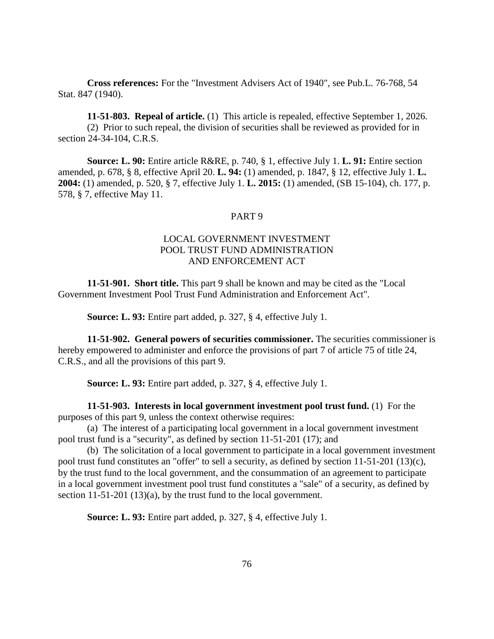**Cross references:** For the "Investment Advisers Act of 1940", see Pub.L. 76-768, 54 Stat. 847 (1940).

**11-51-803. Repeal of article.** (1) This article is repealed, effective September 1, 2026. (2) Prior to such repeal, the division of securities shall be reviewed as provided for in section 24-34-104, C.R.S.

**Source: L. 90:** Entire article R&RE, p. 740, § 1, effective July 1. **L. 91:** Entire section amended, p. 678, § 8, effective April 20. **L. 94:** (1) amended, p. 1847, § 12, effective July 1. **L. 2004:** (1) amended, p. 520, § 7, effective July 1. **L. 2015:** (1) amended, (SB 15-104), ch. 177, p. 578, § 7, effective May 11.

#### PART 9

# LOCAL GOVERNMENT INVESTMENT POOL TRUST FUND ADMINISTRATION AND ENFORCEMENT ACT

**11-51-901. Short title.** This part 9 shall be known and may be cited as the "Local Government Investment Pool Trust Fund Administration and Enforcement Act".

**Source: L. 93:** Entire part added, p. 327, § 4, effective July 1.

**11-51-902. General powers of securities commissioner.** The securities commissioner is hereby empowered to administer and enforce the provisions of part 7 of article 75 of title 24, C.R.S., and all the provisions of this part 9.

**Source: L. 93:** Entire part added, p. 327, § 4, effective July 1.

**11-51-903. Interests in local government investment pool trust fund.** (1) For the purposes of this part 9, unless the context otherwise requires:

(a) The interest of a participating local government in a local government investment pool trust fund is a "security", as defined by section 11-51-201 (17); and

(b) The solicitation of a local government to participate in a local government investment pool trust fund constitutes an "offer" to sell a security, as defined by section 11-51-201 (13)(c), by the trust fund to the local government, and the consummation of an agreement to participate in a local government investment pool trust fund constitutes a "sale" of a security, as defined by section 11-51-201 (13)(a), by the trust fund to the local government.

**Source: L. 93:** Entire part added, p. 327, § 4, effective July 1.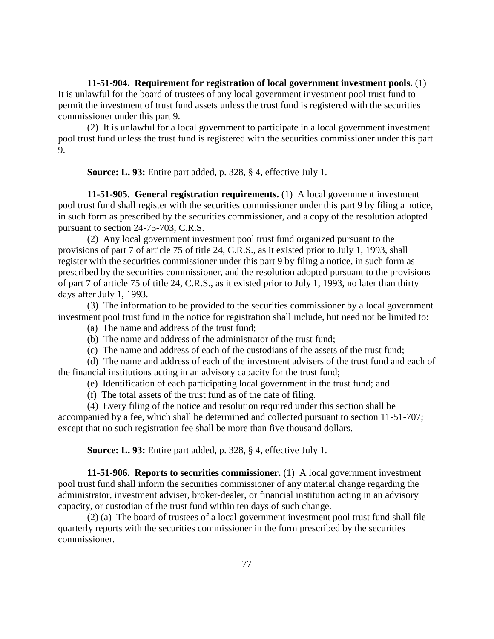**11-51-904. Requirement for registration of local government investment pools.** (1) It is unlawful for the board of trustees of any local government investment pool trust fund to permit the investment of trust fund assets unless the trust fund is registered with the securities commissioner under this part 9.

(2) It is unlawful for a local government to participate in a local government investment pool trust fund unless the trust fund is registered with the securities commissioner under this part 9.

**Source: L. 93:** Entire part added, p. 328, § 4, effective July 1.

**11-51-905. General registration requirements.** (1) A local government investment pool trust fund shall register with the securities commissioner under this part 9 by filing a notice, in such form as prescribed by the securities commissioner, and a copy of the resolution adopted pursuant to section 24-75-703, C.R.S.

(2) Any local government investment pool trust fund organized pursuant to the provisions of part 7 of article 75 of title 24, C.R.S., as it existed prior to July 1, 1993, shall register with the securities commissioner under this part 9 by filing a notice, in such form as prescribed by the securities commissioner, and the resolution adopted pursuant to the provisions of part 7 of article 75 of title 24, C.R.S., as it existed prior to July 1, 1993, no later than thirty days after July 1, 1993.

(3) The information to be provided to the securities commissioner by a local government investment pool trust fund in the notice for registration shall include, but need not be limited to:

- (a) The name and address of the trust fund;
- (b) The name and address of the administrator of the trust fund;
- (c) The name and address of each of the custodians of the assets of the trust fund;

(d) The name and address of each of the investment advisers of the trust fund and each of the financial institutions acting in an advisory capacity for the trust fund;

- (e) Identification of each participating local government in the trust fund; and
- (f) The total assets of the trust fund as of the date of filing.

(4) Every filing of the notice and resolution required under this section shall be accompanied by a fee, which shall be determined and collected pursuant to section 11-51-707; except that no such registration fee shall be more than five thousand dollars.

**Source: L. 93:** Entire part added, p. 328, § 4, effective July 1.

**11-51-906. Reports to securities commissioner.** (1) A local government investment pool trust fund shall inform the securities commissioner of any material change regarding the administrator, investment adviser, broker-dealer, or financial institution acting in an advisory capacity, or custodian of the trust fund within ten days of such change.

(2) (a) The board of trustees of a local government investment pool trust fund shall file quarterly reports with the securities commissioner in the form prescribed by the securities commissioner.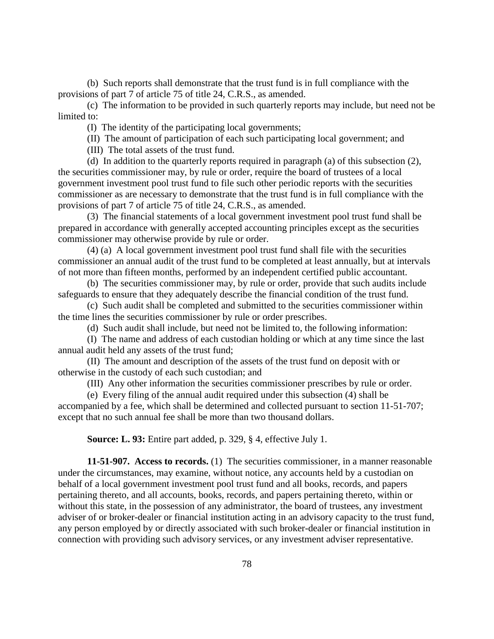(b) Such reports shall demonstrate that the trust fund is in full compliance with the provisions of part 7 of article 75 of title 24, C.R.S., as amended.

(c) The information to be provided in such quarterly reports may include, but need not be limited to:

(I) The identity of the participating local governments;

(II) The amount of participation of each such participating local government; and

(III) The total assets of the trust fund.

(d) In addition to the quarterly reports required in paragraph (a) of this subsection (2), the securities commissioner may, by rule or order, require the board of trustees of a local government investment pool trust fund to file such other periodic reports with the securities commissioner as are necessary to demonstrate that the trust fund is in full compliance with the provisions of part 7 of article 75 of title 24, C.R.S., as amended.

(3) The financial statements of a local government investment pool trust fund shall be prepared in accordance with generally accepted accounting principles except as the securities commissioner may otherwise provide by rule or order.

(4) (a) A local government investment pool trust fund shall file with the securities commissioner an annual audit of the trust fund to be completed at least annually, but at intervals of not more than fifteen months, performed by an independent certified public accountant.

(b) The securities commissioner may, by rule or order, provide that such audits include safeguards to ensure that they adequately describe the financial condition of the trust fund.

(c) Such audit shall be completed and submitted to the securities commissioner within the time lines the securities commissioner by rule or order prescribes.

(d) Such audit shall include, but need not be limited to, the following information:

(I) The name and address of each custodian holding or which at any time since the last annual audit held any assets of the trust fund;

(II) The amount and description of the assets of the trust fund on deposit with or otherwise in the custody of each such custodian; and

(III) Any other information the securities commissioner prescribes by rule or order.

(e) Every filing of the annual audit required under this subsection (4) shall be accompanied by a fee, which shall be determined and collected pursuant to section 11-51-707; except that no such annual fee shall be more than two thousand dollars.

**Source: L. 93:** Entire part added, p. 329, § 4, effective July 1.

**11-51-907. Access to records.** (1) The securities commissioner, in a manner reasonable under the circumstances, may examine, without notice, any accounts held by a custodian on behalf of a local government investment pool trust fund and all books, records, and papers pertaining thereto, and all accounts, books, records, and papers pertaining thereto, within or without this state, in the possession of any administrator, the board of trustees, any investment adviser of or broker-dealer or financial institution acting in an advisory capacity to the trust fund, any person employed by or directly associated with such broker-dealer or financial institution in connection with providing such advisory services, or any investment adviser representative.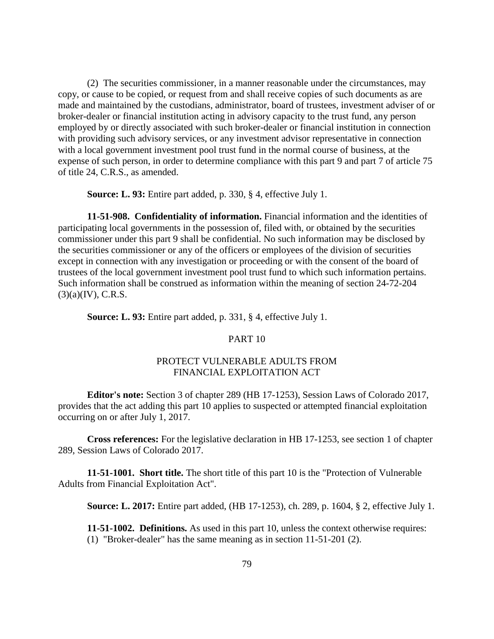(2) The securities commissioner, in a manner reasonable under the circumstances, may copy, or cause to be copied, or request from and shall receive copies of such documents as are made and maintained by the custodians, administrator, board of trustees, investment adviser of or broker-dealer or financial institution acting in advisory capacity to the trust fund, any person employed by or directly associated with such broker-dealer or financial institution in connection with providing such advisory services, or any investment advisor representative in connection with a local government investment pool trust fund in the normal course of business, at the expense of such person, in order to determine compliance with this part 9 and part 7 of article 75 of title 24, C.R.S., as amended.

**Source: L. 93:** Entire part added, p. 330, § 4, effective July 1.

**11-51-908. Confidentiality of information.** Financial information and the identities of participating local governments in the possession of, filed with, or obtained by the securities commissioner under this part 9 shall be confidential. No such information may be disclosed by the securities commissioner or any of the officers or employees of the division of securities except in connection with any investigation or proceeding or with the consent of the board of trustees of the local government investment pool trust fund to which such information pertains. Such information shall be construed as information within the meaning of section 24-72-204  $(3)(a)(IV)$ , C.R.S.

**Source: L. 93:** Entire part added, p. 331, § 4, effective July 1.

#### PART 10

# PROTECT VULNERABLE ADULTS FROM FINANCIAL EXPLOITATION ACT

**Editor's note:** Section 3 of chapter 289 (HB 17-1253), Session Laws of Colorado 2017, provides that the act adding this part 10 applies to suspected or attempted financial exploitation occurring on or after July 1, 2017.

**Cross references:** For the legislative declaration in HB 17-1253, see section 1 of chapter 289, Session Laws of Colorado 2017.

**11-51-1001. Short title.** The short title of this part 10 is the "Protection of Vulnerable Adults from Financial Exploitation Act".

**Source: L. 2017:** Entire part added, (HB 17-1253), ch. 289, p. 1604, § 2, effective July 1.

**11-51-1002. Definitions.** As used in this part 10, unless the context otherwise requires:

(1) "Broker-dealer" has the same meaning as in section 11-51-201 (2).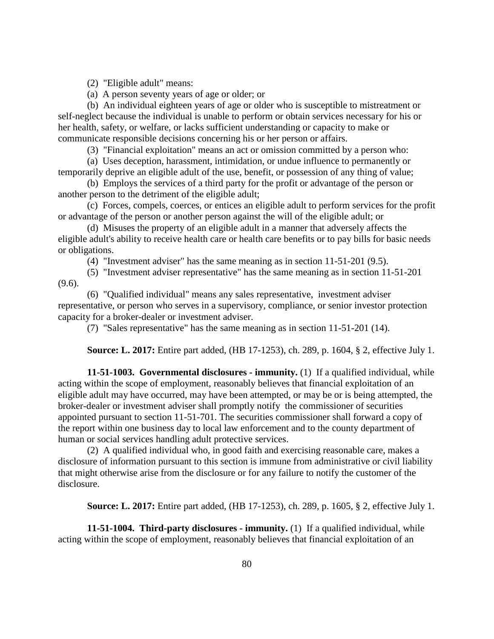(2) "Eligible adult" means:

(a) A person seventy years of age or older; or

(b) An individual eighteen years of age or older who is susceptible to mistreatment or self-neglect because the individual is unable to perform or obtain services necessary for his or her health, safety, or welfare, or lacks sufficient understanding or capacity to make or communicate responsible decisions concerning his or her person or affairs.

(3) "Financial exploitation" means an act or omission committed by a person who:

(a) Uses deception, harassment, intimidation, or undue influence to permanently or temporarily deprive an eligible adult of the use, benefit, or possession of any thing of value;

(b) Employs the services of a third party for the profit or advantage of the person or another person to the detriment of the eligible adult;

(c) Forces, compels, coerces, or entices an eligible adult to perform services for the profit or advantage of the person or another person against the will of the eligible adult; or

(d) Misuses the property of an eligible adult in a manner that adversely affects the eligible adult's ability to receive health care or health care benefits or to pay bills for basic needs or obligations.

(4) "Investment adviser" has the same meaning as in section 11-51-201 (9.5).

(5) "Investment adviser representative" has the same meaning as in section 11-51-201 (9.6).

(6) "Qualified individual" means any sales representative, investment adviser representative, or person who serves in a supervisory, compliance, or senior investor protection capacity for a broker-dealer or investment adviser.

(7) "Sales representative" has the same meaning as in section 11-51-201 (14).

**Source: L. 2017:** Entire part added, (HB 17-1253), ch. 289, p. 1604, § 2, effective July 1.

**11-51-1003. Governmental disclosures - immunity.** (1) If a qualified individual, while acting within the scope of employment, reasonably believes that financial exploitation of an eligible adult may have occurred, may have been attempted, or may be or is being attempted, the broker-dealer or investment adviser shall promptly notify the commissioner of securities appointed pursuant to section 11-51-701. The securities commissioner shall forward a copy of the report within one business day to local law enforcement and to the county department of human or social services handling adult protective services.

(2) A qualified individual who, in good faith and exercising reasonable care, makes a disclosure of information pursuant to this section is immune from administrative or civil liability that might otherwise arise from the disclosure or for any failure to notify the customer of the disclosure.

**Source: L. 2017:** Entire part added, (HB 17-1253), ch. 289, p. 1605, § 2, effective July 1.

**11-51-1004. Third-party disclosures - immunity.** (1) If a qualified individual, while acting within the scope of employment, reasonably believes that financial exploitation of an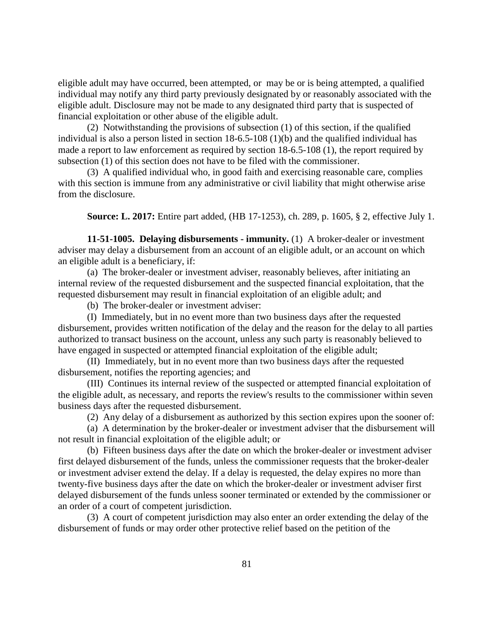eligible adult may have occurred, been attempted, or may be or is being attempted, a qualified individual may notify any third party previously designated by or reasonably associated with the eligible adult. Disclosure may not be made to any designated third party that is suspected of financial exploitation or other abuse of the eligible adult.

(2) Notwithstanding the provisions of subsection (1) of this section, if the qualified individual is also a person listed in section 18-6.5-108 (1)(b) and the qualified individual has made a report to law enforcement as required by section 18-6.5-108 (1), the report required by subsection (1) of this section does not have to be filed with the commissioner.

(3) A qualified individual who, in good faith and exercising reasonable care, complies with this section is immune from any administrative or civil liability that might otherwise arise from the disclosure.

**Source: L. 2017:** Entire part added, (HB 17-1253), ch. 289, p. 1605, § 2, effective July 1.

**11-51-1005. Delaying disbursements - immunity.** (1) A broker-dealer or investment adviser may delay a disbursement from an account of an eligible adult, or an account on which an eligible adult is a beneficiary, if:

(a) The broker-dealer or investment adviser, reasonably believes, after initiating an internal review of the requested disbursement and the suspected financial exploitation, that the requested disbursement may result in financial exploitation of an eligible adult; and

(b) The broker-dealer or investment adviser:

(I) Immediately, but in no event more than two business days after the requested disbursement, provides written notification of the delay and the reason for the delay to all parties authorized to transact business on the account, unless any such party is reasonably believed to have engaged in suspected or attempted financial exploitation of the eligible adult;

(II) Immediately, but in no event more than two business days after the requested disbursement, notifies the reporting agencies; and

(III) Continues its internal review of the suspected or attempted financial exploitation of the eligible adult, as necessary, and reports the review's results to the commissioner within seven business days after the requested disbursement.

(2) Any delay of a disbursement as authorized by this section expires upon the sooner of:

(a) A determination by the broker-dealer or investment adviser that the disbursement will not result in financial exploitation of the eligible adult; or

(b) Fifteen business days after the date on which the broker-dealer or investment adviser first delayed disbursement of the funds, unless the commissioner requests that the broker-dealer or investment adviser extend the delay. If a delay is requested, the delay expires no more than twenty-five business days after the date on which the broker-dealer or investment adviser first delayed disbursement of the funds unless sooner terminated or extended by the commissioner or an order of a court of competent jurisdiction.

(3) A court of competent jurisdiction may also enter an order extending the delay of the disbursement of funds or may order other protective relief based on the petition of the